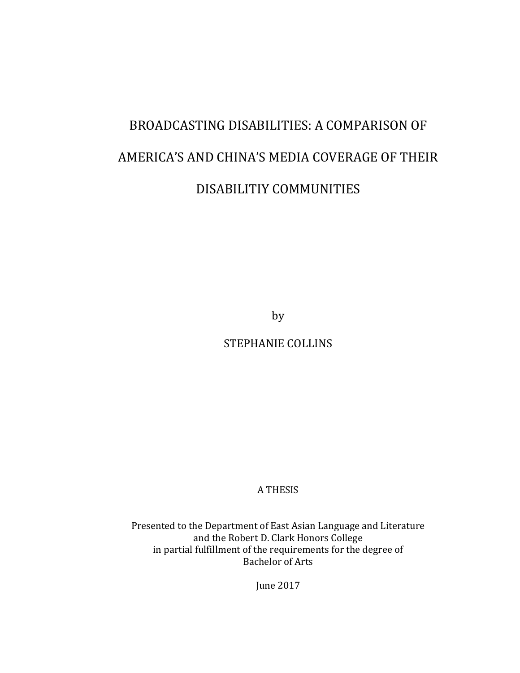# BROADCASTING DISABILITIES: A COMPARISON OF AMERICA'S AND CHINA'S MEDIA COVERAGE OF THEIR DISABILITIY COMMUNITIES

by

STEPHANIE COLLINS

A THESIS

Presented to the Department of East Asian Language and Literature and the Robert D. Clark Honors College in partial fulfillment of the requirements for the degree of Bachelor of Arts

June 2017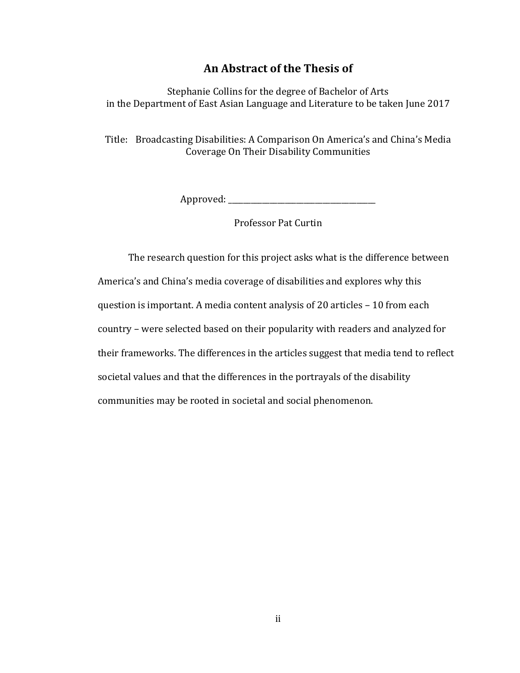# **An Abstract of the Thesis of**

Stephanie Collins for the degree of Bachelor of Arts in the Department of East Asian Language and Literature to be taken June 2017

Title: Broadcasting Disabilities: A Comparison On America's and China's Media Coverage On Their Disability Communities

Approved: \_\_\_\_\_\_\_\_\_\_\_\_\_\_\_\_\_\_\_\_\_\_\_\_\_\_\_\_\_\_\_\_\_\_\_\_\_\_\_

Professor Pat Curtin

The research question for this project asks what is the difference between America's and China's media coverage of disabilities and explores why this question is important. A media content analysis of 20 articles – 10 from each country – were selected based on their popularity with readers and analyzed for their frameworks. The differences in the articles suggest that media tend to reflect societal values and that the differences in the portrayals of the disability communities may be rooted in societal and social phenomenon.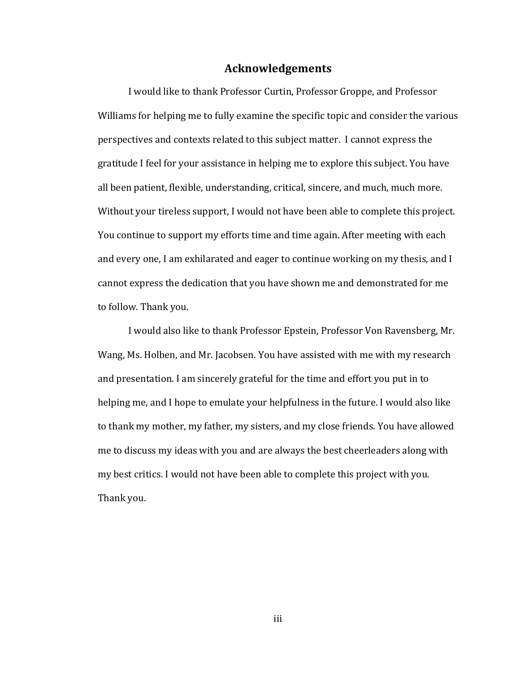# **Acknowledgements**

I would like to thank Professor Curtin, Professor Groppe, and Professor Williams for helping me to fully examine the specific topic and consider the various perspectives and contexts related to this subject matter. I cannot express the gratitude I feel for your assistance in helping me to explore this subject. You have all been patient, flexible, understanding, critical, sincere, and much, much more. Without your tireless support, I would not have been able to complete this project. You continue to support my efforts time and time again. After meeting with each and every one, I am exhilarated and eager to continue working on my thesis, and I cannot express the dedication that you have shown me and demonstrated for me to follow. Thank you.

I would also like to thank Professor Epstein, Professor Von Ravensberg, Mr. Wang, Ms. Holben, and Mr. Jacobsen. You have assisted with me with my research and presentation. I am sincerely grateful for the time and effort you put in to helping me, and I hope to emulate your helpfulness in the future. I would also like to thank my mother, my father, my sisters, and my close friends. You have allowed me to discuss my ideas with you and are always the best cheerleaders along with my best critics. I would not have been able to complete this project with you. Thank you.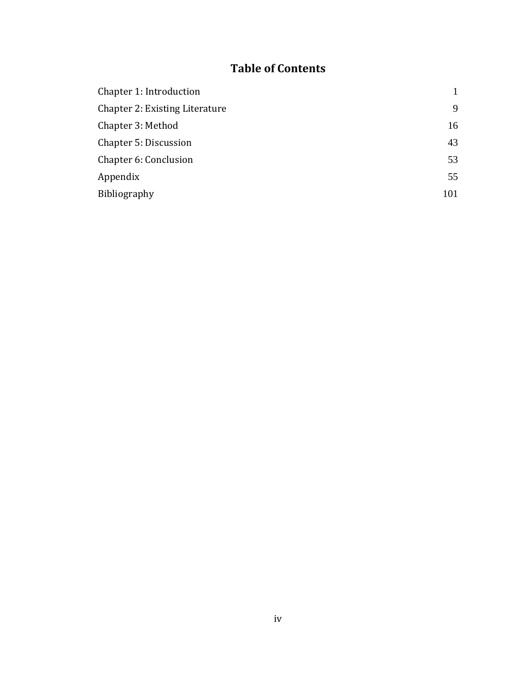# **Table of Contents**

| Chapter 1: Introduction        |     |
|--------------------------------|-----|
| Chapter 2: Existing Literature | 9   |
| Chapter 3: Method              | 16  |
| Chapter 5: Discussion          | 43  |
| Chapter 6: Conclusion          | 53  |
| Appendix                       | 55  |
| Bibliography                   | 101 |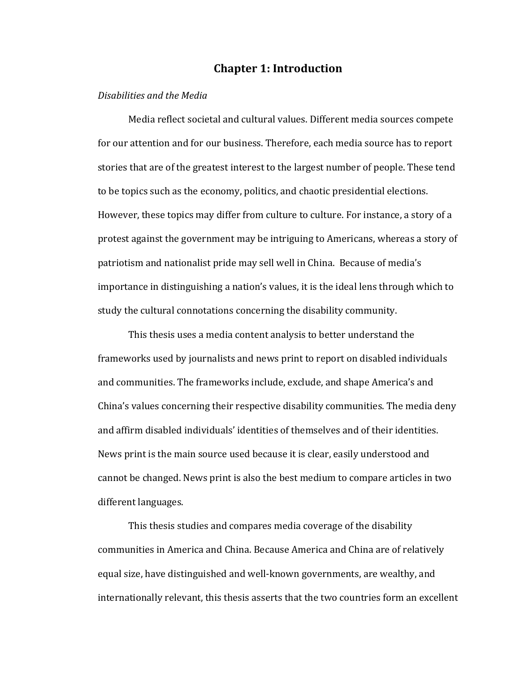# **Chapter 1: Introduction**

#### *Disabilities and the Media*

Media reflect societal and cultural values. Different media sources compete for our attention and for our business. Therefore, each media source has to report stories that are of the greatest interest to the largest number of people. These tend to be topics such as the economy, politics, and chaotic presidential elections. However, these topics may differ from culture to culture. For instance, a story of a protest against the government may be intriguing to Americans, whereas a story of patriotism and nationalist pride may sell well in China. Because of media's importance in distinguishing a nation's values, it is the ideal lens through which to study the cultural connotations concerning the disability community.

This thesis uses a media content analysis to better understand the frameworks used by journalists and news print to report on disabled individuals and communities. The frameworks include, exclude, and shape America's and China's values concerning their respective disability communities. The media deny and affirm disabled individuals' identities of themselves and of their identities. News print is the main source used because it is clear, easily understood and cannot be changed. News print is also the best medium to compare articles in two different languages.

This thesis studies and compares media coverage of the disability communities in America and China. Because America and China are of relatively equal size, have distinguished and well-known governments, are wealthy, and internationally relevant, this thesis asserts that the two countries form an excellent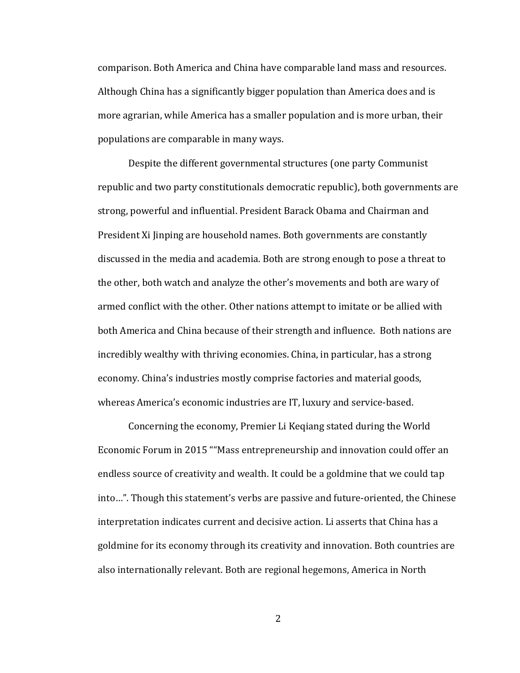comparison. Both America and China have comparable land mass and resources. Although China has a significantly bigger population than America does and is more agrarian, while America has a smaller population and is more urban, their populations are comparable in many ways.

Despite the different governmental structures (one party Communist republic and two party constitutionals democratic republic), both governments are strong, powerful and influential. President Barack Obama and Chairman and President Xi Jinping are household names. Both governments are constantly discussed in the media and academia. Both are strong enough to pose a threat to the other, both watch and analyze the other's movements and both are wary of armed conflict with the other. Other nations attempt to imitate or be allied with both America and China because of their strength and influence. Both nations are incredibly wealthy with thriving economies. China, in particular, has a strong economy. China's industries mostly comprise factories and material goods, whereas America's economic industries are IT, luxury and service-based.

Concerning the economy, Premier Li Keqiang stated during the World Economic Forum in 2015 ""Mass entrepreneurship and innovation could offer an endless source of creativity and wealth. It could be a goldmine that we could tap into…". Though this statement's verbs are passive and future-oriented, the Chinese interpretation indicates current and decisive action. Li asserts that China has a goldmine for its economy through its creativity and innovation. Both countries are also internationally relevant. Both are regional hegemons, America in North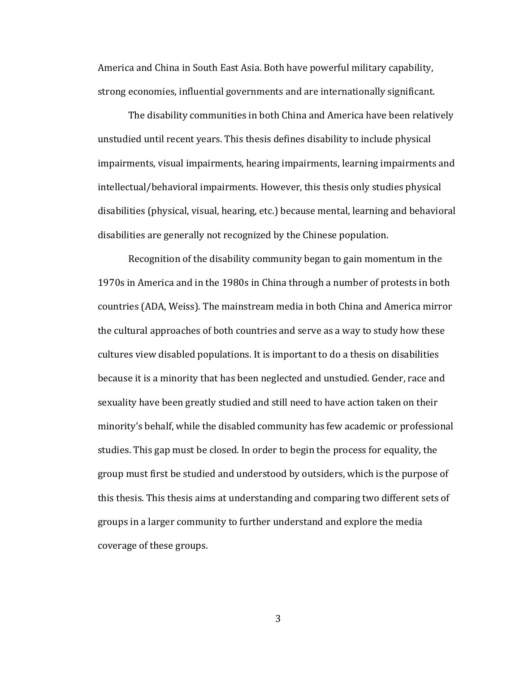America and China in South East Asia. Both have powerful military capability, strong economies, influential governments and are internationally significant.

The disability communities in both China and America have been relatively unstudied until recent years. This thesis defines disability to include physical impairments, visual impairments, hearing impairments, learning impairments and intellectual/behavioral impairments. However, this thesis only studies physical disabilities (physical, visual, hearing, etc.) because mental, learning and behavioral disabilities are generally not recognized by the Chinese population.

Recognition of the disability community began to gain momentum in the 1970s in America and in the 1980s in China through a number of protests in both countries (ADA, Weiss). The mainstream media in both China and America mirror the cultural approaches of both countries and serve as a way to study how these cultures view disabled populations. It is important to do a thesis on disabilities because it is a minority that has been neglected and unstudied. Gender, race and sexuality have been greatly studied and still need to have action taken on their minority's behalf, while the disabled community has few academic or professional studies. This gap must be closed. In order to begin the process for equality, the group must first be studied and understood by outsiders, which is the purpose of this thesis. This thesis aims at understanding and comparing two different sets of groups in a larger community to further understand and explore the media coverage of these groups.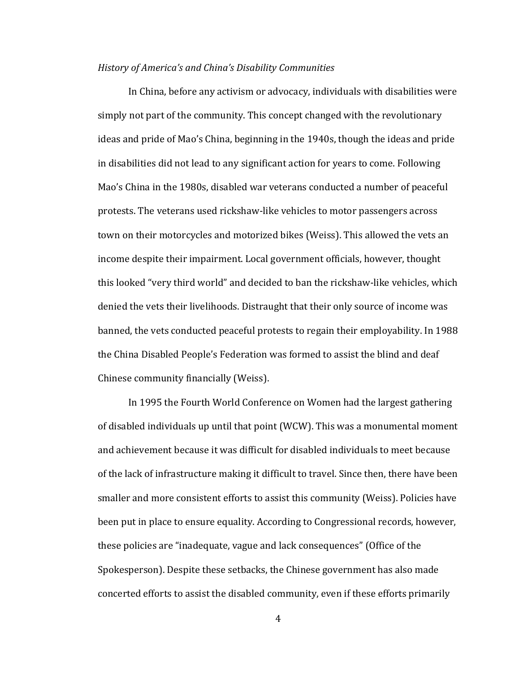#### *History of America's and China's Disability Communities*

In China, before any activism or advocacy, individuals with disabilities were simply not part of the community. This concept changed with the revolutionary ideas and pride of Mao's China, beginning in the 1940s, though the ideas and pride in disabilities did not lead to any significant action for years to come. Following Mao's China in the 1980s, disabled war veterans conducted a number of peaceful protests. The veterans used rickshaw-like vehicles to motor passengers across town on their motorcycles and motorized bikes (Weiss). This allowed the vets an income despite their impairment. Local government officials, however, thought this looked "very third world" and decided to ban the rickshaw-like vehicles, which denied the vets their livelihoods. Distraught that their only source of income was banned, the vets conducted peaceful protests to regain their employability. In 1988 the China Disabled People's Federation was formed to assist the blind and deaf Chinese community financially (Weiss).

In 1995 the Fourth World Conference on Women had the largest gathering of disabled individuals up until that point (WCW). This was a monumental moment and achievement because it was difficult for disabled individuals to meet because of the lack of infrastructure making it difficult to travel. Since then, there have been smaller and more consistent efforts to assist this community (Weiss). Policies have been put in place to ensure equality. According to Congressional records, however, these policies are "inadequate, vague and lack consequences" (Office of the Spokesperson). Despite these setbacks, the Chinese government has also made concerted efforts to assist the disabled community, even if these efforts primarily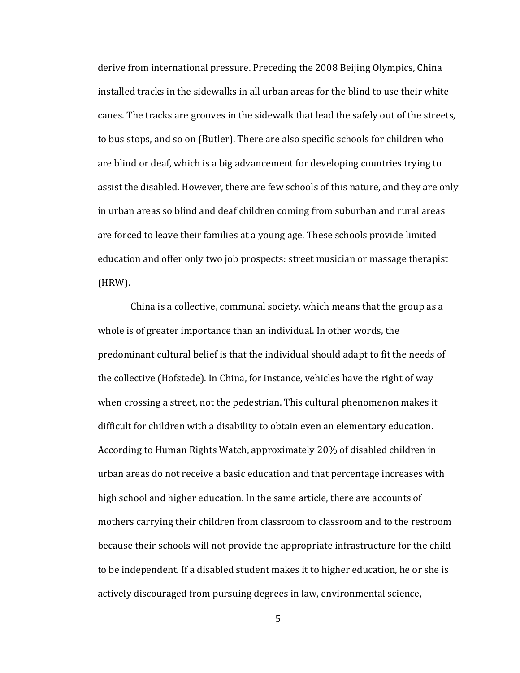derive from international pressure. Preceding the 2008 Beijing Olympics, China installed tracks in the sidewalks in all urban areas for the blind to use their white canes. The tracks are grooves in the sidewalk that lead the safely out of the streets, to bus stops, and so on (Butler). There are also specific schools for children who are blind or deaf, which is a big advancement for developing countries trying to assist the disabled. However, there are few schools of this nature, and they are only in urban areas so blind and deaf children coming from suburban and rural areas are forced to leave their families at a young age. These schools provide limited education and offer only two job prospects: street musician or massage therapist (HRW).

China is a collective, communal society, which means that the group as a whole is of greater importance than an individual. In other words, the predominant cultural belief is that the individual should adapt to fit the needs of the collective (Hofstede). In China, for instance, vehicles have the right of way when crossing a street, not the pedestrian. This cultural phenomenon makes it difficult for children with a disability to obtain even an elementary education. According to Human Rights Watch, approximately 20% of disabled children in urban areas do not receive a basic education and that percentage increases with high school and higher education. In the same article, there are accounts of mothers carrying their children from classroom to classroom and to the restroom because their schools will not provide the appropriate infrastructure for the child to be independent. If a disabled student makes it to higher education, he or she is actively discouraged from pursuing degrees in law, environmental science,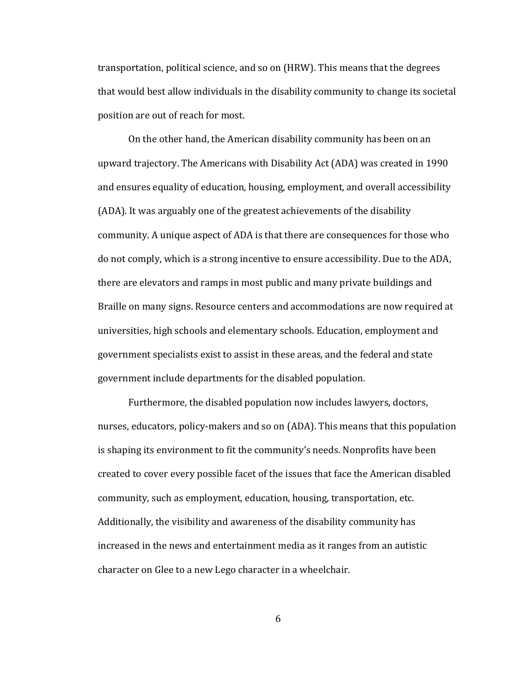transportation, political science, and so on (HRW). This means that the degrees that would best allow individuals in the disability community to change its societal position are out of reach for most.

On the other hand, the American disability community has been on an upward trajectory. The Americans with Disability Act (ADA) was created in 1990 and ensures equality of education, housing, employment, and overall accessibility (ADA). It was arguably one of the greatest achievements of the disability community. A unique aspect of ADA is that there are consequences for those who do not comply, which is a strong incentive to ensure accessibility. Due to the ADA, there are elevators and ramps in most public and many private buildings and Braille on many signs. Resource centers and accommodations are now required at universities, high schools and elementary schools. Education, employment and government specialists exist to assist in these areas, and the federal and state government include departments for the disabled population.

Furthermore, the disabled population now includes lawyers, doctors, nurses, educators, policy-makers and so on (ADA). This means that this population is shaping its environment to fit the community's needs. Nonprofits have been created to cover every possible facet of the issues that face the American disabled community, such as employment, education, housing, transportation, etc. Additionally, the visibility and awareness of the disability community has increased in the news and entertainment media as it ranges from an autistic character on Glee to a new Lego character in a wheelchair.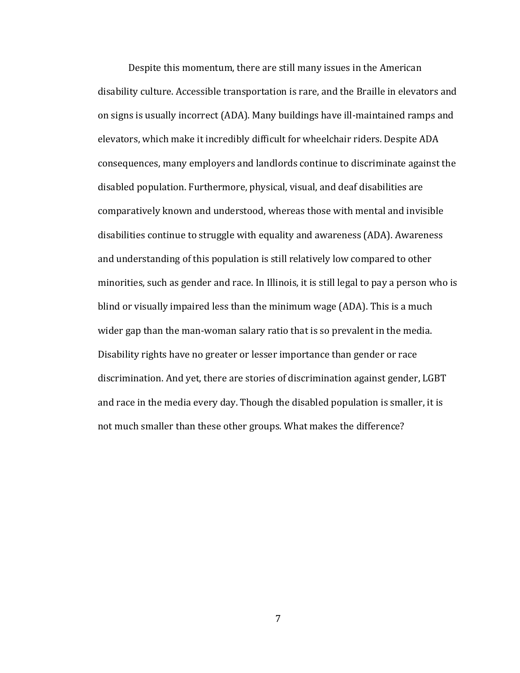Despite this momentum, there are still many issues in the American disability culture. Accessible transportation is rare, and the Braille in elevators and on signs is usually incorrect (ADA). Many buildings have ill-maintained ramps and elevators, which make it incredibly difficult for wheelchair riders. Despite ADA consequences, many employers and landlords continue to discriminate against the disabled population. Furthermore, physical, visual, and deaf disabilities are comparatively known and understood, whereas those with mental and invisible disabilities continue to struggle with equality and awareness (ADA). Awareness and understanding of this population is still relatively low compared to other minorities, such as gender and race. In Illinois, it is still legal to pay a person who is blind or visually impaired less than the minimum wage (ADA). This is a much wider gap than the man-woman salary ratio that is so prevalent in the media. Disability rights have no greater or lesser importance than gender or race discrimination. And yet, there are stories of discrimination against gender, LGBT and race in the media every day. Though the disabled population is smaller, it is not much smaller than these other groups. What makes the difference?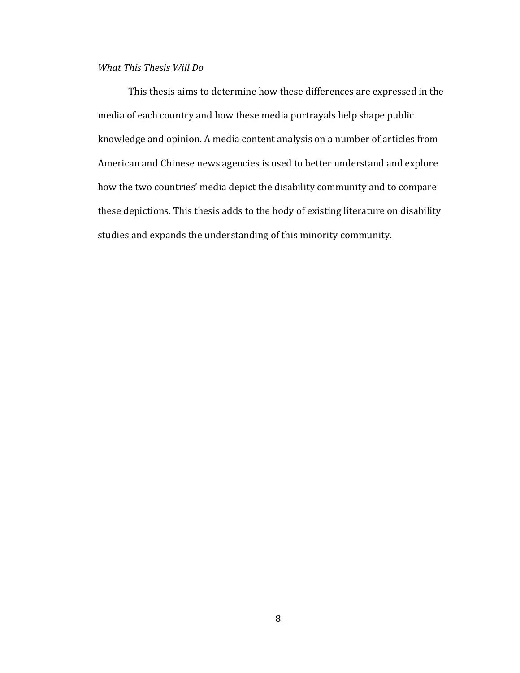# *What This Thesis Will Do*

This thesis aims to determine how these differences are expressed in the media of each country and how these media portrayals help shape public knowledge and opinion. A media content analysis on a number of articles from American and Chinese news agencies is used to better understand and explore how the two countries' media depict the disability community and to compare these depictions. This thesis adds to the body of existing literature on disability studies and expands the understanding of this minority community.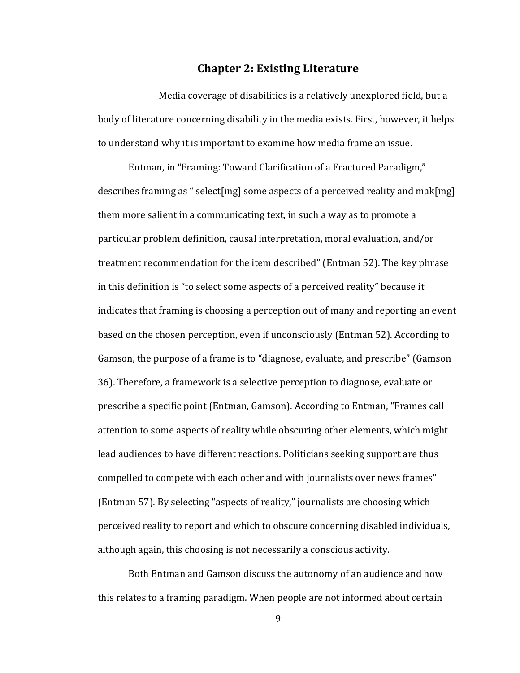# **Chapter 2: Existing Literature**

Media coverage of disabilities is a relatively unexplored field, but a body of literature concerning disability in the media exists. First, however, it helps to understand why it is important to examine how media frame an issue.

Entman, in "Framing: Toward Clarification of a Fractured Paradigm," describes framing as " select[ing] some aspects of a perceived reality and mak[ing] them more salient in a communicating text, in such a way as to promote a particular problem definition, causal interpretation, moral evaluation, and/or treatment recommendation for the item described" (Entman 52). The key phrase in this definition is "to select some aspects of a perceived reality" because it indicates that framing is choosing a perception out of many and reporting an event based on the chosen perception, even if unconsciously (Entman 52). According to Gamson, the purpose of a frame is to "diagnose, evaluate, and prescribe" (Gamson 36). Therefore, a framework is a selective perception to diagnose, evaluate or prescribe a specific point (Entman, Gamson). According to Entman, "Frames call attention to some aspects of reality while obscuring other elements, which might lead audiences to have different reactions. Politicians seeking support are thus compelled to compete with each other and with journalists over news frames" (Entman 57). By selecting "aspects of reality," journalists are choosing which perceived reality to report and which to obscure concerning disabled individuals, although again, this choosing is not necessarily a conscious activity.

Both Entman and Gamson discuss the autonomy of an audience and how this relates to a framing paradigm. When people are not informed about certain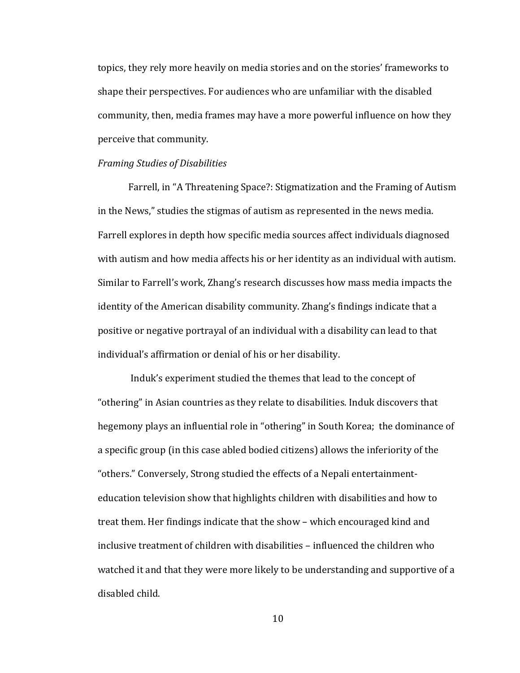topics, they rely more heavily on media stories and on the stories' frameworks to shape their perspectives. For audiences who are unfamiliar with the disabled community, then, media frames may have a more powerful influence on how they perceive that community.

#### *Framing Studies of Disabilities*

Farrell, in "A Threatening Space?: Stigmatization and the Framing of Autism in the News," studies the stigmas of autism as represented in the news media. Farrell explores in depth how specific media sources affect individuals diagnosed with autism and how media affects his or her identity as an individual with autism. Similar to Farrell's work, Zhang's research discusses how mass media impacts the identity of the American disability community. Zhang's findings indicate that a positive or negative portrayal of an individual with a disability can lead to that individual's affirmation or denial of his or her disability.

Induk's experiment studied the themes that lead to the concept of "othering" in Asian countries as they relate to disabilities. Induk discovers that hegemony plays an influential role in "othering" in South Korea; the dominance of a specific group (in this case abled bodied citizens) allows the inferiority of the "others." Conversely, Strong studied the effects of a Nepali entertainmenteducation television show that highlights children with disabilities and how to treat them. Her findings indicate that the show – which encouraged kind and inclusive treatment of children with disabilities – influenced the children who watched it and that they were more likely to be understanding and supportive of a disabled child.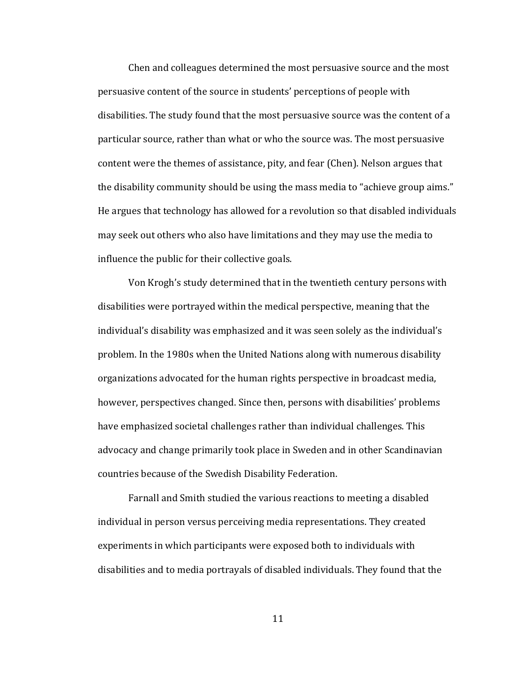Chen and colleagues determined the most persuasive source and the most persuasive content of the source in students' perceptions of people with disabilities. The study found that the most persuasive source was the content of a particular source, rather than what or who the source was. The most persuasive content were the themes of assistance, pity, and fear (Chen). Nelson argues that the disability community should be using the mass media to "achieve group aims." He argues that technology has allowed for a revolution so that disabled individuals may seek out others who also have limitations and they may use the media to influence the public for their collective goals.

Von Krogh's study determined that in the twentieth century persons with disabilities were portrayed within the medical perspective, meaning that the individual's disability was emphasized and it was seen solely as the individual's problem. In the 1980s when the United Nations along with numerous disability organizations advocated for the human rights perspective in broadcast media, however, perspectives changed. Since then, persons with disabilities' problems have emphasized societal challenges rather than individual challenges. This advocacy and change primarily took place in Sweden and in other Scandinavian countries because of the Swedish Disability Federation.

Farnall and Smith studied the various reactions to meeting a disabled individual in person versus perceiving media representations. They created experiments in which participants were exposed both to individuals with disabilities and to media portrayals of disabled individuals. They found that the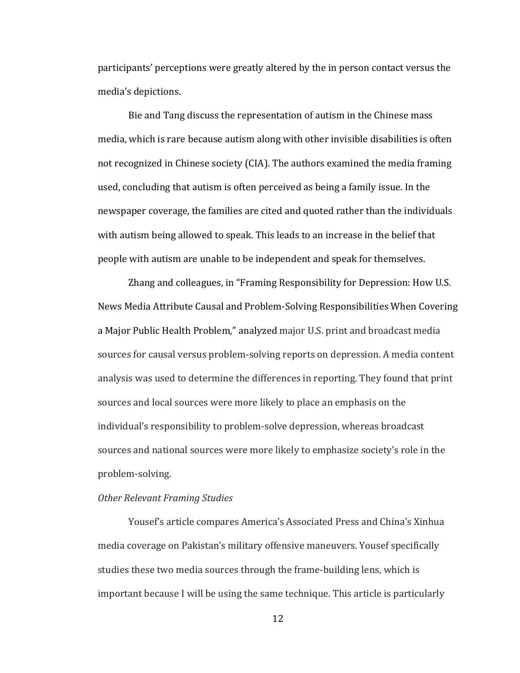participants' perceptions were greatly altered by the in person contact versus the media's depictions.

Bie and Tang discuss the representation of autism in the Chinese mass media, which is rare because autism along with other invisible disabilities is often not recognized in Chinese society (CIA). The authors examined the media framing used, concluding that autism is often perceived as being a family issue. In the newspaper coverage, the families are cited and quoted rather than the individuals with autism being allowed to speak. This leads to an increase in the belief that people with autism are unable to be independent and speak for themselves.

Zhang and colleagues, in "Framing Responsibility for Depression: How U.S. News Media Attribute Causal and Problem-Solving Responsibilities When Covering a Major Public Health Problem," analyzed major U.S. print and broadcast media sources for causal versus problem-solving reports on depression. A media content analysis was used to determine the differences in reporting. They found that print sources and local sources were more likely to place an emphasis on the individual's responsibility to problem-solve depression, whereas broadcast sources and national sources were more likely to emphasize society's role in the problem-solving.

#### *Other Relevant Framing Studies*

Yousef's article compares America's Associated Press and China's Xinhua media coverage on Pakistan's military offensive maneuvers. Yousef specifically studies these two media sources through the frame-building lens, which is important because I will be using the same technique. This article is particularly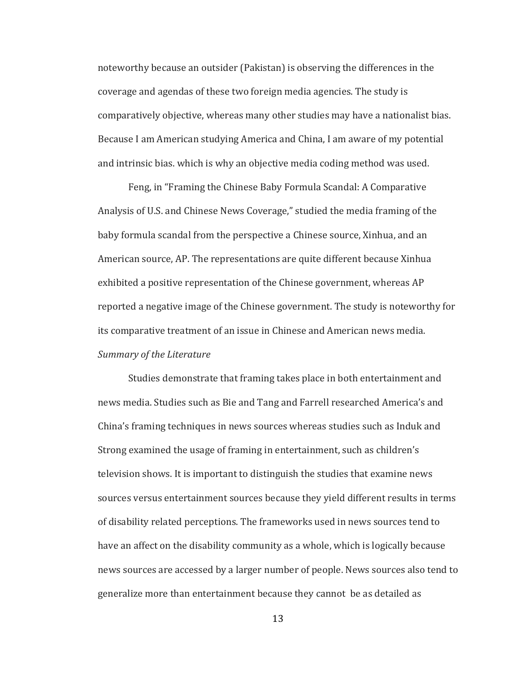noteworthy because an outsider (Pakistan) is observing the differences in the coverage and agendas of these two foreign media agencies. The study is comparatively objective, whereas many other studies may have a nationalist bias. Because I am American studying America and China, I am aware of my potential and intrinsic bias. which is why an objective media coding method was used.

Feng, in "Framing the Chinese Baby Formula Scandal: A Comparative Analysis of U.S. and Chinese News Coverage," studied the media framing of the baby formula scandal from the perspective a Chinese source, Xinhua, and an American source, AP. The representations are quite different because Xinhua exhibited a positive representation of the Chinese government, whereas AP reported a negative image of the Chinese government. The study is noteworthy for its comparative treatment of an issue in Chinese and American news media. *Summary of the Literature*

Studies demonstrate that framing takes place in both entertainment and news media. Studies such as Bie and Tang and Farrell researched America's and China's framing techniques in news sources whereas studies such as Induk and Strong examined the usage of framing in entertainment, such as children's television shows. It is important to distinguish the studies that examine news sources versus entertainment sources because they yield different results in terms of disability related perceptions. The frameworks used in news sources tend to have an affect on the disability community as a whole, which is logically because news sources are accessed by a larger number of people. News sources also tend to generalize more than entertainment because they cannot be as detailed as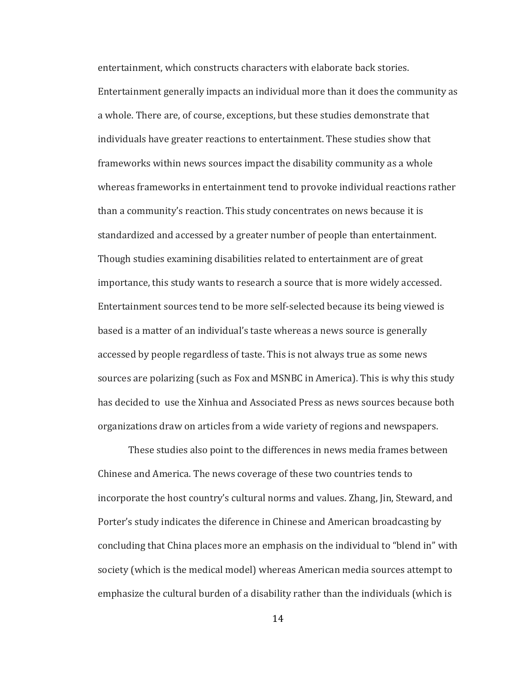entertainment, which constructs characters with elaborate back stories. Entertainment generally impacts an individual more than it does the community as a whole. There are, of course, exceptions, but these studies demonstrate that individuals have greater reactions to entertainment. These studies show that frameworks within news sources impact the disability community as a whole whereas frameworks in entertainment tend to provoke individual reactions rather than a community's reaction. This study concentrates on news because it is standardized and accessed by a greater number of people than entertainment. Though studies examining disabilities related to entertainment are of great importance, this study wants to research a source that is more widely accessed. Entertainment sources tend to be more self-selected because its being viewed is based is a matter of an individual's taste whereas a news source is generally accessed by people regardless of taste. This is not always true as some news sources are polarizing (such as Fox and MSNBC in America). This is why this study has decided to use the Xinhua and Associated Press as news sources because both organizations draw on articles from a wide variety of regions and newspapers.

These studies also point to the differences in news media frames between Chinese and America. The news coverage of these two countries tends to incorporate the host country's cultural norms and values. Zhang, Jin, Steward, and Porter's study indicates the diference in Chinese and American broadcasting by concluding that China places more an emphasis on the individual to "blend in" with society (which is the medical model) whereas American media sources attempt to emphasize the cultural burden of a disability rather than the individuals (which is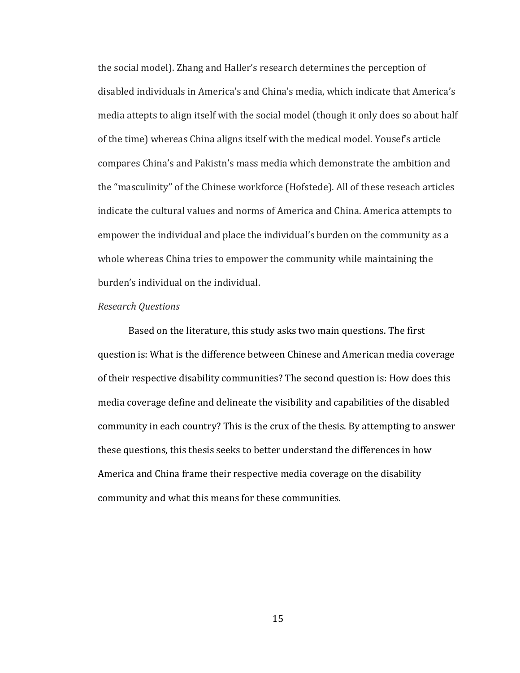the social model). Zhang and Haller's research determines the perception of disabled individuals in America's and China's media, which indicate that America's media attepts to align itself with the social model (though it only does so about half of the time) whereas China aligns itself with the medical model. Yousef's article compares China's and Pakistn's mass media which demonstrate the ambition and the "masculinity" of the Chinese workforce (Hofstede). All of these reseach articles indicate the cultural values and norms of America and China. America attempts to empower the individual and place the individual's burden on the community as a whole whereas China tries to empower the community while maintaining the burden's individual on the individual.

#### *Research Questions*

Based on the literature, this study asks two main questions. The first question is: What is the difference between Chinese and American media coverage of their respective disability communities? The second question is: How does this media coverage define and delineate the visibility and capabilities of the disabled community in each country? This is the crux of the thesis. By attempting to answer these questions, this thesis seeks to better understand the differences in how America and China frame their respective media coverage on the disability community and what this means for these communities.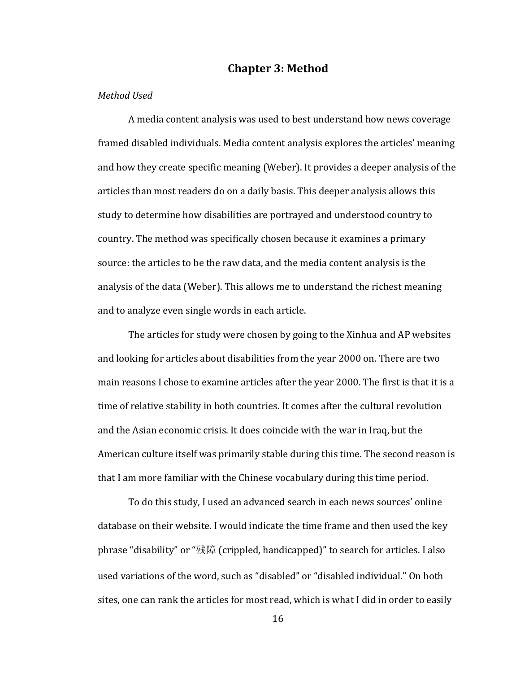#### **Chapter 3: Method**

#### *Method Used*

A media content analysis was used to best understand how news coverage framed disabled individuals. Media content analysis explores the articles' meaning and how they create specific meaning (Weber). It provides a deeper analysis of the articles than most readers do on a daily basis. This deeper analysis allows this study to determine how disabilities are portrayed and understood country to country. The method was specifically chosen because it examines a primary source: the articles to be the raw data, and the media content analysis is the analysis of the data (Weber). This allows me to understand the richest meaning and to analyze even single words in each article.

The articles for study were chosen by going to the Xinhua and AP websites and looking for articles about disabilities from the year 2000 on. There are two main reasons I chose to examine articles after the year 2000. The first is that it is a time of relative stability in both countries. It comes after the cultural revolution and the Asian economic crisis. It does coincide with the war in Iraq, but the American culture itself was primarily stable during this time. The second reason is that I am more familiar with the Chinese vocabulary during this time period.

To do this study, I used an advanced search in each news sources' online database on their website. I would indicate the time frame and then used the key phrase "disability" or "残障 (crippled, handicapped)" to search for articles. I also used variations of the word, such as "disabled" or "disabled individual." On both sites, one can rank the articles for most read, which is what I did in order to easily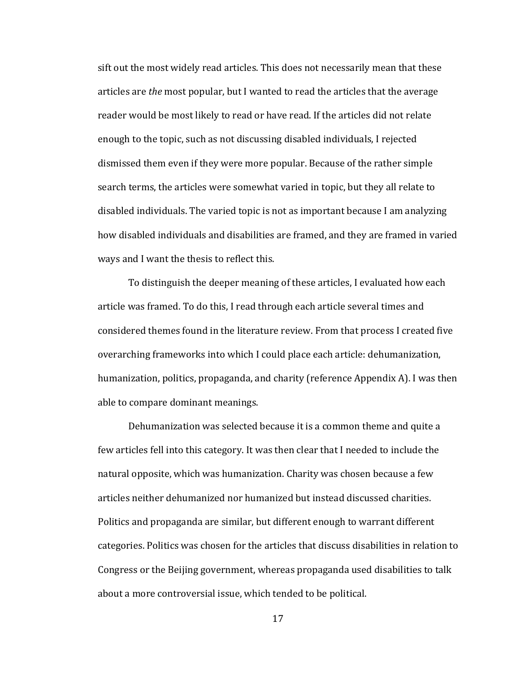sift out the most widely read articles. This does not necessarily mean that these articles are *the* most popular, but I wanted to read the articles that the average reader would be most likely to read or have read. If the articles did not relate enough to the topic, such as not discussing disabled individuals, I rejected dismissed them even if they were more popular. Because of the rather simple search terms, the articles were somewhat varied in topic, but they all relate to disabled individuals. The varied topic is not as important because I am analyzing how disabled individuals and disabilities are framed, and they are framed in varied ways and I want the thesis to reflect this.

To distinguish the deeper meaning of these articles, I evaluated how each article was framed. To do this, I read through each article several times and considered themes found in the literature review. From that process I created five overarching frameworks into which I could place each article: dehumanization, humanization, politics, propaganda, and charity (reference Appendix A). I was then able to compare dominant meanings.

Dehumanization was selected because it is a common theme and quite a few articles fell into this category. It was then clear that I needed to include the natural opposite, which was humanization. Charity was chosen because a few articles neither dehumanized nor humanized but instead discussed charities. Politics and propaganda are similar, but different enough to warrant different categories. Politics was chosen for the articles that discuss disabilities in relation to Congress or the Beijing government, whereas propaganda used disabilities to talk about a more controversial issue, which tended to be political.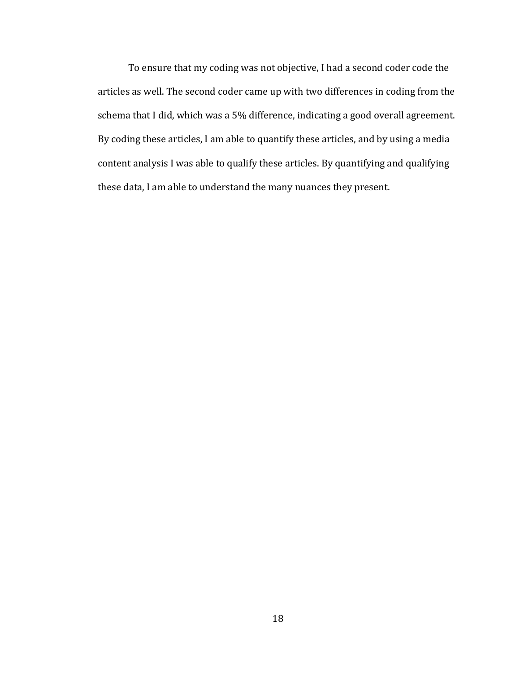To ensure that my coding was not objective, I had a second coder code the articles as well. The second coder came up with two differences in coding from the schema that I did, which was a 5% difference, indicating a good overall agreement. By coding these articles, I am able to quantify these articles, and by using a media content analysis I was able to qualify these articles. By quantifying and qualifying these data, I am able to understand the many nuances they present.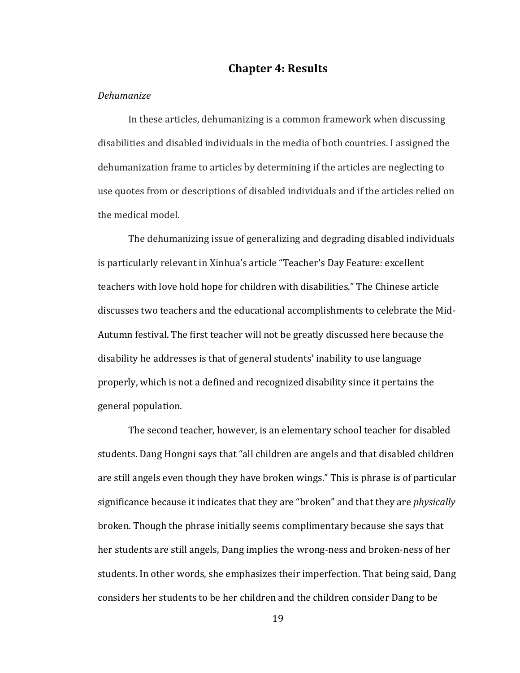# **Chapter 4: Results**

#### *Dehumanize*

In these articles, dehumanizing is a common framework when discussing disabilities and disabled individuals in the media of both countries. I assigned the dehumanization frame to articles by determining if the articles are neglecting to use quotes from or descriptions of disabled individuals and if the articles relied on the medical model.

The dehumanizing issue of generalizing and degrading disabled individuals is particularly relevant in Xinhua's article "Teacher's Day Feature: excellent teachers with love hold hope for children with disabilities." The Chinese article discusses two teachers and the educational accomplishments to celebrate the Mid-Autumn festival. The first teacher will not be greatly discussed here because the disability he addresses is that of general students' inability to use language properly, which is not a defined and recognized disability since it pertains the general population.

The second teacher, however, is an elementary school teacher for disabled students. Dang Hongni says that "all children are angels and that disabled children are still angels even though they have broken wings." This is phrase is of particular significance because it indicates that they are "broken" and that they are *physically* broken. Though the phrase initially seems complimentary because she says that her students are still angels, Dang implies the wrong-ness and broken-ness of her students. In other words, she emphasizes their imperfection. That being said, Dang considers her students to be her children and the children consider Dang to be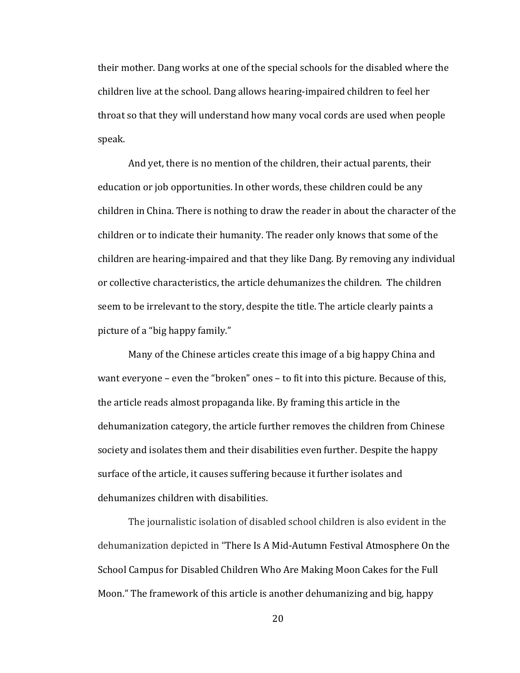their mother. Dang works at one of the special schools for the disabled where the children live at the school. Dang allows hearing-impaired children to feel her throat so that they will understand how many vocal cords are used when people speak.

And yet, there is no mention of the children, their actual parents, their education or job opportunities. In other words, these children could be any children in China. There is nothing to draw the reader in about the character of the children or to indicate their humanity. The reader only knows that some of the children are hearing-impaired and that they like Dang. By removing any individual or collective characteristics, the article dehumanizes the children. The children seem to be irrelevant to the story, despite the title. The article clearly paints a picture of a "big happy family."

Many of the Chinese articles create this image of a big happy China and want everyone – even the "broken" ones – to fit into this picture. Because of this, the article reads almost propaganda like. By framing this article in the dehumanization category, the article further removes the children from Chinese society and isolates them and their disabilities even further. Despite the happy surface of the article, it causes suffering because it further isolates and dehumanizes children with disabilities.

The journalistic isolation of disabled school children is also evident in the dehumanization depicted in "There Is A Mid-Autumn Festival Atmosphere On the School Campus for Disabled Children Who Are Making Moon Cakes for the Full Moon." The framework of this article is another dehumanizing and big, happy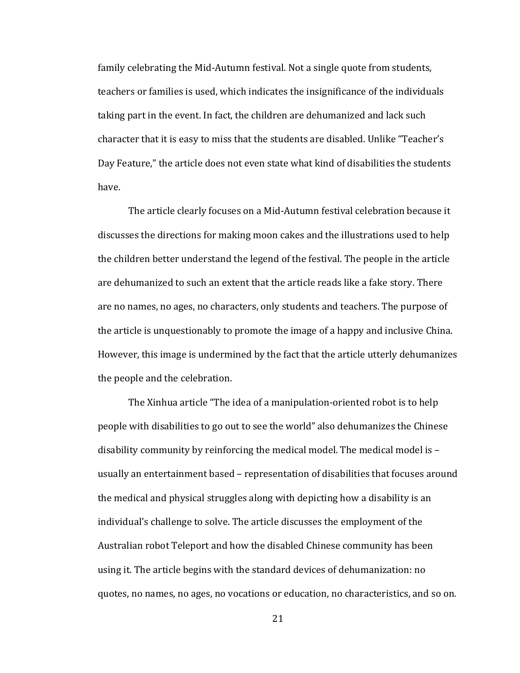family celebrating the Mid-Autumn festival. Not a single quote from students, teachers or families is used, which indicates the insignificance of the individuals taking part in the event. In fact, the children are dehumanized and lack such character that it is easy to miss that the students are disabled. Unlike "Teacher's Day Feature," the article does not even state what kind of disabilities the students have.

The article clearly focuses on a Mid-Autumn festival celebration because it discusses the directions for making moon cakes and the illustrations used to help the children better understand the legend of the festival. The people in the article are dehumanized to such an extent that the article reads like a fake story. There are no names, no ages, no characters, only students and teachers. The purpose of the article is unquestionably to promote the image of a happy and inclusive China. However, this image is undermined by the fact that the article utterly dehumanizes the people and the celebration.

The Xinhua article "The idea of a manipulation-oriented robot is to help people with disabilities to go out to see the world" also dehumanizes the Chinese disability community by reinforcing the medical model. The medical model is – usually an entertainment based – representation of disabilities that focuses around the medical and physical struggles along with depicting how a disability is an individual's challenge to solve. The article discusses the employment of the Australian robot Teleport and how the disabled Chinese community has been using it. The article begins with the standard devices of dehumanization: no quotes, no names, no ages, no vocations or education, no characteristics, and so on.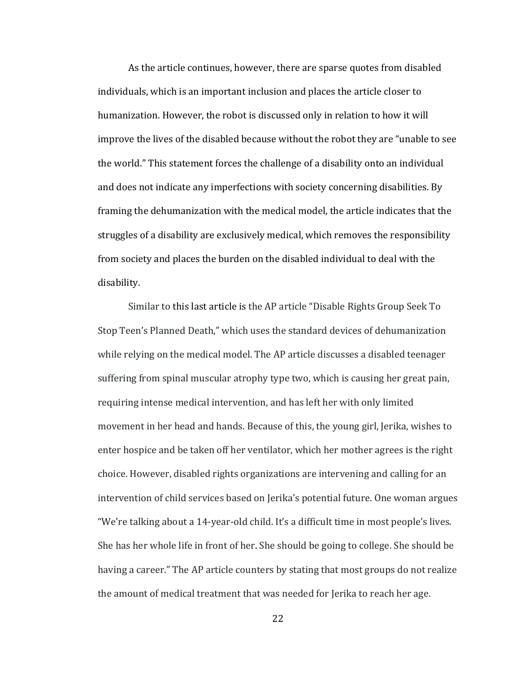As the article continues, however, there are sparse quotes from disabled individuals, which is an important inclusion and places the article closer to humanization. However, the robot is discussed only in relation to how it will improve the lives of the disabled because without the robot they are "unable to see the world." This statement forces the challenge of a disability onto an individual and does not indicate any imperfections with society concerning disabilities. By framing the dehumanization with the medical model, the article indicates that the struggles of a disability are exclusively medical, which removes the responsibility from society and places the burden on the disabled individual to deal with the disability.

Similar to this last article is the AP article "Disable Rights Group Seek To Stop Teen's Planned Death," which uses the standard devices of dehumanization while relying on the medical model. The AP article discusses a disabled teenager suffering from spinal muscular atrophy type two, which is causing her great pain, requiring intense medical intervention, and has left her with only limited movement in her head and hands. Because of this, the young girl, Jerika, wishes to enter hospice and be taken off her ventilator, which her mother agrees is the right choice. However, disabled rights organizations are intervening and calling for an intervention of child services based on Jerika's potential future. One woman argues "We're talking about a 14-year-old child. It's a difficult time in most people's lives. She has her whole life in front of her. She should be going to college. She should be having a career." The AP article counters by stating that most groups do not realize the amount of medical treatment that was needed for Jerika to reach her age.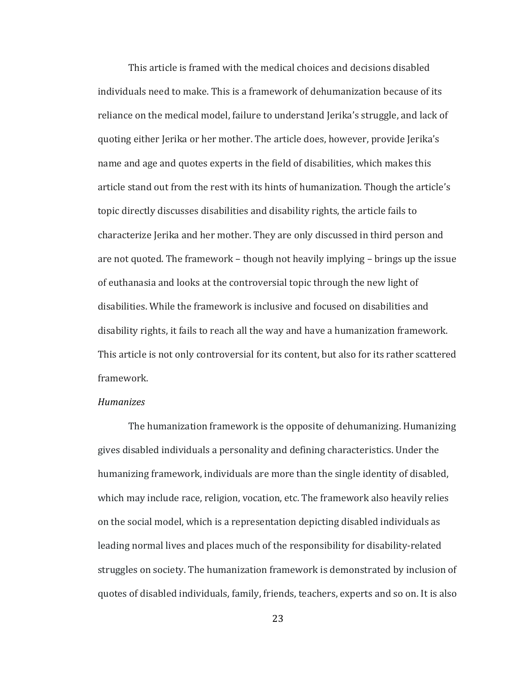This article is framed with the medical choices and decisions disabled individuals need to make. This is a framework of dehumanization because of its reliance on the medical model, failure to understand Jerika's struggle, and lack of quoting either Jerika or her mother. The article does, however, provide Jerika's name and age and quotes experts in the field of disabilities, which makes this article stand out from the rest with its hints of humanization. Though the article's topic directly discusses disabilities and disability rights, the article fails to characterize Jerika and her mother. They are only discussed in third person and are not quoted. The framework – though not heavily implying – brings up the issue of euthanasia and looks at the controversial topic through the new light of disabilities. While the framework is inclusive and focused on disabilities and disability rights, it fails to reach all the way and have a humanization framework. This article is not only controversial for its content, but also for its rather scattered framework.

#### *Humanizes*

The humanization framework is the opposite of dehumanizing. Humanizing gives disabled individuals a personality and defining characteristics. Under the humanizing framework, individuals are more than the single identity of disabled, which may include race, religion, vocation, etc. The framework also heavily relies on the social model, which is a representation depicting disabled individuals as leading normal lives and places much of the responsibility for disability-related struggles on society. The humanization framework is demonstrated by inclusion of quotes of disabled individuals, family, friends, teachers, experts and so on. It is also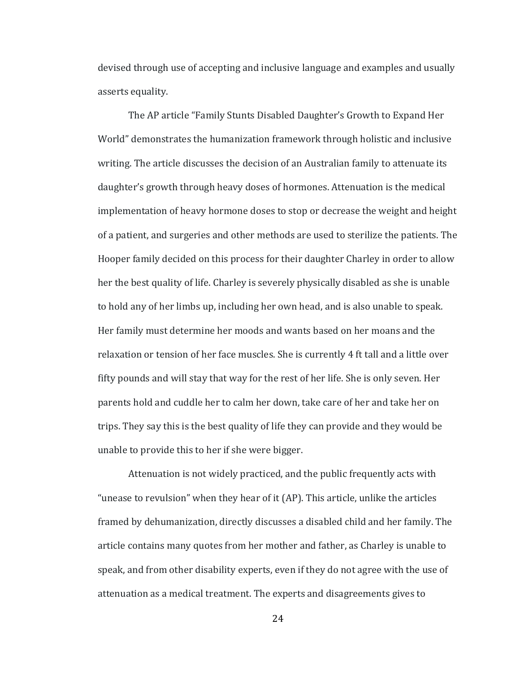devised through use of accepting and inclusive language and examples and usually asserts equality.

The AP article "Family Stunts Disabled Daughter's Growth to Expand Her World" demonstrates the humanization framework through holistic and inclusive writing. The article discusses the decision of an Australian family to attenuate its daughter's growth through heavy doses of hormones. Attenuation is the medical implementation of heavy hormone doses to stop or decrease the weight and height of a patient, and surgeries and other methods are used to sterilize the patients. The Hooper family decided on this process for their daughter Charley in order to allow her the best quality of life. Charley is severely physically disabled as she is unable to hold any of her limbs up, including her own head, and is also unable to speak. Her family must determine her moods and wants based on her moans and the relaxation or tension of her face muscles. She is currently 4 ft tall and a little over fifty pounds and will stay that way for the rest of her life. She is only seven. Her parents hold and cuddle her to calm her down, take care of her and take her on trips. They say this is the best quality of life they can provide and they would be unable to provide this to her if she were bigger.

Attenuation is not widely practiced, and the public frequently acts with "unease to revulsion" when they hear of it (AP). This article, unlike the articles framed by dehumanization, directly discusses a disabled child and her family. The article contains many quotes from her mother and father, as Charley is unable to speak, and from other disability experts, even if they do not agree with the use of attenuation as a medical treatment. The experts and disagreements gives to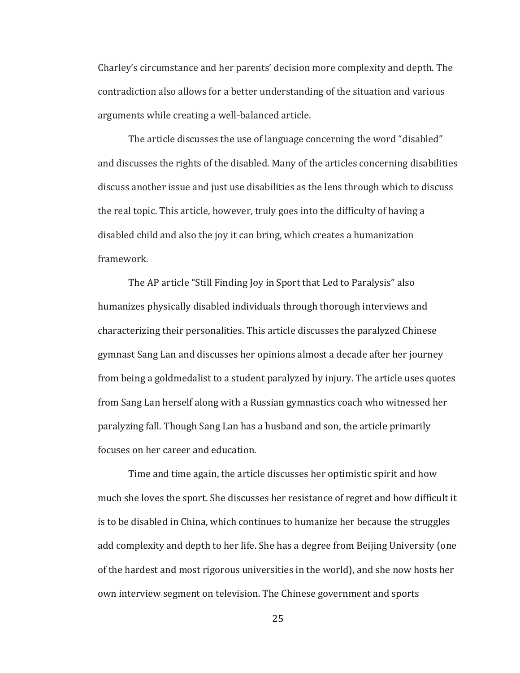Charley's circumstance and her parents' decision more complexity and depth. The contradiction also allows for a better understanding of the situation and various arguments while creating a well-balanced article.

The article discusses the use of language concerning the word "disabled" and discusses the rights of the disabled. Many of the articles concerning disabilities discuss another issue and just use disabilities as the lens through which to discuss the real topic. This article, however, truly goes into the difficulty of having a disabled child and also the joy it can bring, which creates a humanization framework.

The AP article "Still Finding Joy in Sport that Led to Paralysis" also humanizes physically disabled individuals through thorough interviews and characterizing their personalities. This article discusses the paralyzed Chinese gymnast Sang Lan and discusses her opinions almost a decade after her journey from being a goldmedalist to a student paralyzed by injury. The article uses quotes from Sang Lan herself along with a Russian gymnastics coach who witnessed her paralyzing fall. Though Sang Lan has a husband and son, the article primarily focuses on her career and education.

Time and time again, the article discusses her optimistic spirit and how much she loves the sport. She discusses her resistance of regret and how difficult it is to be disabled in China, which continues to humanize her because the struggles add complexity and depth to her life. She has a degree from Beijing University (one of the hardest and most rigorous universities in the world), and she now hosts her own interview segment on television. The Chinese government and sports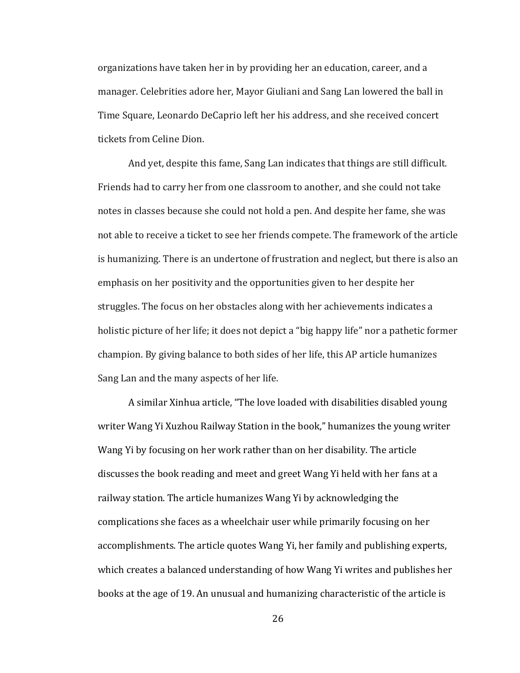organizations have taken her in by providing her an education, career, and a manager. Celebrities adore her, Mayor Giuliani and Sang Lan lowered the ball in Time Square, Leonardo DeCaprio left her his address, and she received concert tickets from Celine Dion.

And yet, despite this fame, Sang Lan indicates that things are still difficult. Friends had to carry her from one classroom to another, and she could not take notes in classes because she could not hold a pen. And despite her fame, she was not able to receive a ticket to see her friends compete. The framework of the article is humanizing. There is an undertone of frustration and neglect, but there is also an emphasis on her positivity and the opportunities given to her despite her struggles. The focus on her obstacles along with her achievements indicates a holistic picture of her life; it does not depict a "big happy life" nor a pathetic former champion. By giving balance to both sides of her life, this AP article humanizes Sang Lan and the many aspects of her life.

A similar Xinhua article, "The love loaded with disabilities disabled young writer Wang Yi Xuzhou Railway Station in the book," humanizes the young writer Wang Yi by focusing on her work rather than on her disability. The article discusses the book reading and meet and greet Wang Yi held with her fans at a railway station. The article humanizes Wang Yi by acknowledging the complications she faces as a wheelchair user while primarily focusing on her accomplishments. The article quotes Wang Yi, her family and publishing experts, which creates a balanced understanding of how Wang Yi writes and publishes her books at the age of 19. An unusual and humanizing characteristic of the article is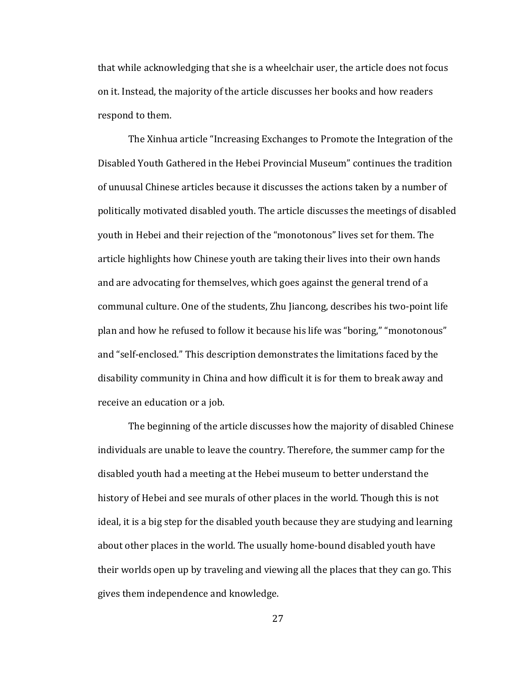that while acknowledging that she is a wheelchair user, the article does not focus on it. Instead, the majority of the article discusses her books and how readers respond to them.

The Xinhua article "Increasing Exchanges to Promote the Integration of the Disabled Youth Gathered in the Hebei Provincial Museum" continues the tradition of unuusal Chinese articles because it discusses the actions taken by a number of politically motivated disabled youth. The article discusses the meetings of disabled youth in Hebei and their rejection of the "monotonous" lives set for them. The article highlights how Chinese youth are taking their lives into their own hands and are advocating for themselves, which goes against the general trend of a communal culture. One of the students, Zhu Jiancong, describes his two-point life plan and how he refused to follow it because his life was "boring," "monotonous" and "self-enclosed." This description demonstrates the limitations faced by the disability community in China and how difficult it is for them to break away and receive an education or a job.

The beginning of the article discusses how the majority of disabled Chinese individuals are unable to leave the country. Therefore, the summer camp for the disabled youth had a meeting at the Hebei museum to better understand the history of Hebei and see murals of other places in the world. Though this is not ideal, it is a big step for the disabled youth because they are studying and learning about other places in the world. The usually home-bound disabled youth have their worlds open up by traveling and viewing all the places that they can go. This gives them independence and knowledge.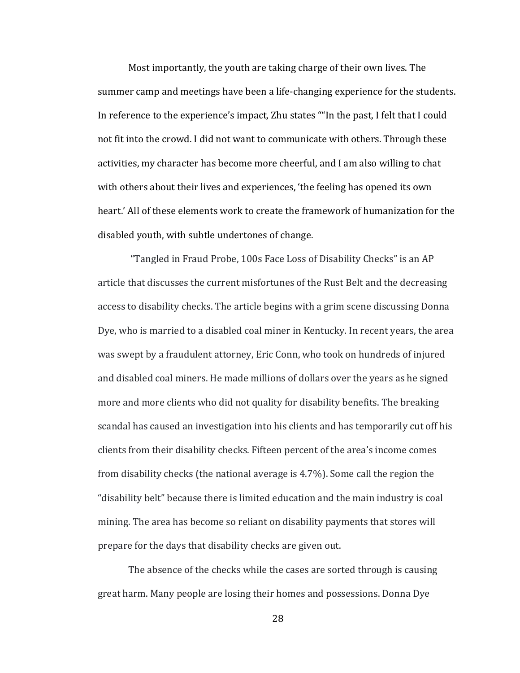Most importantly, the youth are taking charge of their own lives. The summer camp and meetings have been a life-changing experience for the students. In reference to the experience's impact, Zhu states ""In the past, I felt that I could not fit into the crowd. I did not want to communicate with others. Through these activities, my character has become more cheerful, and I am also willing to chat with others about their lives and experiences, 'the feeling has opened its own heart.' All of these elements work to create the framework of humanization for the disabled youth, with subtle undertones of change.

"Tangled in Fraud Probe, 100s Face Loss of Disability Checks" is an AP article that discusses the current misfortunes of the Rust Belt and the decreasing access to disability checks. The article begins with a grim scene discussing Donna Dye, who is married to a disabled coal miner in Kentucky. In recent years, the area was swept by a fraudulent attorney, Eric Conn, who took on hundreds of injured and disabled coal miners. He made millions of dollars over the years as he signed more and more clients who did not quality for disability benefits. The breaking scandal has caused an investigation into his clients and has temporarily cut off his clients from their disability checks. Fifteen percent of the area's income comes from disability checks (the national average is 4.7%). Some call the region the "disability belt" because there is limited education and the main industry is coal mining. The area has become so reliant on disability payments that stores will prepare for the days that disability checks are given out.

The absence of the checks while the cases are sorted through is causing great harm. Many people are losing their homes and possessions. Donna Dye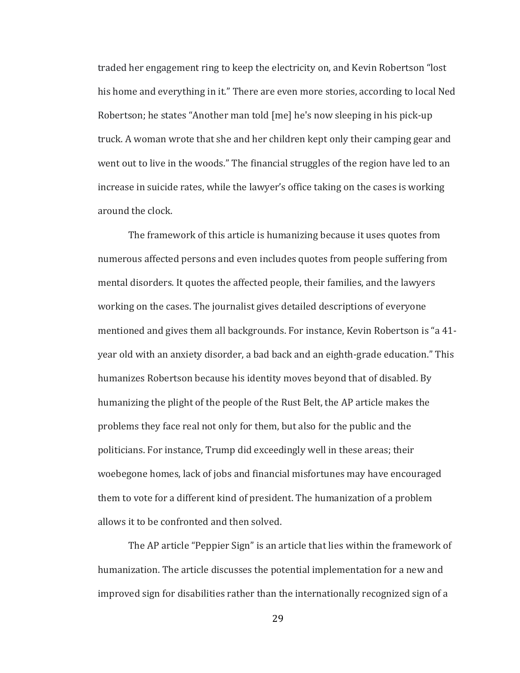traded her engagement ring to keep the electricity on, and Kevin Robertson "lost his home and everything in it." There are even more stories, according to local Ned Robertson; he states "Another man told [me] he's now sleeping in his pick-up truck. A woman wrote that she and her children kept only their camping gear and went out to live in the woods." The financial struggles of the region have led to an increase in suicide rates, while the lawyer's office taking on the cases is working around the clock.

The framework of this article is humanizing because it uses quotes from numerous affected persons and even includes quotes from people suffering from mental disorders. It quotes the affected people, their families, and the lawyers working on the cases. The journalist gives detailed descriptions of everyone mentioned and gives them all backgrounds. For instance, Kevin Robertson is "a 41 year old with an anxiety disorder, a bad back and an eighth-grade education." This humanizes Robertson because his identity moves beyond that of disabled. By humanizing the plight of the people of the Rust Belt, the AP article makes the problems they face real not only for them, but also for the public and the politicians. For instance, Trump did exceedingly well in these areas; their woebegone homes, lack of jobs and financial misfortunes may have encouraged them to vote for a different kind of president. The humanization of a problem allows it to be confronted and then solved.

The AP article "Peppier Sign" is an article that lies within the framework of humanization. The article discusses the potential implementation for a new and improved sign for disabilities rather than the internationally recognized sign of a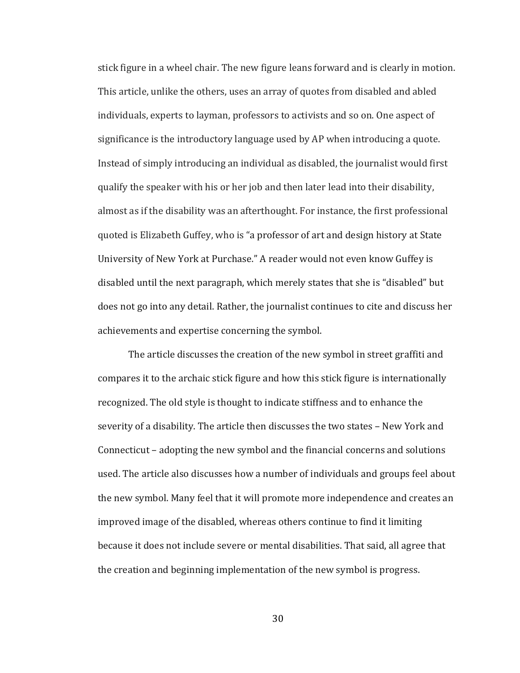stick figure in a wheel chair. The new figure leans forward and is clearly in motion. This article, unlike the others, uses an array of quotes from disabled and abled individuals, experts to layman, professors to activists and so on. One aspect of significance is the introductory language used by AP when introducing a quote. Instead of simply introducing an individual as disabled, the journalist would first qualify the speaker with his or her job and then later lead into their disability, almost as if the disability was an afterthought. For instance, the first professional quoted is Elizabeth Guffey, who is "a professor of art and design history at State University of New York at Purchase." A reader would not even know Guffey is disabled until the next paragraph, which merely states that she is "disabled" but does not go into any detail. Rather, the journalist continues to cite and discuss her achievements and expertise concerning the symbol.

The article discusses the creation of the new symbol in street graffiti and compares it to the archaic stick figure and how this stick figure is internationally recognized. The old style is thought to indicate stiffness and to enhance the severity of a disability. The article then discusses the two states – New York and Connecticut – adopting the new symbol and the financial concerns and solutions used. The article also discusses how a number of individuals and groups feel about the new symbol. Many feel that it will promote more independence and creates an improved image of the disabled, whereas others continue to find it limiting because it does not include severe or mental disabilities. That said, all agree that the creation and beginning implementation of the new symbol is progress.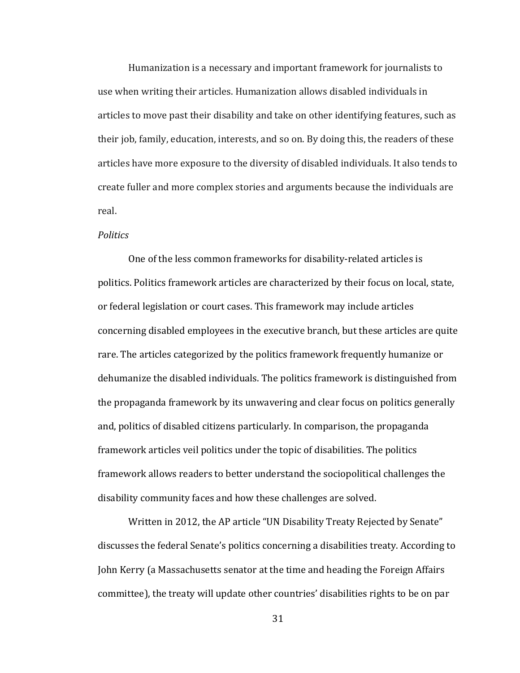Humanization is a necessary and important framework for journalists to use when writing their articles. Humanization allows disabled individuals in articles to move past their disability and take on other identifying features, such as their job, family, education, interests, and so on. By doing this, the readers of these articles have more exposure to the diversity of disabled individuals. It also tends to create fuller and more complex stories and arguments because the individuals are real.

# *Politics*

One of the less common frameworks for disability-related articles is politics. Politics framework articles are characterized by their focus on local, state, or federal legislation or court cases. This framework may include articles concerning disabled employees in the executive branch, but these articles are quite rare. The articles categorized by the politics framework frequently humanize or dehumanize the disabled individuals. The politics framework is distinguished from the propaganda framework by its unwavering and clear focus on politics generally and, politics of disabled citizens particularly. In comparison, the propaganda framework articles veil politics under the topic of disabilities. The politics framework allows readers to better understand the sociopolitical challenges the disability community faces and how these challenges are solved.

Written in 2012, the AP article "UN Disability Treaty Rejected by Senate" discusses the federal Senate's politics concerning a disabilities treaty. According to John Kerry (a Massachusetts senator at the time and heading the Foreign Affairs committee), the treaty will update other countries' disabilities rights to be on par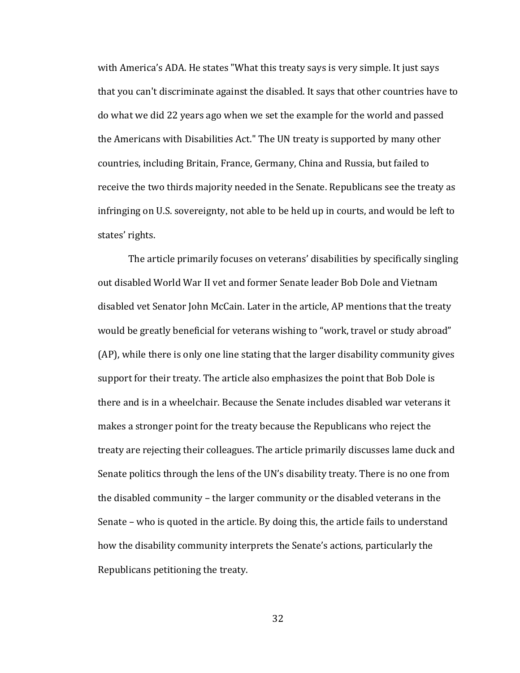with America's ADA. He states "What this treaty says is very simple. It just says that you can't discriminate against the disabled. It says that other countries have to do what we did 22 years ago when we set the example for the world and passed the Americans with Disabilities Act." The UN treaty is supported by many other countries, including Britain, France, Germany, China and Russia, but failed to receive the two thirds majority needed in the Senate. Republicans see the treaty as infringing on U.S. sovereignty, not able to be held up in courts, and would be left to states' rights.

The article primarily focuses on veterans' disabilities by specifically singling out disabled World War II vet and former Senate leader Bob Dole and Vietnam disabled vet Senator John McCain. Later in the article, AP mentions that the treaty would be greatly beneficial for veterans wishing to "work, travel or study abroad" (AP), while there is only one line stating that the larger disability community gives support for their treaty. The article also emphasizes the point that Bob Dole is there and is in a wheelchair. Because the Senate includes disabled war veterans it makes a stronger point for the treaty because the Republicans who reject the treaty are rejecting their colleagues. The article primarily discusses lame duck and Senate politics through the lens of the UN's disability treaty. There is no one from the disabled community – the larger community or the disabled veterans in the Senate – who is quoted in the article. By doing this, the article fails to understand how the disability community interprets the Senate's actions, particularly the Republicans petitioning the treaty.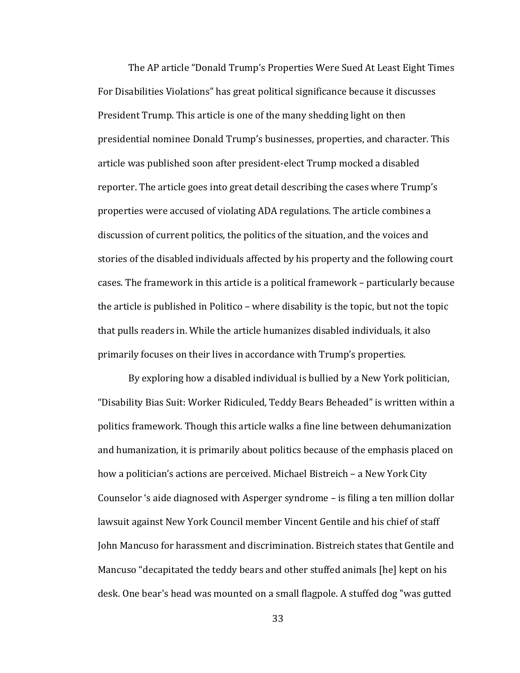The AP article "Donald Trump's Properties Were Sued At Least Eight Times For Disabilities Violations" has great political significance because it discusses President Trump. This article is one of the many shedding light on then presidential nominee Donald Trump's businesses, properties, and character. This article was published soon after president-elect Trump mocked a disabled reporter. The article goes into great detail describing the cases where Trump's properties were accused of violating ADA regulations. The article combines a discussion of current politics, the politics of the situation, and the voices and stories of the disabled individuals affected by his property and the following court cases. The framework in this article is a political framework – particularly because the article is published in Politico – where disability is the topic, but not the topic that pulls readers in. While the article humanizes disabled individuals, it also primarily focuses on their lives in accordance with Trump's properties.

By exploring how a disabled individual is bullied by a New York politician, "Disability Bias Suit: Worker Ridiculed, Teddy Bears Beheaded" is written within a politics framework. Though this article walks a fine line between dehumanization and humanization, it is primarily about politics because of the emphasis placed on how a politician's actions are perceived. Michael Bistreich – a New York City Counselor 's aide diagnosed with Asperger syndrome – is filing a ten million dollar lawsuit against New York Council member Vincent Gentile and his chief of staff John Mancuso for harassment and discrimination. Bistreich states that Gentile and Mancuso "decapitated the teddy bears and other stuffed animals [he] kept on his desk. One bear's head was mounted on a small flagpole. A stuffed dog "was gutted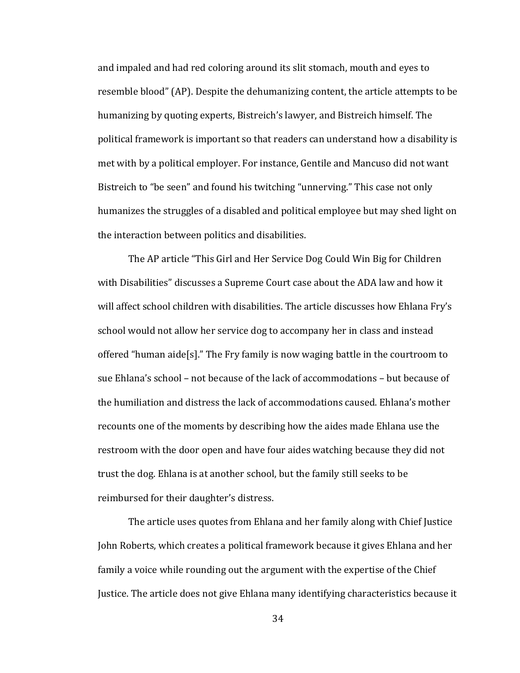and impaled and had red coloring around its slit stomach, mouth and eyes to resemble blood" (AP). Despite the dehumanizing content, the article attempts to be humanizing by quoting experts, Bistreich's lawyer, and Bistreich himself. The political framework is important so that readers can understand how a disability is met with by a political employer. For instance, Gentile and Mancuso did not want Bistreich to "be seen" and found his twitching "unnerving." This case not only humanizes the struggles of a disabled and political employee but may shed light on the interaction between politics and disabilities.

The AP article "This Girl and Her Service Dog Could Win Big for Children with Disabilities" discusses a Supreme Court case about the ADA law and how it will affect school children with disabilities. The article discusses how Ehlana Fry's school would not allow her service dog to accompany her in class and instead offered "human aide[s]." The Fry family is now waging battle in the courtroom to sue Ehlana's school – not because of the lack of accommodations – but because of the humiliation and distress the lack of accommodations caused. Ehlana's mother recounts one of the moments by describing how the aides made Ehlana use the restroom with the door open and have four aides watching because they did not trust the dog. Ehlana is at another school, but the family still seeks to be reimbursed for their daughter's distress.

The article uses quotes from Ehlana and her family along with Chief Justice John Roberts, which creates a political framework because it gives Ehlana and her family a voice while rounding out the argument with the expertise of the Chief Justice. The article does not give Ehlana many identifying characteristics because it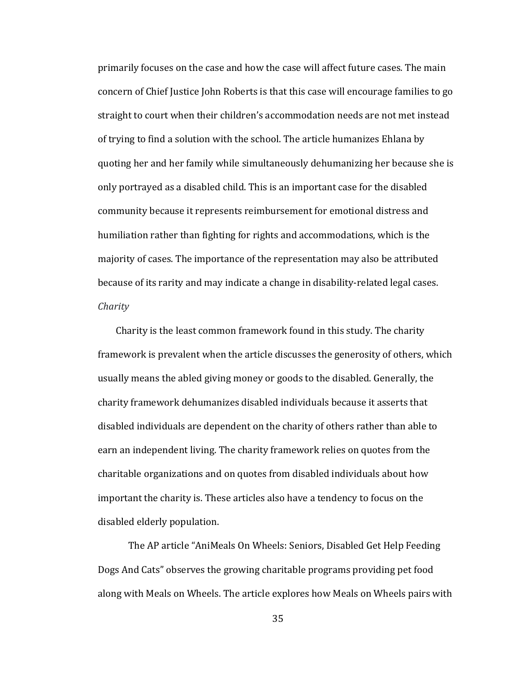primarily focuses on the case and how the case will affect future cases. The main concern of Chief Justice John Roberts is that this case will encourage families to go straight to court when their children's accommodation needs are not met instead of trying to find a solution with the school. The article humanizes Ehlana by quoting her and her family while simultaneously dehumanizing her because she is only portrayed as a disabled child. This is an important case for the disabled community because it represents reimbursement for emotional distress and humiliation rather than fighting for rights and accommodations, which is the majority of cases. The importance of the representation may also be attributed because of its rarity and may indicate a change in disability-related legal cases. *Charity*

Charity is the least common framework found in this study. The charity framework is prevalent when the article discusses the generosity of others, which usually means the abled giving money or goods to the disabled. Generally, the charity framework dehumanizes disabled individuals because it asserts that disabled individuals are dependent on the charity of others rather than able to earn an independent living. The charity framework relies on quotes from the charitable organizations and on quotes from disabled individuals about how important the charity is. These articles also have a tendency to focus on the disabled elderly population.

The AP article "AniMeals On Wheels: Seniors, Disabled Get Help Feeding Dogs And Cats" observes the growing charitable programs providing pet food along with Meals on Wheels. The article explores how Meals on Wheels pairs with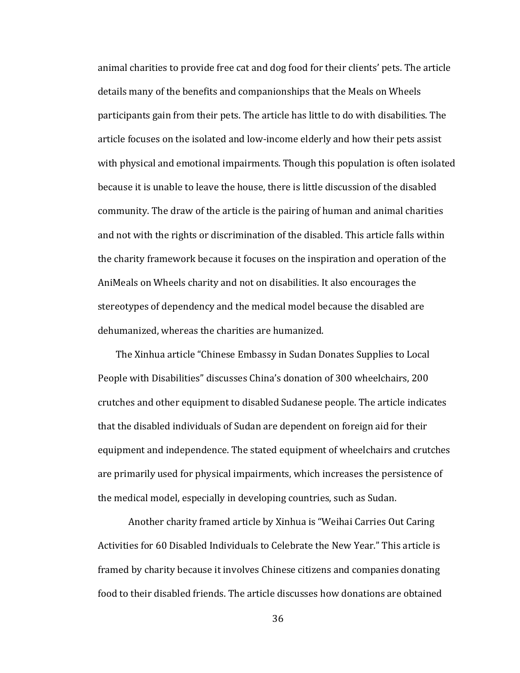animal charities to provide free cat and dog food for their clients' pets. The article details many of the benefits and companionships that the Meals on Wheels participants gain from their pets. The article has little to do with disabilities. The article focuses on the isolated and low-income elderly and how their pets assist with physical and emotional impairments. Though this population is often isolated because it is unable to leave the house, there is little discussion of the disabled community. The draw of the article is the pairing of human and animal charities and not with the rights or discrimination of the disabled. This article falls within the charity framework because it focuses on the inspiration and operation of the AniMeals on Wheels charity and not on disabilities. It also encourages the stereotypes of dependency and the medical model because the disabled are dehumanized, whereas the charities are humanized.

The Xinhua article "Chinese Embassy in Sudan Donates Supplies to Local People with Disabilities" discusses China's donation of 300 wheelchairs, 200 crutches and other equipment to disabled Sudanese people. The article indicates that the disabled individuals of Sudan are dependent on foreign aid for their equipment and independence. The stated equipment of wheelchairs and crutches are primarily used for physical impairments, which increases the persistence of the medical model, especially in developing countries, such as Sudan.

Another charity framed article by Xinhua is "Weihai Carries Out Caring Activities for 60 Disabled Individuals to Celebrate the New Year." This article is framed by charity because it involves Chinese citizens and companies donating food to their disabled friends. The article discusses how donations are obtained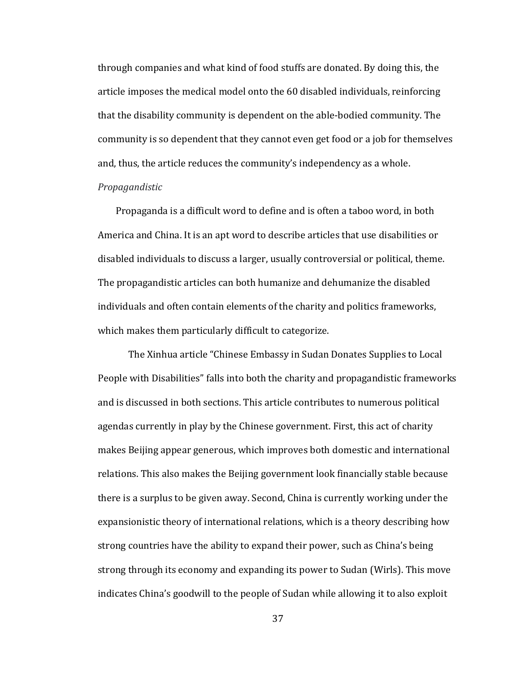through companies and what kind of food stuffs are donated. By doing this, the article imposes the medical model onto the 60 disabled individuals, reinforcing that the disability community is dependent on the able-bodied community. The community is so dependent that they cannot even get food or a job for themselves and, thus, the article reduces the community's independency as a whole. *Propagandistic*

Propaganda is a difficult word to define and is often a taboo word, in both America and China. It is an apt word to describe articles that use disabilities or disabled individuals to discuss a larger, usually controversial or political, theme. The propagandistic articles can both humanize and dehumanize the disabled individuals and often contain elements of the charity and politics frameworks, which makes them particularly difficult to categorize.

The Xinhua article "Chinese Embassy in Sudan Donates Supplies to Local People with Disabilities" falls into both the charity and propagandistic frameworks and is discussed in both sections. This article contributes to numerous political agendas currently in play by the Chinese government. First, this act of charity makes Beijing appear generous, which improves both domestic and international relations. This also makes the Beijing government look financially stable because there is a surplus to be given away. Second, China is currently working under the expansionistic theory of international relations, which is a theory describing how strong countries have the ability to expand their power, such as China's being strong through its economy and expanding its power to Sudan (Wirls). This move indicates China's goodwill to the people of Sudan while allowing it to also exploit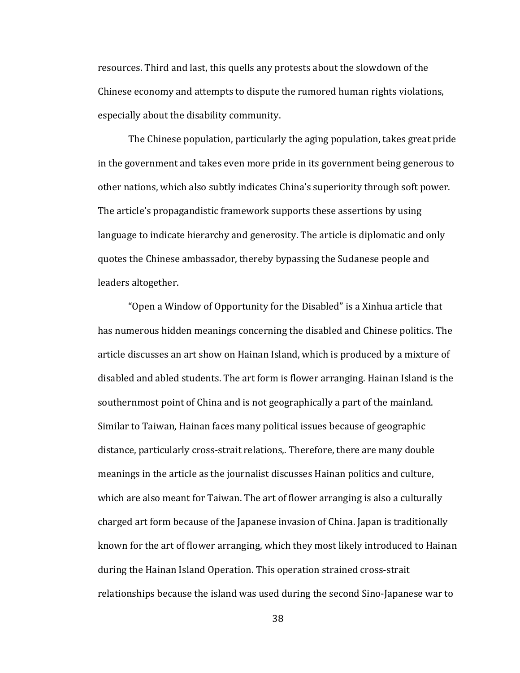resources. Third and last, this quells any protests about the slowdown of the Chinese economy and attempts to dispute the rumored human rights violations, especially about the disability community.

The Chinese population, particularly the aging population, takes great pride in the government and takes even more pride in its government being generous to other nations, which also subtly indicates China's superiority through soft power. The article's propagandistic framework supports these assertions by using language to indicate hierarchy and generosity. The article is diplomatic and only quotes the Chinese ambassador, thereby bypassing the Sudanese people and leaders altogether.

"Open a Window of Opportunity for the Disabled" is a Xinhua article that has numerous hidden meanings concerning the disabled and Chinese politics. The article discusses an art show on Hainan Island, which is produced by a mixture of disabled and abled students. The art form is flower arranging. Hainan Island is the southernmost point of China and is not geographically a part of the mainland. Similar to Taiwan, Hainan faces many political issues because of geographic distance, particularly cross-strait relations,. Therefore, there are many double meanings in the article as the journalist discusses Hainan politics and culture, which are also meant for Taiwan. The art of flower arranging is also a culturally charged art form because of the Japanese invasion of China. Japan is traditionally known for the art of flower arranging, which they most likely introduced to Hainan during the Hainan Island Operation. This operation strained cross-strait relationships because the island was used during the second Sino-Japanese war to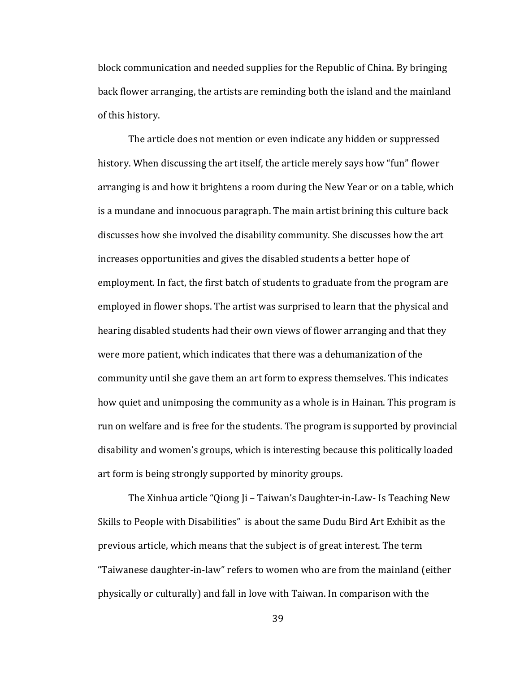block communication and needed supplies for the Republic of China. By bringing back flower arranging, the artists are reminding both the island and the mainland of this history.

The article does not mention or even indicate any hidden or suppressed history. When discussing the art itself, the article merely says how "fun" flower arranging is and how it brightens a room during the New Year or on a table, which is a mundane and innocuous paragraph. The main artist brining this culture back discusses how she involved the disability community. She discusses how the art increases opportunities and gives the disabled students a better hope of employment. In fact, the first batch of students to graduate from the program are employed in flower shops. The artist was surprised to learn that the physical and hearing disabled students had their own views of flower arranging and that they were more patient, which indicates that there was a dehumanization of the community until she gave them an art form to express themselves. This indicates how quiet and unimposing the community as a whole is in Hainan. This program is run on welfare and is free for the students. The program is supported by provincial disability and women's groups, which is interesting because this politically loaded art form is being strongly supported by minority groups.

The Xinhua article "Qiong Ji – Taiwan's Daughter-in-Law- Is Teaching New Skills to People with Disabilities" is about the same Dudu Bird Art Exhibit as the previous article, which means that the subject is of great interest. The term "Taiwanese daughter-in-law" refers to women who are from the mainland (either physically or culturally) and fall in love with Taiwan. In comparison with the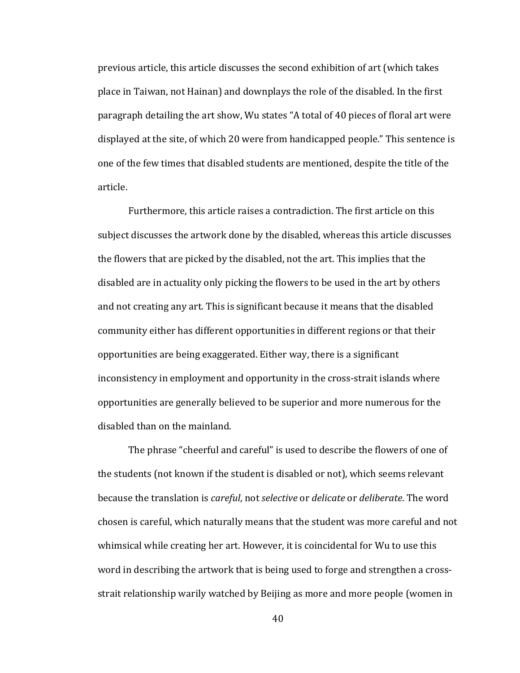previous article, this article discusses the second exhibition of art (which takes place in Taiwan, not Hainan) and downplays the role of the disabled. In the first paragraph detailing the art show, Wu states "A total of 40 pieces of floral art were displayed at the site, of which 20 were from handicapped people." This sentence is one of the few times that disabled students are mentioned, despite the title of the article.

Furthermore, this article raises a contradiction. The first article on this subject discusses the artwork done by the disabled, whereas this article discusses the flowers that are picked by the disabled, not the art. This implies that the disabled are in actuality only picking the flowers to be used in the art by others and not creating any art. This is significant because it means that the disabled community either has different opportunities in different regions or that their opportunities are being exaggerated. Either way, there is a significant inconsistency in employment and opportunity in the cross-strait islands where opportunities are generally believed to be superior and more numerous for the disabled than on the mainland.

The phrase "cheerful and careful" is used to describe the flowers of one of the students (not known if the student is disabled or not), which seems relevant because the translation is *careful*, not *selective* or *delicate* or *deliberate*. The word chosen is careful, which naturally means that the student was more careful and not whimsical while creating her art. However, it is coincidental for Wu to use this word in describing the artwork that is being used to forge and strengthen a crossstrait relationship warily watched by Beijing as more and more people (women in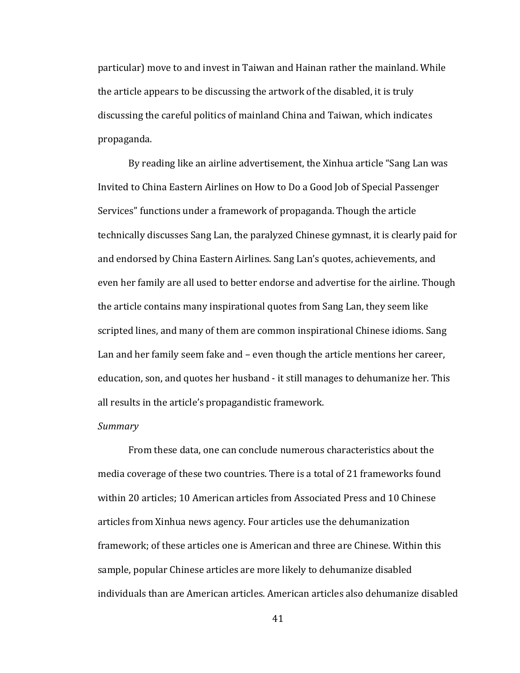particular) move to and invest in Taiwan and Hainan rather the mainland. While the article appears to be discussing the artwork of the disabled, it is truly discussing the careful politics of mainland China and Taiwan, which indicates propaganda.

By reading like an airline advertisement, the Xinhua article "Sang Lan was Invited to China Eastern Airlines on How to Do a Good Job of Special Passenger Services" functions under a framework of propaganda. Though the article technically discusses Sang Lan, the paralyzed Chinese gymnast, it is clearly paid for and endorsed by China Eastern Airlines. Sang Lan's quotes, achievements, and even her family are all used to better endorse and advertise for the airline. Though the article contains many inspirational quotes from Sang Lan, they seem like scripted lines, and many of them are common inspirational Chinese idioms. Sang Lan and her family seem fake and – even though the article mentions her career, education, son, and quotes her husband - it still manages to dehumanize her. This all results in the article's propagandistic framework.

#### *Summary*

From these data, one can conclude numerous characteristics about the media coverage of these two countries. There is a total of 21 frameworks found within 20 articles; 10 American articles from Associated Press and 10 Chinese articles from Xinhua news agency. Four articles use the dehumanization framework; of these articles one is American and three are Chinese. Within this sample, popular Chinese articles are more likely to dehumanize disabled individuals than are American articles. American articles also dehumanize disabled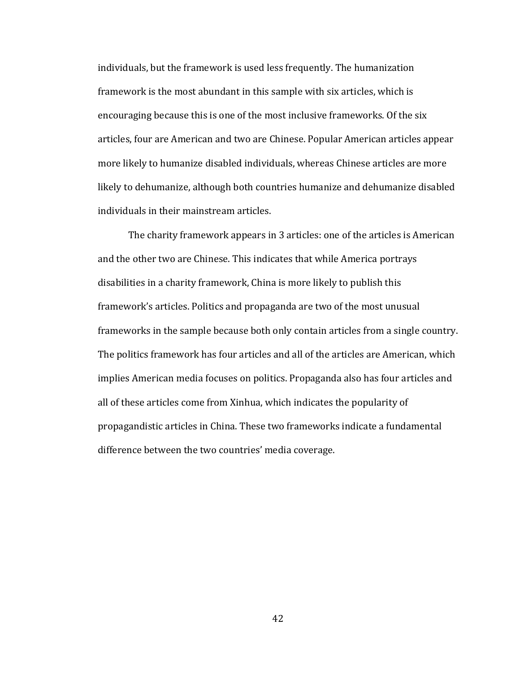individuals, but the framework is used less frequently. The humanization framework is the most abundant in this sample with six articles, which is encouraging because this is one of the most inclusive frameworks. Of the six articles, four are American and two are Chinese. Popular American articles appear more likely to humanize disabled individuals, whereas Chinese articles are more likely to dehumanize, although both countries humanize and dehumanize disabled individuals in their mainstream articles.

The charity framework appears in 3 articles: one of the articles is American and the other two are Chinese. This indicates that while America portrays disabilities in a charity framework, China is more likely to publish this framework's articles. Politics and propaganda are two of the most unusual frameworks in the sample because both only contain articles from a single country. The politics framework has four articles and all of the articles are American, which implies American media focuses on politics. Propaganda also has four articles and all of these articles come from Xinhua, which indicates the popularity of propagandistic articles in China. These two frameworks indicate a fundamental difference between the two countries' media coverage.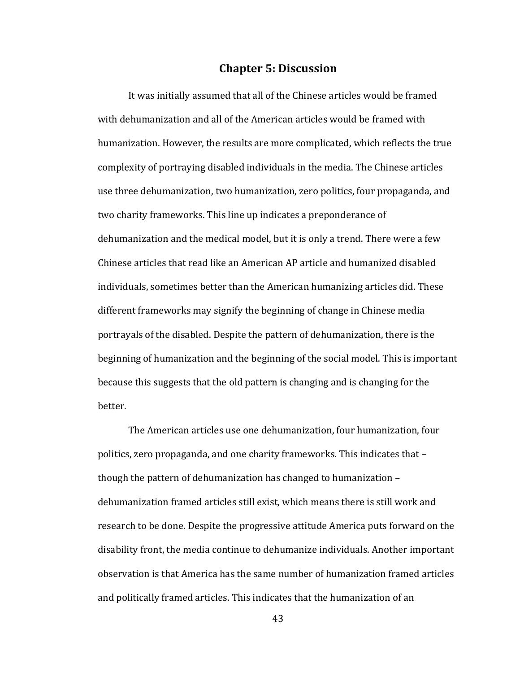## **Chapter 5: Discussion**

It was initially assumed that all of the Chinese articles would be framed with dehumanization and all of the American articles would be framed with humanization. However, the results are more complicated, which reflects the true complexity of portraying disabled individuals in the media. The Chinese articles use three dehumanization, two humanization, zero politics, four propaganda, and two charity frameworks. This line up indicates a preponderance of dehumanization and the medical model, but it is only a trend. There were a few Chinese articles that read like an American AP article and humanized disabled individuals, sometimes better than the American humanizing articles did. These different frameworks may signify the beginning of change in Chinese media portrayals of the disabled. Despite the pattern of dehumanization, there is the beginning of humanization and the beginning of the social model. This is important because this suggests that the old pattern is changing and is changing for the better.

The American articles use one dehumanization, four humanization, four politics, zero propaganda, and one charity frameworks. This indicates that – though the pattern of dehumanization has changed to humanization – dehumanization framed articles still exist, which means there is still work and research to be done. Despite the progressive attitude America puts forward on the disability front, the media continue to dehumanize individuals. Another important observation is that America has the same number of humanization framed articles and politically framed articles. This indicates that the humanization of an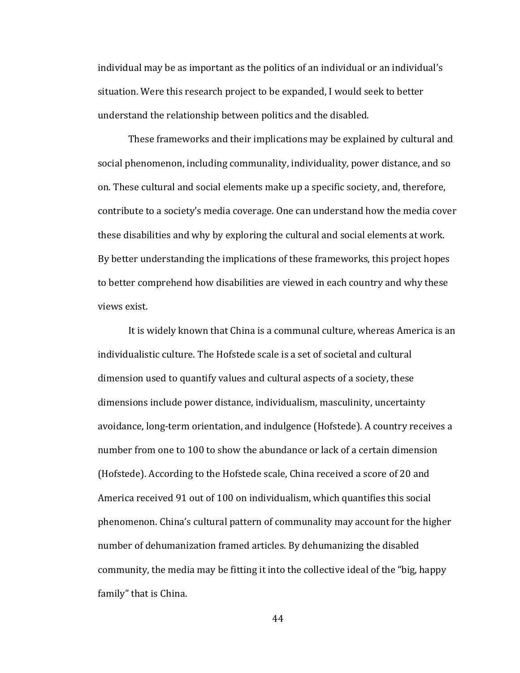individual may be as important as the politics of an individual or an individual's situation. Were this research project to be expanded, I would seek to better understand the relationship between politics and the disabled.

These frameworks and their implications may be explained by cultural and social phenomenon, including communality, individuality, power distance, and so on. These cultural and social elements make up a specific society, and, therefore, contribute to a society's media coverage. One can understand how the media cover these disabilities and why by exploring the cultural and social elements at work. By better understanding the implications of these frameworks, this project hopes to better comprehend how disabilities are viewed in each country and why these views exist.

It is widely known that China is a communal culture, whereas America is an individualistic culture. The Hofstede scale is a set of societal and cultural dimension used to quantify values and cultural aspects of a society, these dimensions include power distance, individualism, masculinity, uncertainty avoidance, long-term orientation, and indulgence (Hofstede). A country receives a number from one to 100 to show the abundance or lack of a certain dimension (Hofstede). According to the Hofstede scale, China received a score of 20 and America received 91 out of 100 on individualism, which quantifies this social phenomenon. China's cultural pattern of communality may account for the higher number of dehumanization framed articles. By dehumanizing the disabled community, the media may be fitting it into the collective ideal of the "big, happy family" that is China.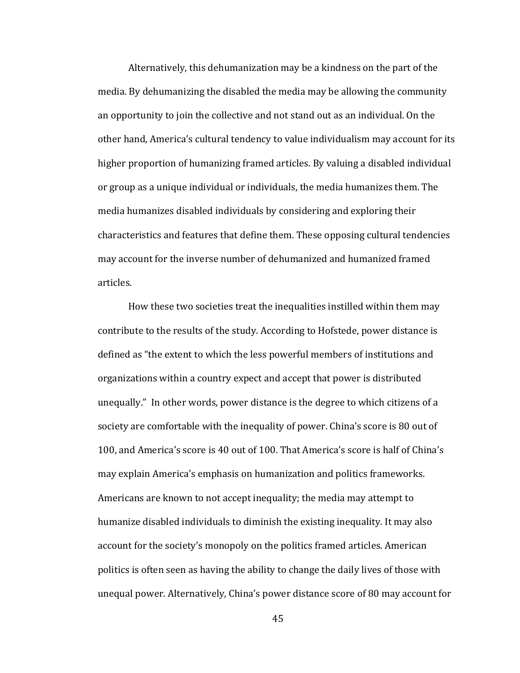Alternatively, this dehumanization may be a kindness on the part of the media. By dehumanizing the disabled the media may be allowing the community an opportunity to join the collective and not stand out as an individual. On the other hand, America's cultural tendency to value individualism may account for its higher proportion of humanizing framed articles. By valuing a disabled individual or group as a unique individual or individuals, the media humanizes them. The media humanizes disabled individuals by considering and exploring their characteristics and features that define them. These opposing cultural tendencies may account for the inverse number of dehumanized and humanized framed articles.

How these two societies treat the inequalities instilled within them may contribute to the results of the study. According to Hofstede, power distance is defined as "the extent to which the less powerful members of institutions and organizations within a country expect and accept that power is distributed unequally." In other words, power distance is the degree to which citizens of a society are comfortable with the inequality of power. China's score is 80 out of 100, and America's score is 40 out of 100. That America's score is half of China's may explain America's emphasis on humanization and politics frameworks. Americans are known to not accept inequality; the media may attempt to humanize disabled individuals to diminish the existing inequality. It may also account for the society's monopoly on the politics framed articles. American politics is often seen as having the ability to change the daily lives of those with unequal power. Alternatively, China's power distance score of 80 may account for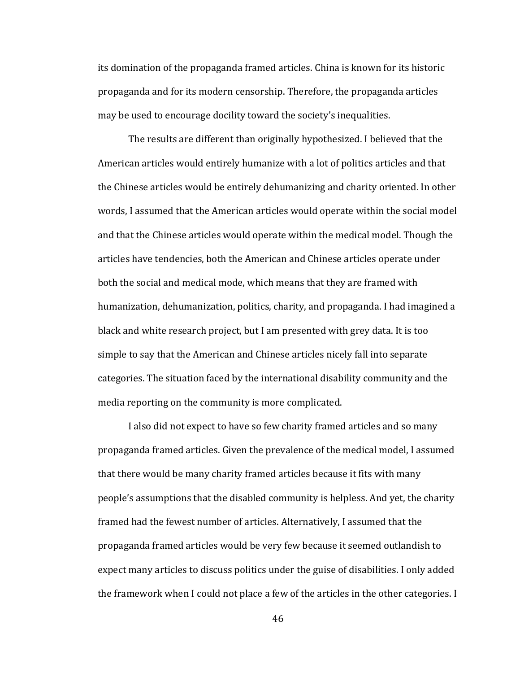its domination of the propaganda framed articles. China is known for its historic propaganda and for its modern censorship. Therefore, the propaganda articles may be used to encourage docility toward the society's inequalities.

The results are different than originally hypothesized. I believed that the American articles would entirely humanize with a lot of politics articles and that the Chinese articles would be entirely dehumanizing and charity oriented. In other words, I assumed that the American articles would operate within the social model and that the Chinese articles would operate within the medical model. Though the articles have tendencies, both the American and Chinese articles operate under both the social and medical mode, which means that they are framed with humanization, dehumanization, politics, charity, and propaganda. I had imagined a black and white research project, but I am presented with grey data. It is too simple to say that the American and Chinese articles nicely fall into separate categories. The situation faced by the international disability community and the media reporting on the community is more complicated.

I also did not expect to have so few charity framed articles and so many propaganda framed articles. Given the prevalence of the medical model, I assumed that there would be many charity framed articles because it fits with many people's assumptions that the disabled community is helpless. And yet, the charity framed had the fewest number of articles. Alternatively, I assumed that the propaganda framed articles would be very few because it seemed outlandish to expect many articles to discuss politics under the guise of disabilities. I only added the framework when I could not place a few of the articles in the other categories. I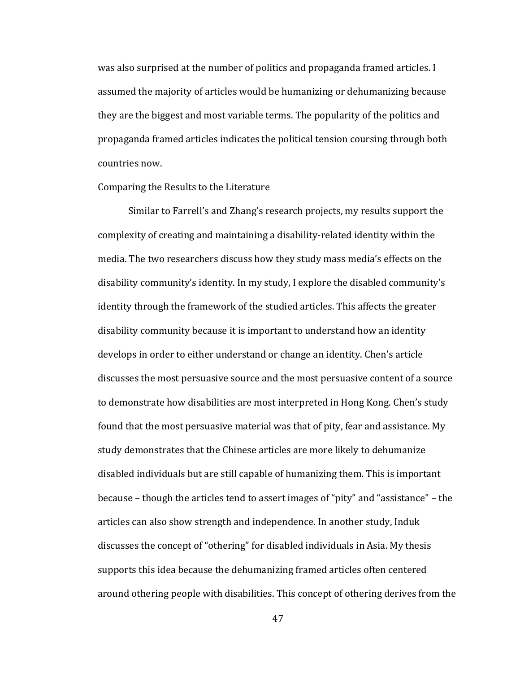was also surprised at the number of politics and propaganda framed articles. I assumed the majority of articles would be humanizing or dehumanizing because they are the biggest and most variable terms. The popularity of the politics and propaganda framed articles indicates the political tension coursing through both countries now.

## Comparing the Results to the Literature

Similar to Farrell's and Zhang's research projects, my results support the complexity of creating and maintaining a disability-related identity within the media. The two researchers discuss how they study mass media's effects on the disability community's identity. In my study, I explore the disabled community's identity through the framework of the studied articles. This affects the greater disability community because it is important to understand how an identity develops in order to either understand or change an identity. Chen's article discusses the most persuasive source and the most persuasive content of a source to demonstrate how disabilities are most interpreted in Hong Kong. Chen's study found that the most persuasive material was that of pity, fear and assistance. My study demonstrates that the Chinese articles are more likely to dehumanize disabled individuals but are still capable of humanizing them. This is important because – though the articles tend to assert images of "pity" and "assistance" – the articles can also show strength and independence. In another study, Induk discusses the concept of "othering" for disabled individuals in Asia. My thesis supports this idea because the dehumanizing framed articles often centered around othering people with disabilities. This concept of othering derives from the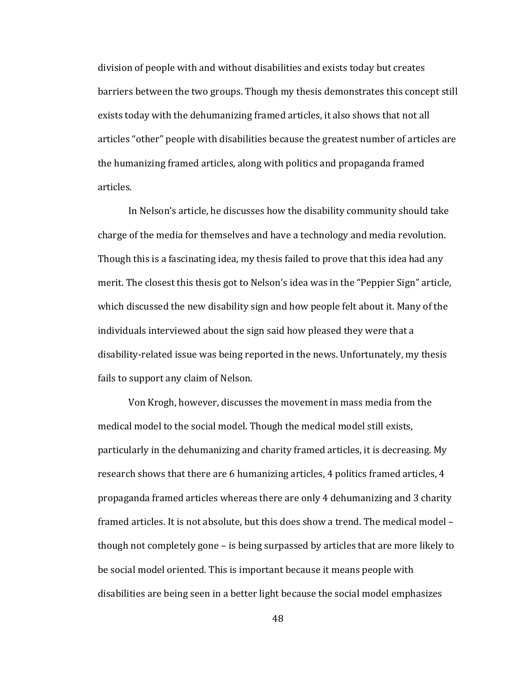division of people with and without disabilities and exists today but creates barriers between the two groups. Though my thesis demonstrates this concept still exists today with the dehumanizing framed articles, it also shows that not all articles "other" people with disabilities because the greatest number of articles are the humanizing framed articles, along with politics and propaganda framed articles.

In Nelson's article, he discusses how the disability community should take charge of the media for themselves and have a technology and media revolution. Though this is a fascinating idea, my thesis failed to prove that this idea had any merit. The closest this thesis got to Nelson's idea was in the "Peppier Sign" article, which discussed the new disability sign and how people felt about it. Many of the individuals interviewed about the sign said how pleased they were that a disability-related issue was being reported in the news. Unfortunately, my thesis fails to support any claim of Nelson.

Von Krogh, however, discusses the movement in mass media from the medical model to the social model. Though the medical model still exists, particularly in the dehumanizing and charity framed articles, it is decreasing. My research shows that there are 6 humanizing articles, 4 politics framed articles, 4 propaganda framed articles whereas there are only 4 dehumanizing and 3 charity framed articles. It is not absolute, but this does show a trend. The medical model – though not completely gone – is being surpassed by articles that are more likely to be social model oriented. This is important because it means people with disabilities are being seen in a better light because the social model emphasizes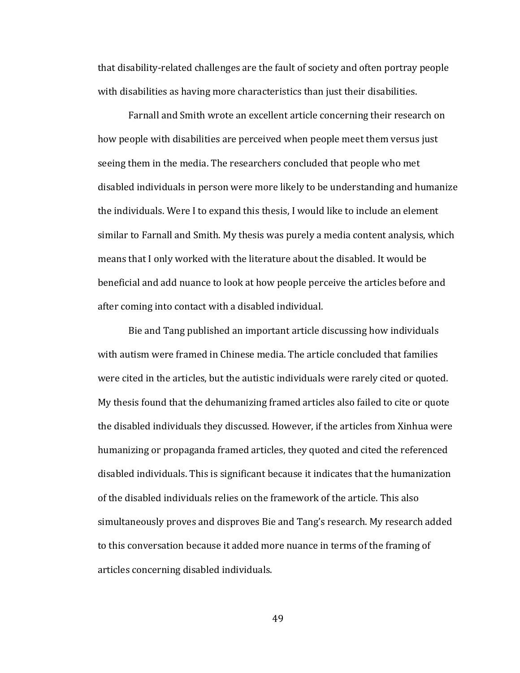that disability-related challenges are the fault of society and often portray people with disabilities as having more characteristics than just their disabilities.

Farnall and Smith wrote an excellent article concerning their research on how people with disabilities are perceived when people meet them versus just seeing them in the media. The researchers concluded that people who met disabled individuals in person were more likely to be understanding and humanize the individuals. Were I to expand this thesis, I would like to include an element similar to Farnall and Smith. My thesis was purely a media content analysis, which means that I only worked with the literature about the disabled. It would be beneficial and add nuance to look at how people perceive the articles before and after coming into contact with a disabled individual.

Bie and Tang published an important article discussing how individuals with autism were framed in Chinese media. The article concluded that families were cited in the articles, but the autistic individuals were rarely cited or quoted. My thesis found that the dehumanizing framed articles also failed to cite or quote the disabled individuals they discussed. However, if the articles from Xinhua were humanizing or propaganda framed articles, they quoted and cited the referenced disabled individuals. This is significant because it indicates that the humanization of the disabled individuals relies on the framework of the article. This also simultaneously proves and disproves Bie and Tang's research. My research added to this conversation because it added more nuance in terms of the framing of articles concerning disabled individuals.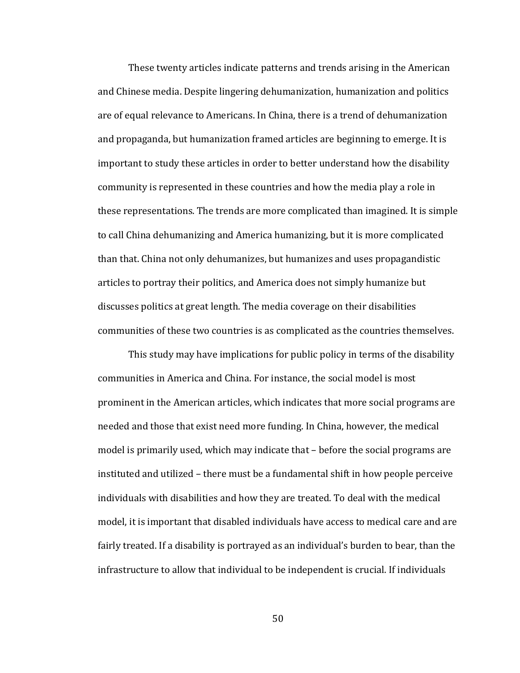These twenty articles indicate patterns and trends arising in the American and Chinese media. Despite lingering dehumanization, humanization and politics are of equal relevance to Americans. In China, there is a trend of dehumanization and propaganda, but humanization framed articles are beginning to emerge. It is important to study these articles in order to better understand how the disability community is represented in these countries and how the media play a role in these representations. The trends are more complicated than imagined. It is simple to call China dehumanizing and America humanizing, but it is more complicated than that. China not only dehumanizes, but humanizes and uses propagandistic articles to portray their politics, and America does not simply humanize but discusses politics at great length. The media coverage on their disabilities communities of these two countries is as complicated as the countries themselves.

This study may have implications for public policy in terms of the disability communities in America and China. For instance, the social model is most prominent in the American articles, which indicates that more social programs are needed and those that exist need more funding. In China, however, the medical model is primarily used, which may indicate that – before the social programs are instituted and utilized – there must be a fundamental shift in how people perceive individuals with disabilities and how they are treated. To deal with the medical model, it is important that disabled individuals have access to medical care and are fairly treated. If a disability is portrayed as an individual's burden to bear, than the infrastructure to allow that individual to be independent is crucial. If individuals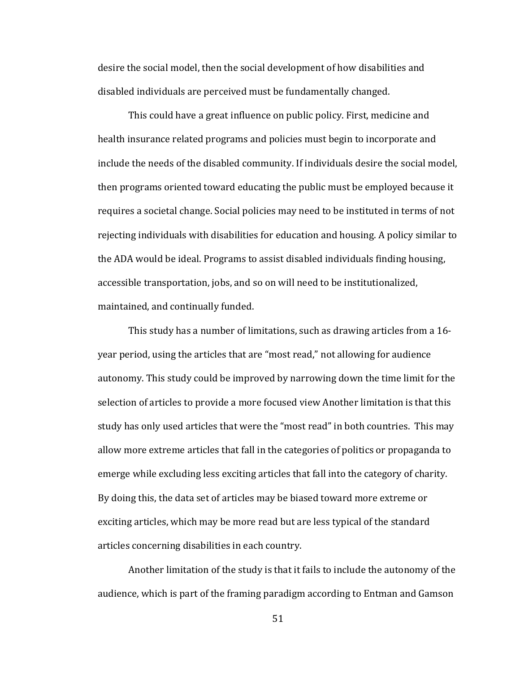desire the social model, then the social development of how disabilities and disabled individuals are perceived must be fundamentally changed.

This could have a great influence on public policy. First, medicine and health insurance related programs and policies must begin to incorporate and include the needs of the disabled community. If individuals desire the social model, then programs oriented toward educating the public must be employed because it requires a societal change. Social policies may need to be instituted in terms of not rejecting individuals with disabilities for education and housing. A policy similar to the ADA would be ideal. Programs to assist disabled individuals finding housing, accessible transportation, jobs, and so on will need to be institutionalized, maintained, and continually funded.

This study has a number of limitations, such as drawing articles from a 16 year period, using the articles that are "most read," not allowing for audience autonomy. This study could be improved by narrowing down the time limit for the selection of articles to provide a more focused view Another limitation is that this study has only used articles that were the "most read" in both countries. This may allow more extreme articles that fall in the categories of politics or propaganda to emerge while excluding less exciting articles that fall into the category of charity. By doing this, the data set of articles may be biased toward more extreme or exciting articles, which may be more read but are less typical of the standard articles concerning disabilities in each country.

Another limitation of the study is that it fails to include the autonomy of the audience, which is part of the framing paradigm according to Entman and Gamson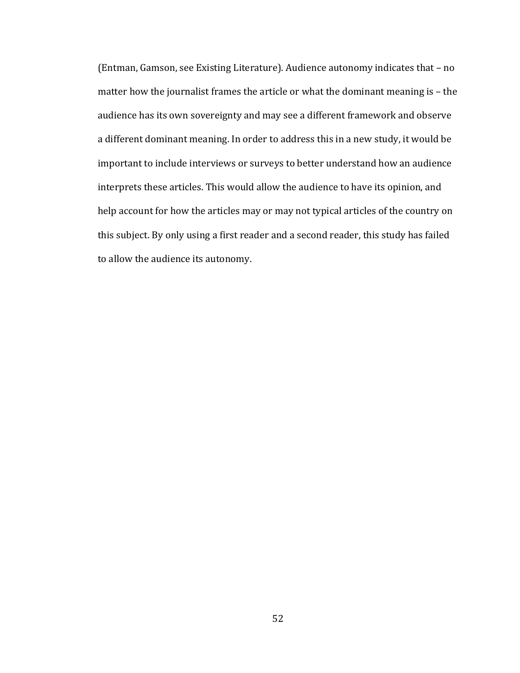(Entman, Gamson, see Existing Literature). Audience autonomy indicates that – no matter how the journalist frames the article or what the dominant meaning is – the audience has its own sovereignty and may see a different framework and observe a different dominant meaning. In order to address this in a new study, it would be important to include interviews or surveys to better understand how an audience interprets these articles. This would allow the audience to have its opinion, and help account for how the articles may or may not typical articles of the country on this subject. By only using a first reader and a second reader, this study has failed to allow the audience its autonomy.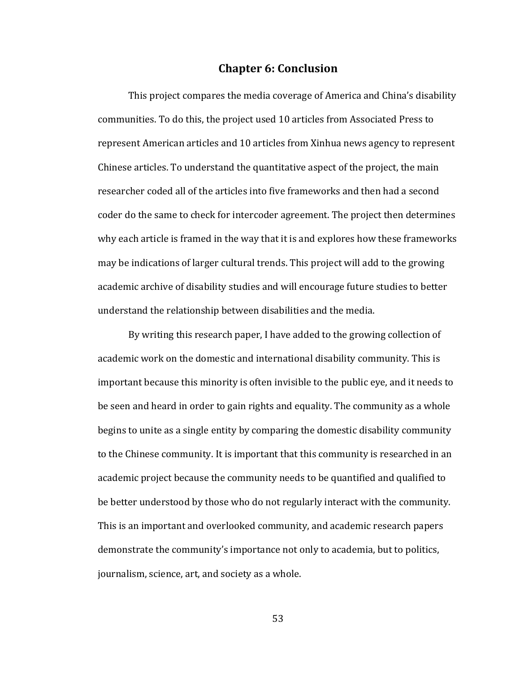## **Chapter 6: Conclusion**

This project compares the media coverage of America and China's disability communities. To do this, the project used 10 articles from Associated Press to represent American articles and 10 articles from Xinhua news agency to represent Chinese articles. To understand the quantitative aspect of the project, the main researcher coded all of the articles into five frameworks and then had a second coder do the same to check for intercoder agreement. The project then determines why each article is framed in the way that it is and explores how these frameworks may be indications of larger cultural trends. This project will add to the growing academic archive of disability studies and will encourage future studies to better understand the relationship between disabilities and the media.

By writing this research paper, I have added to the growing collection of academic work on the domestic and international disability community. This is important because this minority is often invisible to the public eye, and it needs to be seen and heard in order to gain rights and equality. The community as a whole begins to unite as a single entity by comparing the domestic disability community to the Chinese community. It is important that this community is researched in an academic project because the community needs to be quantified and qualified to be better understood by those who do not regularly interact with the community. This is an important and overlooked community, and academic research papers demonstrate the community's importance not only to academia, but to politics, journalism, science, art, and society as a whole.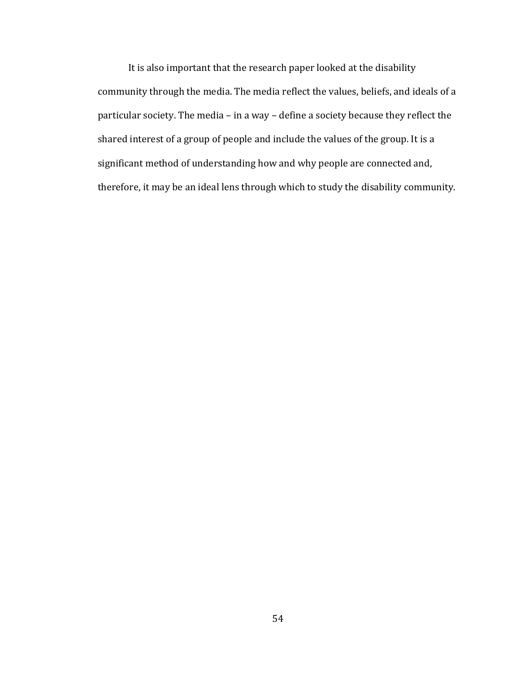It is also important that the research paper looked at the disability community through the media. The media reflect the values, beliefs, and ideals of a particular society. The media – in a way – define a society because they reflect the shared interest of a group of people and include the values of the group. It is a significant method of understanding how and why people are connected and, therefore, it may be an ideal lens through which to study the disability community.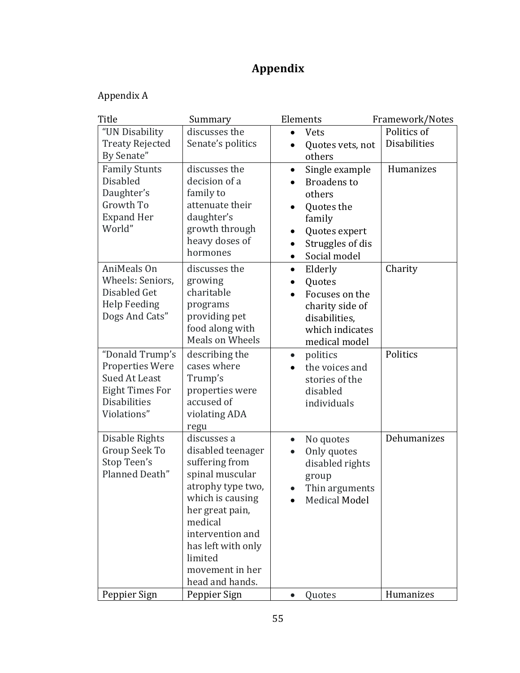# **Appendix**

## Appendix A

| Title                  | Summary            | Elements                  | Framework/Notes     |
|------------------------|--------------------|---------------------------|---------------------|
| "UN Disability         | discusses the      | <b>Vets</b>               | Politics of         |
| <b>Treaty Rejected</b> | Senate's politics  | Quotes vets, not          | <b>Disabilities</b> |
| By Senate"             |                    | others                    |                     |
| <b>Family Stunts</b>   | discusses the      | Single example            | Humanizes           |
| <b>Disabled</b>        | decision of a      | <b>Broadens</b> to        |                     |
| Daughter's             | family to          | others                    |                     |
| Growth To              | attenuate their    | Quotes the                |                     |
| <b>Expand Her</b>      | daughter's         | family                    |                     |
| World"                 | growth through     | Quotes expert             |                     |
|                        | heavy doses of     | Struggles of dis          |                     |
|                        | hormones           | Social model<br>$\bullet$ |                     |
| AniMeals On            | discusses the      | Elderly<br>$\bullet$      | Charity             |
| Wheels: Seniors,       | growing            | Quotes                    |                     |
| Disabled Get           | charitable         | Focuses on the            |                     |
| <b>Help Feeding</b>    | programs           | charity side of           |                     |
| Dogs And Cats"         | providing pet      | disabilities,             |                     |
|                        | food along with    | which indicates           |                     |
|                        | Meals on Wheels    | medical model             |                     |
| "Donald Trump's        | describing the     | politics<br>$\bullet$     | Politics            |
| <b>Properties Were</b> | cases where        | the voices and            |                     |
| <b>Sued At Least</b>   | Trump's            | stories of the            |                     |
| <b>Eight Times For</b> | properties were    | disabled                  |                     |
| <b>Disabilities</b>    | accused of         | individuals               |                     |
| Violations"            | violating ADA      |                           |                     |
|                        | regu               |                           |                     |
| Disable Rights         | discusses a        | No quotes<br>$\bullet$    | Dehumanizes         |
| Group Seek To          | disabled teenager  | Only quotes<br>$\bullet$  |                     |
| Stop Teen's            | suffering from     | disabled rights           |                     |
| Planned Death"         | spinal muscular    | group                     |                     |
|                        | atrophy type two,  | Thin arguments            |                     |
|                        | which is causing   | <b>Medical Model</b>      |                     |
|                        | her great pain,    |                           |                     |
|                        | medical            |                           |                     |
|                        | intervention and   |                           |                     |
|                        | has left with only |                           |                     |
|                        | limited            |                           |                     |
|                        | movement in her    |                           |                     |
|                        | head and hands.    |                           |                     |
| Peppier Sign           | Peppier Sign       | Quotes<br>$\bullet$       | Humanizes           |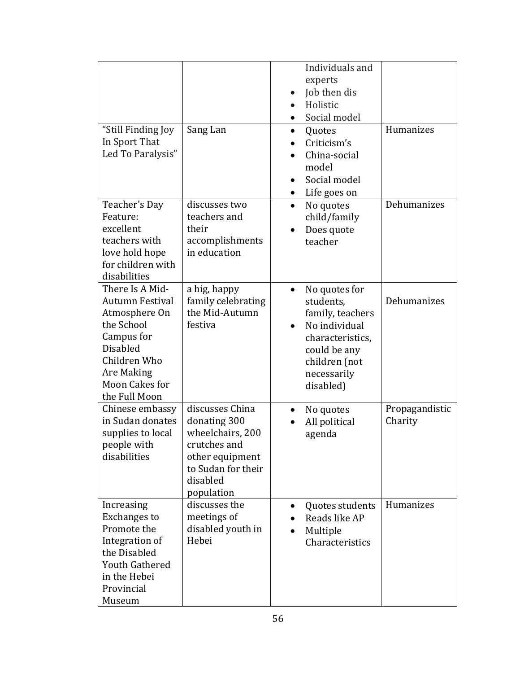| "Still Finding Joy<br>In Sport That<br>Led To Paralysis"                                                                                                                   | Sang Lan                                                                                                                               | Individuals and<br>experts<br>Job then dis<br>Holistic<br>Social model<br>Quotes<br>$\bullet$<br>Criticism's<br>China-social<br>model<br>Social model<br>$\bullet$<br>Life goes on | Humanizes                 |
|----------------------------------------------------------------------------------------------------------------------------------------------------------------------------|----------------------------------------------------------------------------------------------------------------------------------------|------------------------------------------------------------------------------------------------------------------------------------------------------------------------------------|---------------------------|
| Teacher's Day<br>Feature:<br>excellent<br>teachers with<br>love hold hope<br>for children with<br>disabilities                                                             | discusses two<br>teachers and<br>their<br>accomplishments<br>in education                                                              | No quotes<br>$\bullet$<br>child/family<br>Does quote<br>$\bullet$<br>teacher                                                                                                       | Dehumanizes               |
| There Is A Mid-<br><b>Autumn Festival</b><br>Atmosphere On<br>the School<br>Campus for<br><b>Disabled</b><br>Children Who<br>Are Making<br>Moon Cakes for<br>the Full Moon | a hig, happy<br>family celebrating<br>the Mid-Autumn<br>festiva                                                                        | No quotes for<br>$\bullet$<br>students,<br>family, teachers<br>No individual<br>characteristics,<br>could be any<br>children (not<br>necessarily<br>disabled)                      | Dehumanizes               |
| Chinese embassy<br>in Sudan donates<br>supplies to local<br>people with<br>disabilities                                                                                    | discusses China<br>donating 300<br>wheelchairs, 200<br>crutches and<br>other equipment<br>to Sudan for their<br>disabled<br>population | No quotes<br>٠<br>All political<br>agenda                                                                                                                                          | Propagandistic<br>Charity |
| Increasing<br><b>Exchanges to</b><br>Promote the<br>Integration of<br>the Disabled<br><b>Youth Gathered</b><br>in the Hebei<br>Provincial<br>Museum                        | discusses the<br>meetings of<br>disabled youth in<br>Hebei                                                                             | Quotes students<br>$\bullet$<br>Reads like AP<br>Multiple<br>Characteristics                                                                                                       | Humanizes                 |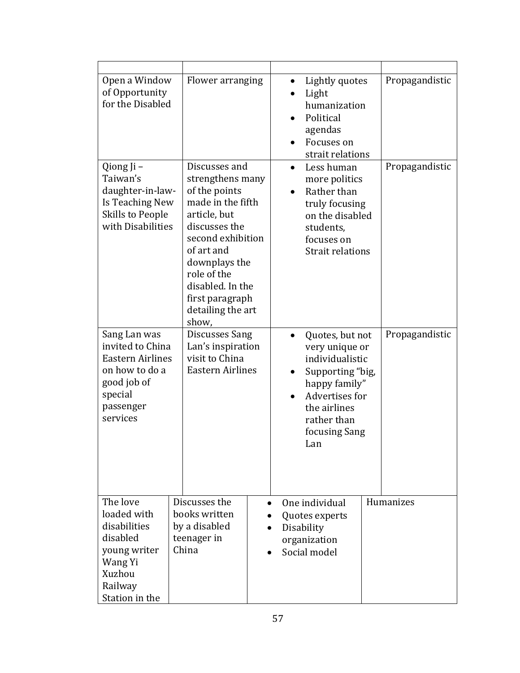| Open a Window<br>of Opportunity<br>for the Disabled                                                                              | Flower arranging                                                                                                                                                                                                                                 |           | Light<br>Political                                                             | Lightly quotes<br>humanization<br>agendas<br>Focuses on<br>strait relations                                                                                 | Propagandistic |
|----------------------------------------------------------------------------------------------------------------------------------|--------------------------------------------------------------------------------------------------------------------------------------------------------------------------------------------------------------------------------------------------|-----------|--------------------------------------------------------------------------------|-------------------------------------------------------------------------------------------------------------------------------------------------------------|----------------|
| Qiong Ji -<br>Taiwan's<br>daughter-in-law-<br>Is Teaching New<br>Skills to People<br>with Disabilities                           | Discusses and<br>strengthens many<br>of the points<br>made in the fifth<br>article, but<br>discusses the<br>second exhibition<br>of art and<br>downplays the<br>role of the<br>disabled. In the<br>first paragraph<br>detailing the art<br>show, |           | $\bullet$<br>$\bullet$                                                         | Less human<br>more politics<br>Rather than<br>truly focusing<br>on the disabled<br>students,<br>focuses on<br><b>Strait relations</b>                       | Propagandistic |
| Sang Lan was<br>invited to China<br><b>Eastern Airlines</b><br>on how to do a<br>good job of<br>special<br>passenger<br>services | Discusses Sang<br>Lan's inspiration<br>visit to China<br><b>Eastern Airlines</b>                                                                                                                                                                 |           | $\bullet$<br>$\bullet$<br>Lan                                                  | Quotes, but not<br>very unique or<br>individualistic<br>Supporting "big,<br>happy family"<br>Advertises for<br>the airlines<br>rather than<br>focusing Sang | Propagandistic |
| The love<br>loaded with<br>disabilities<br>disabled<br>young writer<br>Wang Yi<br>Xuzhou<br>Railway<br>Station in the            | Discusses the<br>books written<br>by a disabled<br>teenager in<br>China                                                                                                                                                                          | $\bullet$ | One individual<br>Quotes experts<br>Disability<br>organization<br>Social model |                                                                                                                                                             | Humanizes      |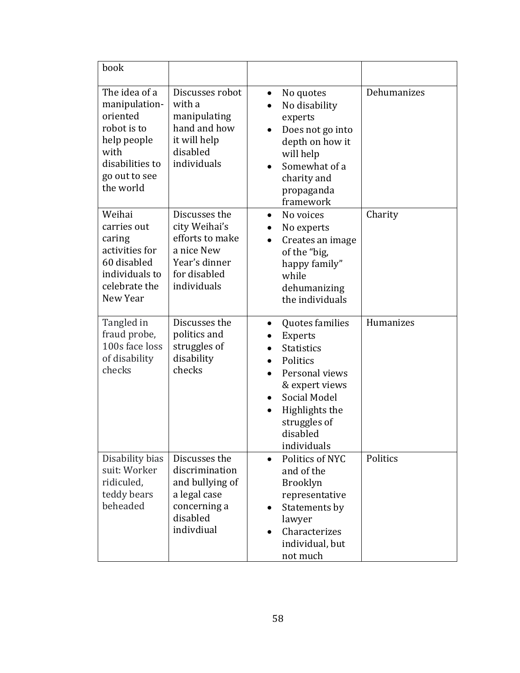| book                                                                                                                              |                                                                                                                 |                                                                                                                                                                                                                            |             |
|-----------------------------------------------------------------------------------------------------------------------------------|-----------------------------------------------------------------------------------------------------------------|----------------------------------------------------------------------------------------------------------------------------------------------------------------------------------------------------------------------------|-------------|
| The idea of a<br>manipulation-<br>oriented<br>robot is to<br>help people<br>with<br>disabilities to<br>go out to see<br>the world | Discusses robot<br>with a<br>manipulating<br>hand and how<br>it will help<br>disabled<br>individuals            | No quotes<br>$\bullet$<br>No disability<br>experts<br>Does not go into<br>depth on how it<br>will help<br>Somewhat of a<br>$\bullet$<br>charity and<br>propaganda<br>framework                                             | Dehumanizes |
| Weihai<br>carries out<br>caring<br>activities for<br>60 disabled<br>individuals to<br>celebrate the<br>New Year                   | Discusses the<br>city Weihai's<br>efforts to make<br>a nice New<br>Year's dinner<br>for disabled<br>individuals | No voices<br>$\bullet$<br>No experts<br>Creates an image<br>$\bullet$<br>of the "big,<br>happy family"<br>while<br>dehumanizing<br>the individuals                                                                         | Charity     |
| Tangled in<br>fraud probe,<br>100s face loss<br>of disability<br>checks                                                           | Discusses the<br>politics and<br>struggles of<br>disability<br>checks                                           | Quotes families<br>$\bullet$<br><b>Experts</b><br><b>Statistics</b><br>$\bullet$<br>Politics<br>Personal views<br>& expert views<br>Social Model<br>$\bullet$<br>Highlights the<br>struggles of<br>disabled<br>individuals | Humanizes   |
| Disability bias<br>suit: Worker<br>ridiculed,<br>teddy bears<br>beheaded                                                          | Discusses the<br>discrimination<br>and bullying of<br>a legal case<br>concerning a<br>disabled<br>indivdiual    | Politics of NYC<br>$\bullet$<br>and of the<br><b>Brooklyn</b><br>representative<br>Statements by<br>lawyer<br>Characterizes<br>individual, but<br>not much                                                                 | Politics    |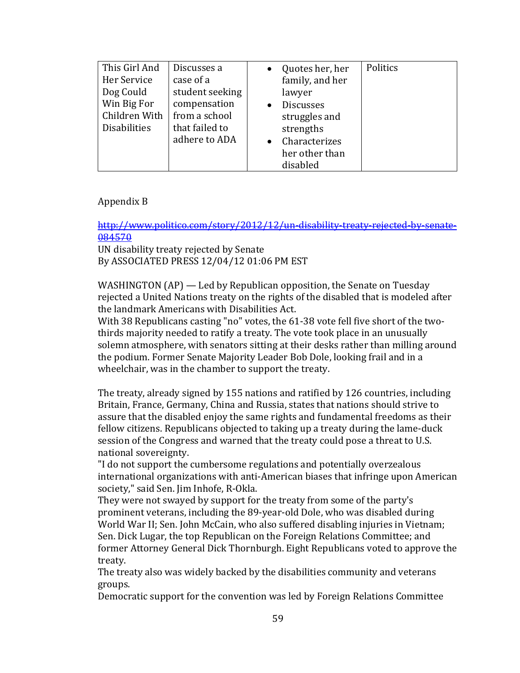| This Girl And<br>Her Service<br>Dog Could<br>Win Big For<br>Children With<br><b>Disabilities</b> | Discusses a<br>case of a<br>student seeking<br>compensation<br>from a school<br>that failed to<br>adhere to ADA | $\bullet$<br>$\bullet$ | Quotes her, her<br>family, and her<br>lawyer<br><b>Discusses</b><br>struggles and<br>strengths<br>Characterizes<br>her other than<br>disabled | Politics |
|--------------------------------------------------------------------------------------------------|-----------------------------------------------------------------------------------------------------------------|------------------------|-----------------------------------------------------------------------------------------------------------------------------------------------|----------|
|--------------------------------------------------------------------------------------------------|-----------------------------------------------------------------------------------------------------------------|------------------------|-----------------------------------------------------------------------------------------------------------------------------------------------|----------|

## Appendix B

## [http://www.politico.com/story/2012/12/un-disability-treaty-rejected-by-senate-](http://www.politico.com/story/2012/12/un-disability-treaty-rejected-by-senate-084570)[084570](http://www.politico.com/story/2012/12/un-disability-treaty-rejected-by-senate-084570)

UN disability treaty rejected by Senate By ASSOCIATED PRESS 12/04/12 01:06 PM EST

WASHINGTON (AP) — Led by Republican opposition, the Senate on Tuesday rejected a United Nations treaty on the rights of the disabled that is modeled after the landmark Americans with Disabilities Act.

With 38 Republicans casting "no" votes, the 61-38 vote fell five short of the twothirds majority needed to ratify a treaty. The vote took place in an unusually solemn atmosphere, with senators sitting at their desks rather than milling around the podium. Former Senate Majority Leader Bob Dole, looking frail and in a wheelchair, was in the chamber to support the treaty.

The treaty, already signed by 155 nations and ratified by 126 countries, including Britain, France, Germany, China and Russia, states that nations should strive to assure that the disabled enjoy the same rights and fundamental freedoms as their fellow citizens. Republicans objected to taking up a treaty during the lame-duck session of the Congress and warned that the treaty could pose a threat to U.S. national sovereignty.

"I do not support the cumbersome regulations and potentially overzealous international organizations with anti-American biases that infringe upon American society," said Sen. Jim Inhofe, R-Okla.

They were not swayed by support for the treaty from some of the party's prominent veterans, including the 89-year-old Dole, who was disabled during World War II; Sen. John McCain, who also suffered disabling injuries in Vietnam; Sen. Dick Lugar, the top Republican on the Foreign Relations Committee; and former Attorney General Dick Thornburgh. Eight Republicans voted to approve the treaty.

The treaty also was widely backed by the disabilities community and veterans groups.

Democratic support for the convention was led by Foreign Relations Committee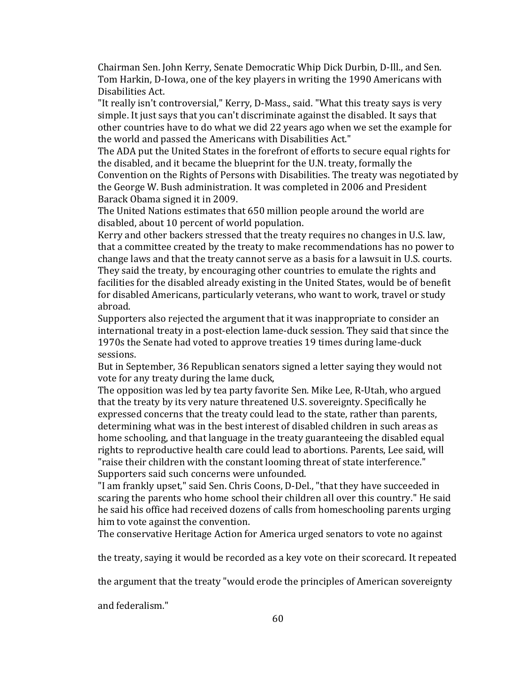Chairman Sen. John Kerry, Senate Democratic Whip Dick Durbin, D-Ill., and Sen. Tom Harkin, D-Iowa, one of the key players in writing the 1990 Americans with Disabilities Act.

"It really isn't controversial," Kerry, D-Mass., said. "What this treaty says is very simple. It just says that you can't discriminate against the disabled. It says that other countries have to do what we did 22 years ago when we set the example for the world and passed the Americans with Disabilities Act."

The ADA put the United States in the forefront of efforts to secure equal rights for the disabled, and it became the blueprint for the U.N. treaty, formally the Convention on the Rights of Persons with Disabilities. The treaty was negotiated by the George W. Bush administration. It was completed in 2006 and President Barack Obama signed it in 2009.

The United Nations estimates that 650 million people around the world are disabled, about 10 percent of world population.

Kerry and other backers stressed that the treaty requires no changes in U.S. law, that a committee created by the treaty to make recommendations has no power to change laws and that the treaty cannot serve as a basis for a lawsuit in U.S. courts. They said the treaty, by encouraging other countries to emulate the rights and facilities for the disabled already existing in the United States, would be of benefit for disabled Americans, particularly veterans, who want to work, travel or study abroad.

Supporters also rejected the argument that it was inappropriate to consider an international treaty in a post-election lame-duck session. They said that since the 1970s the Senate had voted to approve treaties 19 times during lame-duck sessions.

But in September, 36 Republican senators signed a letter saying they would not vote for any treaty during the lame duck,

The opposition was led by tea party favorite Sen. Mike Lee, R-Utah, who argued that the treaty by its very nature threatened U.S. sovereignty. Specifically he expressed concerns that the treaty could lead to the state, rather than parents, determining what was in the best interest of disabled children in such areas as home schooling, and that language in the treaty guaranteeing the disabled equal rights to reproductive health care could lead to abortions. Parents, Lee said, will "raise their children with the constant looming threat of state interference." Supporters said such concerns were unfounded.

"I am frankly upset," said Sen. Chris Coons, D-Del., "that they have succeeded in scaring the parents who home school their children all over this country." He said he said his office had received dozens of calls from homeschooling parents urging him to vote against the convention.

The conservative Heritage Action for America urged senators to vote no against

the treaty, saying it would be recorded as a key vote on their scorecard. It repeated

the argument that the treaty "would erode the principles of American sovereignty

and federalism."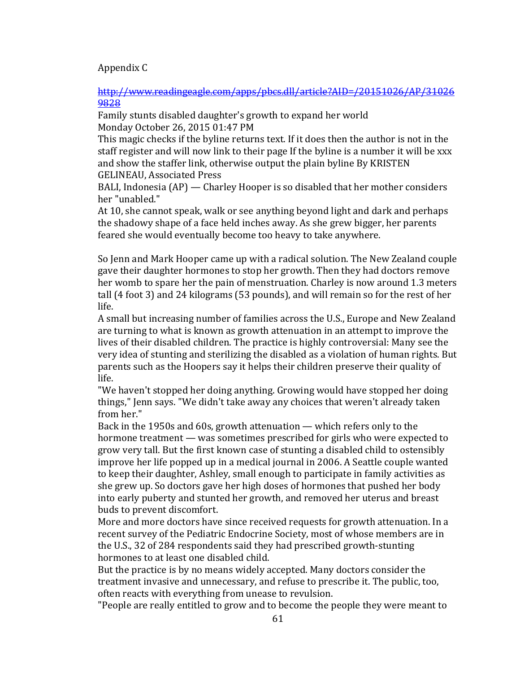## Appendix C

[http://www.readingeagle.com/apps/pbcs.dll/article?AID=/20151026/AP/31026](http://www.readingeagle.com/apps/pbcs.dll/article?AID=/20151026/AP/310269828) [9828](http://www.readingeagle.com/apps/pbcs.dll/article?AID=/20151026/AP/310269828)

Family stunts disabled daughter's growth to expand her world Monday October 26, 2015 01:47 PM

This magic checks if the byline returns text. If it does then the author is not in the staff register and will now link to their page If the byline is a number it will be xxx and show the staffer link, otherwise output the plain byline By KRISTEN GELINEAU, Associated Press

BALI, Indonesia (AP) — Charley Hooper is so disabled that her mother considers her "unabled."

At 10, she cannot speak, walk or see anything beyond light and dark and perhaps the shadowy shape of a face held inches away. As she grew bigger, her parents feared she would eventually become too heavy to take anywhere.

TODAY'S SPONSOR: So Jenn and Mark Hooper came up with a radical solution. The New Zealand couple gave their daughter hormones to stop her growth. Then they had doctors remove her womb to spare her the pain of menstruation. Charley is now around 1.3 meters tall (4 foot 3) and 24 kilograms (53 pounds), and will remain so for the rest of her life.

A small but increasing number of families across the U.S., Europe and New Zealand are turning to what is known as growth attenuation in an attempt to improve the lives of their disabled children. The practice is highly controversial: Many see the very idea of stunting and sterilizing the disabled as a violation of human rights. But parents such as the Hoopers say it helps their children preserve their quality of life.

"We haven't stopped her doing anything. Growing would have stopped her doing things," Jenn says. "We didn't take away any choices that weren't already taken from her."

Back in the 1950s and 60s, growth attenuation — which refers only to the hormone treatment — was sometimes prescribed for girls who were expected to grow very tall. But the first known case of stunting a disabled child to ostensibly improve her life popped up in a medical journal in 2006. A Seattle couple wanted to keep their daughter, Ashley, small enough to participate in family activities as she grew up. So doctors gave her high doses of hormones that pushed her body into early puberty and stunted her growth, and removed her uterus and breast buds to prevent discomfort.

More and more doctors have since received requests for growth attenuation. In a recent survey of the Pediatric Endocrine Society, most of whose members are in the U.S., 32 of 284 respondents said they had prescribed growth-stunting hormones to at least one disabled child.

But the practice is by no means widely accepted. Many doctors consider the treatment invasive and unnecessary, and refuse to prescribe it. The public, too, often reacts with everything from unease to revulsion.

"People are really entitled to grow and to become the people they were meant to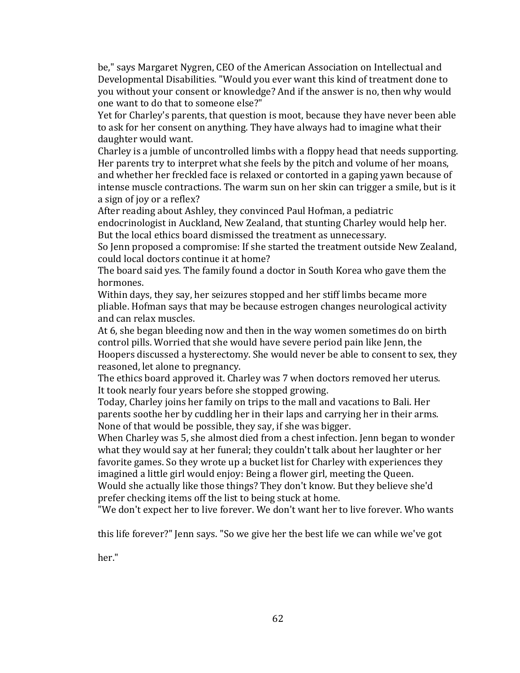be," says Margaret Nygren, CEO of the American Association on Intellectual and Developmental Disabilities. "Would you ever want this kind of treatment done to you without your consent or knowledge? And if the answer is no, then why would one want to do that to someone else?"

Yet for Charley's parents, that question is moot, because they have never been able to ask for her consent on anything. They have always had to imagine what their daughter would want.

Charley is a jumble of uncontrolled limbs with a floppy head that needs supporting. Her parents try to interpret what she feels by the pitch and volume of her moans, and whether her freckled face is relaxed or contorted in a gaping yawn because of intense muscle contractions. The warm sun on her skin can trigger a smile, but is it a sign of joy or a reflex?

After reading about Ashley, they convinced Paul Hofman, a pediatric endocrinologist in Auckland, New Zealand, that stunting Charley would help her. But the local ethics board dismissed the treatment as unnecessary.

So Jenn proposed a compromise: If she started the treatment outside New Zealand, could local doctors continue it at home?

The board said yes. The family found a doctor in South Korea who gave them the hormones.

Within days, they say, her seizures stopped and her stiff limbs became more pliable. Hofman says that may be because estrogen changes neurological activity and can relax muscles.

At 6, she began bleeding now and then in the way women sometimes do on birth control pills. Worried that she would have severe period pain like Jenn, the Hoopers discussed a hysterectomy. She would never be able to consent to sex, they reasoned, let alone to pregnancy.

The ethics board approved it. Charley was 7 when doctors removed her uterus. It took nearly four years before she stopped growing.

Today, Charley joins her family on trips to the mall and vacations to Bali. Her parents soothe her by cuddling her in their laps and carrying her in their arms. None of that would be possible, they say, if she was bigger.

When Charley was 5, she almost died from a chest infection. Jenn began to wonder what they would say at her funeral; they couldn't talk about her laughter or her favorite games. So they wrote up a bucket list for Charley with experiences they imagined a little girl would enjoy: Being a flower girl, meeting the Queen. Would she actually like those things? They don't know. But they believe she'd prefer checking items off the list to being stuck at home.

"We don't expect her to live forever. We don't want her to live forever. Who wants

this life forever?" Jenn says. "So we give her the best life we can while we've got

her."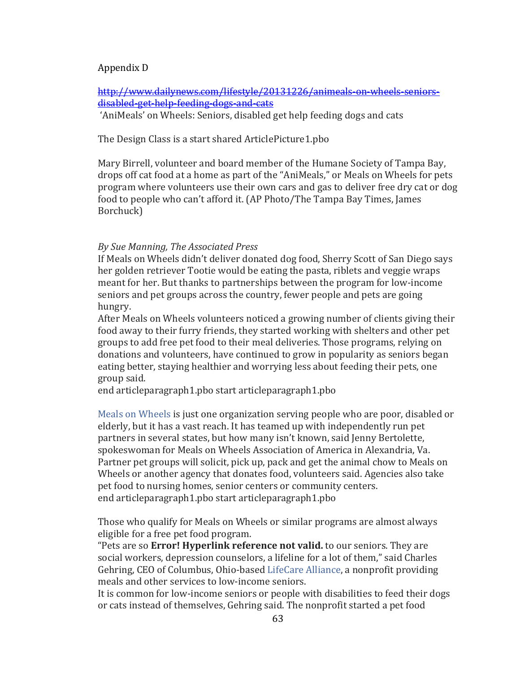### Appendix D

[http://www.dailynews.com/lifestyle/20131226/animeals-on-wheels-seniors](http://www.dailynews.com/lifestyle/20131226/animeals-on-wheels-seniors-disabled-get-help-feeding-dogs-and-cats)[disabled-get-help-feeding-dogs-and-cats](http://www.dailynews.com/lifestyle/20131226/animeals-on-wheels-seniors-disabled-get-help-feeding-dogs-and-cats)

'AniMeals' on Wheels: Seniors, disabled get help feeding dogs and cats

#### The Design Class is a start shared ArticlePicture1.pbo

Mary Birrell, volunteer and board member of the Humane Society of Tampa Bay, drops off cat food at a home as part of the "AniMeals," or Meals on Wheels for pets program where volunteers use their own cars and gas to deliver free dry cat or dog food to people who can't afford it. (AP Photo/The Tampa Bay Times, James Borchuck)

#### *By Sue Manning, The Associated Press*

If Meals on Wheels didn't deliver donated dog food, Sherry Scott of San Diego says her golden retriever Tootie would be eating the pasta, riblets and veggie wraps meant for her. But thanks to partnerships between the program for low-income seniors and pet groups across the country, fewer people and pets are going hungry.

After Meals on Wheels volunteers noticed a growing number of clients giving their food away to their furry friends, they started working with shelters and other pet groups to add free pet food to their meal deliveries. Those programs, relying on donations and volunteers, have continued to grow in popularity as seniors began eating better, staying healthier and worrying less about feeding their pets, one group said.

end articleparagraph1.pbo start articleparagraph1.pbo

[Meals on Wheels](http://www.mowaa.org/) is just one organization serving people who are poor, disabled or elderly, but it has a vast reach. It has teamed up with independently run pet partners in several states, but how many isn't known, said Jenny Bertolette, spokeswoman for Meals on Wheels Association of America in Alexandria, Va. Partner pet groups will solicit, pick up, pack and get the animal chow to Meals on Wheels or another agency that donates food, volunteers said. Agencies also take pet food to nursing homes, senior centers or community centers. end articleparagraph1.pbo start articleparagraph1.pbo

Those who qualify for Meals on Wheels or similar programs are almost always eligible for a free pet food program.

"Pets are so **Error! Hyperlink reference not valid.** to our seniors. They are social workers, depression counselors, a lifeline for a lot of them," said Charles Gehring, CEO of Columbus, Ohio-based [LifeCare Alliance,](http://www.lifecarealliance.org/) a nonprofit providing meals and other services to low-income seniors.

It is common for low-income seniors or people with disabilities to feed their dogs or cats instead of themselves, Gehring said. The nonprofit started a pet food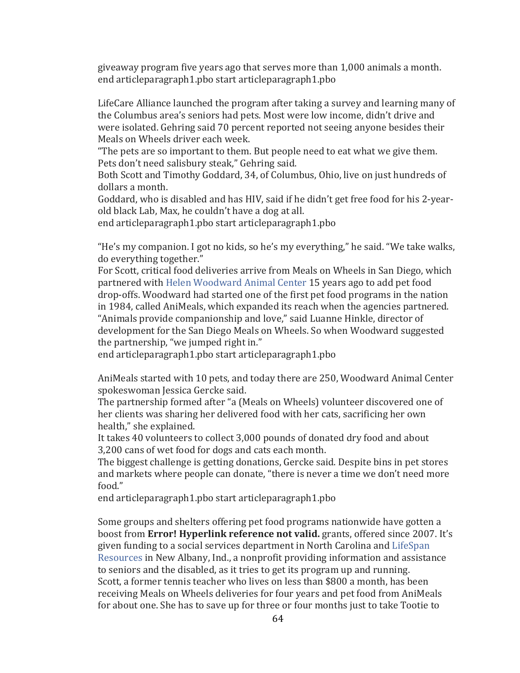giveaway program five years ago that serves more than 1,000 animals a month. end articleparagraph1.pbo start articleparagraph1.pbo

LifeCare Alliance launched the program after taking a survey and learning many of the Columbus area's seniors had pets. Most were low income, didn't drive and were isolated. Gehring said 70 percent reported not seeing anyone besides their Meals on Wheels driver each week.

"The pets are so important to them. But people need to eat what we give them. Pets don't need salisbury steak," Gehring said.

Both Scott and Timothy Goddard, 34, of Columbus, Ohio, live on just hundreds of dollars a month.

Goddard, who is disabled and has HIV, said if he didn't get free food for his 2-yearold black Lab, Max, he couldn't have a dog at all.

end articleparagraph1.pbo start articleparagraph1.pbo

"He's my companion. I got no kids, so he's my everything," he said. "We take walks, do everything together."

For Scott, critical food deliveries arrive from Meals on Wheels in San Diego, which partnered with [Helen Woodward Animal Center](http://www.animalcenter.org/) 15 years ago to add pet food drop-offs. Woodward had started one of the first pet food programs in the nation in 1984, called AniMeals, which expanded its reach when the agencies partnered. "Animals provide companionship and love," said Luanne Hinkle, director of development for the San Diego Meals on Wheels. So when Woodward suggested the partnership, "we jumped right in."

end articleparagraph1.pbo start articleparagraph1.pbo

AniMeals started with 10 pets, and today there are 250, Woodward Animal Center spokeswoman Jessica Gercke said.

The partnership formed after "a (Meals on Wheels) volunteer discovered one of her clients was sharing her delivered food with her cats, sacrificing her own health," she explained.

It takes 40 volunteers to collect 3,000 pounds of donated dry food and about 3,200 cans of wet food for dogs and cats each month.

The biggest challenge is getting donations, Gercke said. Despite bins in pet stores and markets where people can donate, "there is never a time we don't need more food."

end articleparagraph1.pbo start articleparagraph1.pbo

Some groups and shelters offering pet food programs nationwide have gotten a boost from **Error! Hyperlink reference not valid.** grants, offered since 2007. It's given funding to a social services department in North Carolina and [LifeSpan](http://www.lsr14.org/)  [Resources](http://www.lsr14.org/) in New Albany, Ind., a nonprofit providing information and assistance to seniors and the disabled, as it tries to get its program up and running. Scott, a former tennis teacher who lives on less than \$800 a month, has been receiving Meals on Wheels deliveries for four years and pet food from AniMeals for about one. She has to save up for three or four months just to take Tootie to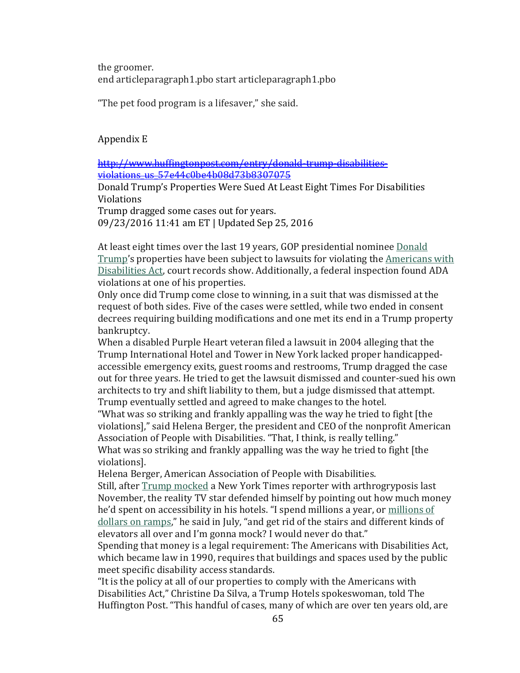the groomer. end articleparagraph1.pbo start articleparagraph1.pbo

"The pet food program is a lifesaver," she said.

## Appendix E

[http://www.huffingtonpost.com/entry/donald-trump-disabilities](http://www.huffingtonpost.com/entry/donald-trump-disabilities-violations_us_57e44c0be4b08d73b8307075)[violations\\_us\\_57e44c0be4b08d73b8307075](http://www.huffingtonpost.com/entry/donald-trump-disabilities-violations_us_57e44c0be4b08d73b8307075)

Donald Trump's Properties Were Sued At Least Eight Times For Disabilities Violations

Trump dragged some cases out for years.

09/23/2016 11:41 am ET | Updated Sep 25, 2016

At least eight times over the last 19 years, GOP presidential nominee [Donald](http://www.huffingtonpost.com/news/donald-trump/)  [Trump'](http://www.huffingtonpost.com/news/donald-trump/)s properties have been subject to lawsuits for violating the [Americans with](https://www.ada.gov/)  [Disabilities Act,](https://www.ada.gov/) court records show. Additionally, a federal inspection found ADA violations at one of his properties.

Only once did Trump come close to winning, in a suit that was dismissed at the request of both sides. Five of the cases were settled, while two ended in consent decrees requiring building modifications and one met its end in a Trump property bankruptcy.

When a disabled Purple Heart veteran filed a lawsuit in 2004 alleging that the Trump International Hotel and Tower in New York lacked proper handicappedaccessible emergency exits, guest rooms and restrooms, Trump dragged the case out for three years. He tried to get the lawsuit dismissed and counter-sued his own architects to try and shift liability to them, but a judge dismissed that attempt. Trump eventually settled and agreed to make changes to the hotel.

"What was so striking and frankly appalling was the way he tried to fight [the violations]," said Helena Berger, the president and CEO of the nonprofit American Association of People with Disabilities. "That, I think, is really telling." What was so striking and frankly appalling was the way he tried to fight [the violations].

Helena Berger, American Association of People with Disabilities.

Still, after [Trump mocked](https://www.washingtonpost.com/news/fact-checker/wp/2016/08/02/donald-trumps-revisionist-history-of-mocking-a-disabled-reporter/) a New York Times reporter with arthrogryposis last November, the reality TV star defended himself by pointing out how much money he'd spent on accessibility in his hotels. "I spend millions a year, or [millions of](http://www.huffingtonpost.com/entry/donald-trump-absurd-defense-mocking-reporter-with-disability_us_579cfc5ce4b0693164c1870a)  [dollars on ramps,](http://www.huffingtonpost.com/entry/donald-trump-absurd-defense-mocking-reporter-with-disability_us_579cfc5ce4b0693164c1870a)" he said in July, "and get rid of the stairs and different kinds of elevators all over and I'm gonna mock? I would never do that."

Spending that money is a legal requirement: The Americans with Disabilities Act, which became law in 1990, requires that buildings and spaces used by the public meet specific disability access standards.

"It is the policy at all of our properties to comply with the Americans with Disabilities Act," Christine Da Silva, a Trump Hotels spokeswoman, told The Huffington Post. "This handful of cases, many of which are over ten years old, are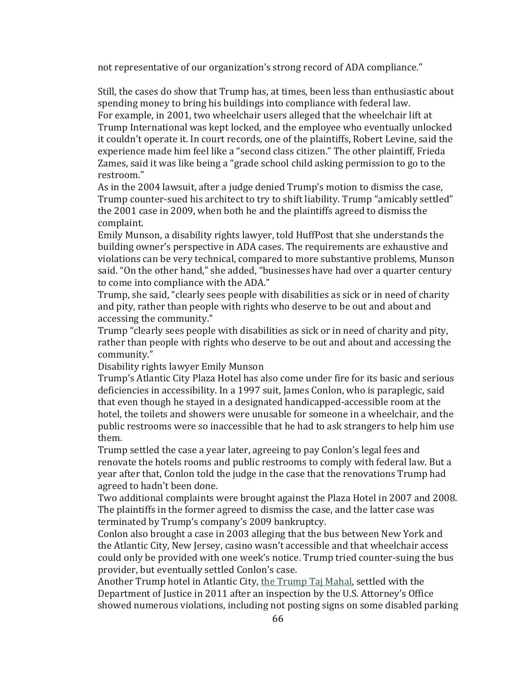not representative of our organization's strong record of ADA compliance."

Still, the cases do show that Trump has, at times, been less than enthusiastic about spending money to bring his buildings into compliance with federal law. For example, in 2001, two wheelchair users alleged that the wheelchair lift at Trump International was kept locked, and the employee who eventually unlocked it couldn't operate it. In court records, one of the plaintiffs, Robert Levine, said the experience made him feel like a "second class citizen." The other plaintiff, Frieda Zames, said it was like being a "grade school child asking permission to go to the restroom."

As in the 2004 lawsuit, after a judge denied Trump's motion to dismiss the case, Trump counter-sued his architect to try to shift liability. Trump "amicably settled" the 2001 case in 2009, when both he and the plaintiffs agreed to dismiss the complaint.

Emily Munson, a disability rights lawyer, told HuffPost that she understands the building owner's perspective in ADA cases. The requirements are exhaustive and violations can be very technical, compared to more substantive problems, Munson said. "On the other hand," she added, "businesses have had over a quarter century to come into compliance with the ADA."

Trump, she said, "clearly sees people with disabilities as sick or in need of charity and pity, rather than people with rights who deserve to be out and about and accessing the community."

Trump "clearly sees people with disabilities as sick or in need of charity and pity, rather than people with rights who deserve to be out and about and accessing the community."

Disability rights lawyer Emily Munson

Trump's Atlantic City Plaza Hotel has also come under fire for its basic and serious deficiencies in accessibility. In a 1997 suit, James Conlon, who is paraplegic, said that even though he stayed in a designated handicapped-accessible room at the hotel, the toilets and showers were unusable for someone in a wheelchair, and the public restrooms were so inaccessible that he had to ask strangers to help him use them.

Trump settled the case a year later, agreeing to pay Conlon's legal fees and renovate the hotels rooms and public restrooms to comply with federal law. But a year after that, Conlon told the judge in the case that the renovations Trump had agreed to hadn't been done.

Two additional complaints were brought against the Plaza Hotel in 2007 and 2008. The plaintiffs in the former agreed to dismiss the case, and the latter case was terminated by Trump's company's 2009 bankruptcy.

Conlon also brought a case in 2003 alleging that the bus between New York and the Atlantic City, New Jersey, casino wasn't accessible and that wheelchair access could only be provided with one week's notice. Trump tried counter-suing the bus provider, but eventually settled Conlon's case.

Another Trump hotel in Atlantic City, [the Trump Taj Mahal,](https://www.ada.gov/trump_tajmajal_sa.html) settled with the Department of Justice in 2011 after an inspection by the U.S. Attorney's Office showed numerous violations, including not posting signs on some disabled parking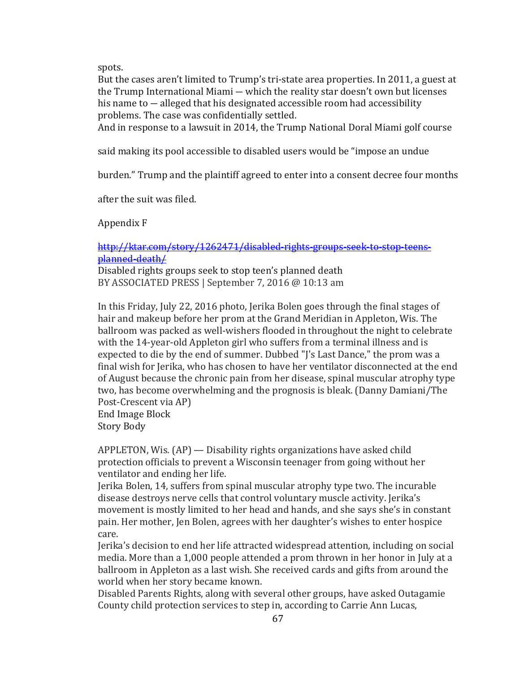spots.

But the cases aren't limited to Trump's tri-state area properties. In 2011, a guest at the Trump International Miami ― which the reality star doesn't own but licenses his name to — alleged that his designated accessible room had accessibility problems. The case was confidentially settled.

And in response to a lawsuit in 2014, the Trump National Doral Miami golf course

said making its pool accessible to disabled users would be "impose an undue

burden." Trump and the plaintiff agreed to enter into a consent decree four months

after the suit was filed.

Appendix F

## [http://ktar.com/story/1262471/disabled-rights-groups-seek-to-stop-teens](http://ktar.com/story/1262471/disabled-rights-groups-seek-to-stop-teens-planned-death/)[planned-death/](http://ktar.com/story/1262471/disabled-rights-groups-seek-to-stop-teens-planned-death/)

Disabled rights groups seek to stop teen's planned death BY ASSOCIATED PRESS | September 7, 2016 @ 10:13 am

In this Friday, July 22, 2016 photo, Jerika Bolen goes through the final stages of hair and makeup before her prom at the Grand Meridian in Appleton, Wis. The ballroom was packed as well-wishers flooded in throughout the night to celebrate with the 14-year-old Appleton girl who suffers from a terminal illness and is expected to die by the end of summer. Dubbed "J's Last Dance," the prom was a final wish for Jerika, who has chosen to have her ventilator disconnected at the end of August because the chronic pain from her disease, spinal muscular atrophy type two, has become overwhelming and the prognosis is bleak. (Danny Damiani/The Post-Crescent via AP) End Image Block

Story Body

APPLETON, Wis. (AP) — Disability rights organizations have asked child protection officials to prevent a Wisconsin teenager from going without her ventilator and ending her life.

Jerika Bolen, 14, suffers from spinal muscular atrophy type two. The incurable disease destroys nerve cells that control voluntary muscle activity. Jerika's movement is mostly limited to her head and hands, and she says she's in constant pain. Her mother, Jen Bolen, agrees with her daughter's wishes to enter hospice care.

Jerika's decision to end her life attracted widespread attention, including on social media. More than a 1,000 people attended a prom thrown in her honor in July at a ballroom in Appleton as a last wish. She received cards and gifts from around the world when her story became known.

Disabled Parents Rights, along with several other groups, have asked Outagamie County child protection services to step in, according to Carrie Ann Lucas,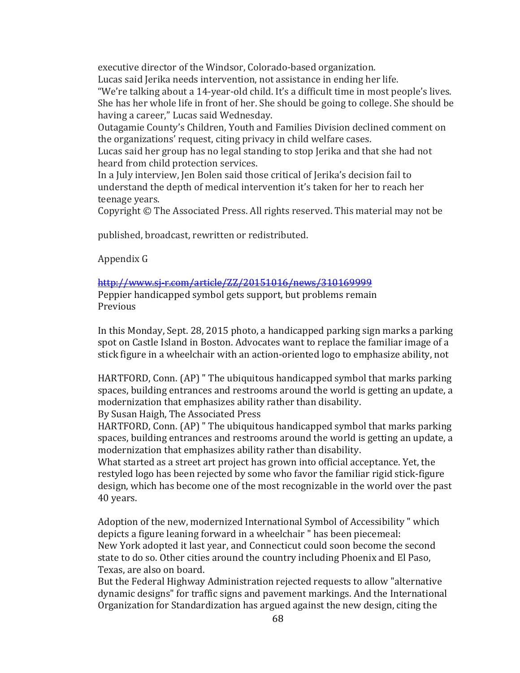executive director of the Windsor, Colorado-based organization. Lucas said Jerika needs intervention, not assistance in ending her life. "We're talking about a 14-year-old child. It's a difficult time in most people's lives. She has her whole life in front of her. She should be going to college. She should be having a career," Lucas said Wednesday.

Outagamie County's Children, Youth and Families Division declined comment on the organizations' request, citing privacy in child welfare cases.

Lucas said her group has no legal standing to stop Jerika and that she had not heard from child protection services.

In a July interview, Jen Bolen said those critical of Jerika's decision fail to understand the depth of medical intervention it's taken for her to reach her teenage years.

Copyright © The Associated Press. All rights reserved. This material may not be

published, broadcast, rewritten or redistributed.

Appendix G

<http://www.sj-r.com/article/ZZ/20151016/news/310169999>

Peppier handicapped symbol gets support, but problems remain Previous

In this Monday, Sept. 28, 2015 photo, a handicapped parking sign marks a parking spot on Castle Island in Boston. Advocates want to replace the familiar image of a stick figure in a wheelchair with an action-oriented logo to emphasize ability, not

HARTFORD, Conn. (AP) " The ubiquitous handicapped symbol that marks parking spaces, building entrances and restrooms around the world is getting an update, a modernization that emphasizes ability rather than disability.

By Susan Haigh, The Associated Press

HARTFORD, Conn. (AP) " The ubiquitous handicapped symbol that marks parking spaces, building entrances and restrooms around the world is getting an update, a modernization that emphasizes ability rather than disability.

What started as a street art project has grown into official acceptance. Yet, the restyled logo has been rejected by some who favor the familiar rigid stick-figure design, which has become one of the most recognizable in the world over the past 40 years.

Adoption of the new, modernized International Symbol of Accessibility " which depicts a figure leaning forward in a wheelchair " has been piecemeal: New York adopted it last year, and Connecticut could soon become the second state to do so. Other cities around the country including Phoenix and El Paso, Texas, are also on board.

But the Federal Highway Administration rejected requests to allow "alternative dynamic designs" for traffic signs and pavement markings. And the International Organization for Standardization has argued against the new design, citing the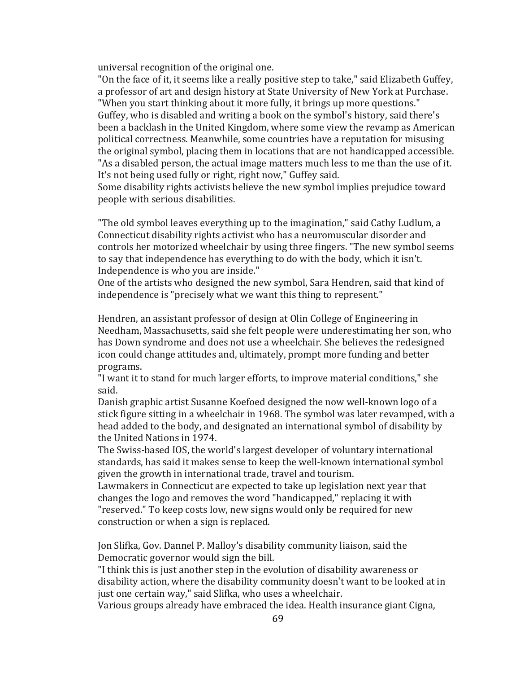universal recognition of the original one.

"On the face of it, it seems like a really positive step to take," said Elizabeth Guffey, a professor of art and design history at State University of New York at Purchase. "When you start thinking about it more fully, it brings up more questions." Guffey, who is disabled and writing a book on the symbol's history, said there's been a backlash in the United Kingdom, where some view the revamp as American political correctness. Meanwhile, some countries have a reputation for misusing the original symbol, placing them in locations that are not handicapped accessible. "As a disabled person, the actual image matters much less to me than the use of it. It's not being used fully or right, right now," Guffey said.

Some disability rights activists believe the new symbol implies prejudice toward people with serious disabilities.

"The old symbol leaves everything up to the imagination," said Cathy Ludlum, a Connecticut disability rights activist who has a neuromuscular disorder and controls her motorized wheelchair by using three fingers. "The new symbol seems to say that independence has everything to do with the body, which it isn't. Independence is who you are inside."

One of the artists who designed the new symbol, Sara Hendren, said that kind of independence is "precisely what we want this thing to represent."

Hendren, an assistant professor of design at Olin College of Engineering in Needham, Massachusetts, said she felt people were underestimating her son, who has Down syndrome and does not use a wheelchair. She believes the redesigned icon could change attitudes and, ultimately, prompt more funding and better programs.

"I want it to stand for much larger efforts, to improve material conditions," she said.

Danish graphic artist Susanne Koefoed designed the now well-known logo of a stick figure sitting in a wheelchair in 1968. The symbol was later revamped, with a head added to the body, and designated an international symbol of disability by the United Nations in 1974.

The Swiss-based IOS, the world's largest developer of voluntary international standards, has said it makes sense to keep the well-known international symbol given the growth in international trade, travel and tourism.

Lawmakers in Connecticut are expected to take up legislation next year that changes the logo and removes the word "handicapped," replacing it with "reserved." To keep costs low, new signs would only be required for new construction or when a sign is replaced.

Jon Slifka, Gov. Dannel P. Malloy's disability community liaison, said the Democratic governor would sign the bill.

"I think this is just another step in the evolution of disability awareness or disability action, where the disability community doesn't want to be looked at in just one certain way," said Slifka, who uses a wheelchair.

Various groups already have embraced the idea. Health insurance giant Cigna,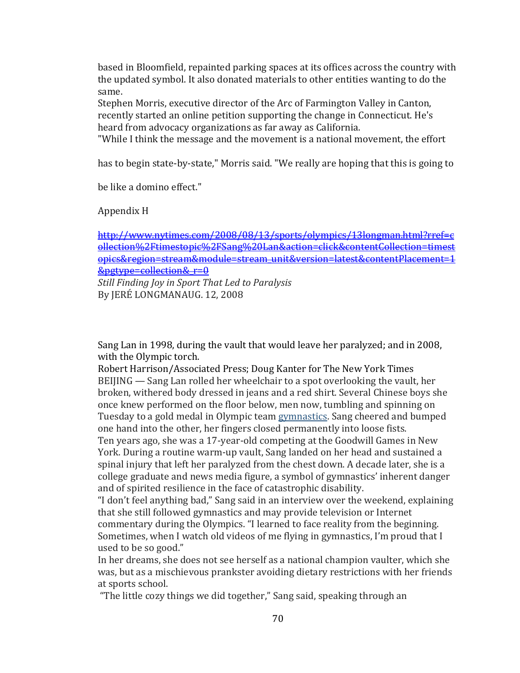based in Bloomfield, repainted parking spaces at its offices across the country with the updated symbol. It also donated materials to other entities wanting to do the same.

Stephen Morris, executive director of the Arc of Farmington Valley in Canton, recently started an online petition supporting the change in Connecticut. He's heard from advocacy organizations as far away as California.

"While I think the message and the movement is a national movement, the effort

has to begin state-by-state," Morris said. "We really are hoping that this is going to

be like a domino effect."

Appendix H

[http://www.nytimes.com/2008/08/13/sports/olympics/13longman.html?rref=c](http://www.nytimes.com/2008/08/13/sports/olympics/13longman.html?rref=collection%2Ftimestopic%2FSang%20Lan&action=click&contentCollection=timestopics®ion=stream&module=stream_unit&version=latest&contentPlacement=1&pgtype=collection&_r=0) [ollection%2Ftimestopic%2FSang%20Lan&action=click&contentCollection=timest](http://www.nytimes.com/2008/08/13/sports/olympics/13longman.html?rref=collection%2Ftimestopic%2FSang%20Lan&action=click&contentCollection=timestopics®ion=stream&module=stream_unit&version=latest&contentPlacement=1&pgtype=collection&_r=0) [opics&region=stream&module=stream\\_unit&version=latest&contentPlacement=1](http://www.nytimes.com/2008/08/13/sports/olympics/13longman.html?rref=collection%2Ftimestopic%2FSang%20Lan&action=click&contentCollection=timestopics®ion=stream&module=stream_unit&version=latest&contentPlacement=1&pgtype=collection&_r=0) [&pgtype=collection&\\_r=0](http://www.nytimes.com/2008/08/13/sports/olympics/13longman.html?rref=collection%2Ftimestopic%2FSang%20Lan&action=click&contentCollection=timestopics®ion=stream&module=stream_unit&version=latest&contentPlacement=1&pgtype=collection&_r=0)

*Still Finding Joy in Sport That Led to Paralysis* By [JERÉ LONGMANA](https://www.nytimes.com/by/jere-longman)UG. 12, 2008

Sang Lan in 1998, during the vault that would leave her paralyzed; and in 2008, with the Olympic torch.

Robert Harrison/Associated Press; Doug Kanter for The New York Times BEIJING — Sang Lan rolled her wheelchair to a spot overlooking the vault, her broken, withered body dressed in jeans and a red shirt. Several Chinese boys she once knew performed on the floor below, men now, tumbling and spinning on Tuesday to a gold medal in Olympic team [gymnastics.](http://topics.nytimes.com/olympics/2008/gymnastics/index.html?inline=nyt-classifier) Sang cheered and bumped one hand into the other, her fingers closed permanently into loose fists. Ten years ago, she was a 17-year-old competing at the Goodwill Games in New York. During a routine warm-up vault, Sang landed on her head and sustained a spinal injury that left her paralyzed from the chest down. A decade later, she is a

college graduate and news media figure, a symbol of gymnastics' inherent danger and of spirited resilience in the face of catastrophic disability.

"I don't feel anything bad," Sang said in an interview over the weekend, explaining that she still followed gymnastics and may provide television or Internet commentary during the Olympics. "I learned to face reality from the beginning. Sometimes, when I watch old videos of me flying in gymnastics, I'm proud that I used to be so good."

In her dreams, she does not see herself as a national champion vaulter, which she was, but as a mischievous prankster avoiding dietary restrictions with her friends at sports school.

"The little cozy things we did together," Sang said, speaking through an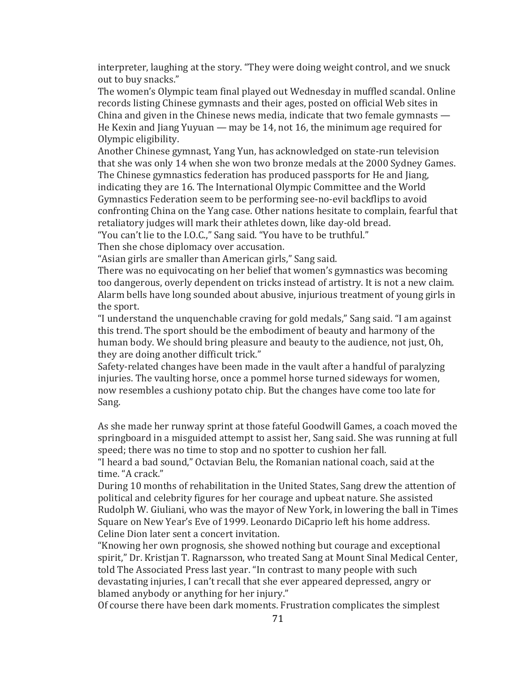interpreter, laughing at the story. "They were doing weight control, and we snuck out to buy snacks."

The women's Olympic team final played out Wednesday in muffled scandal. Online records listing Chinese gymnasts and their ages, posted on official Web sites in China and given in the Chinese news media, indicate that two female gymnasts — He Kexin and Jiang Yuyuan — may be 14, not 16, the minimum age required for Olympic eligibility.

Another Chinese gymnast, Yang Yun, has acknowledged on state-run television that she was only 14 when she won two bronze medals at the 2000 Sydney Games. The Chinese gymnastics federation has produced passports for He and Jiang, indicating they are 16. The International Olympic Committee and the World Gymnastics Federation seem to be performing see-no-evil backflips to avoid confronting China on the Yang case. Other nations hesitate to complain, fearful that retaliatory judges will mark their athletes down, like day-old bread.

"You can't lie to the I.O.C.," Sang said. "You have to be truthful."

Then she chose diplomacy over accusation.

"Asian girls are smaller than American girls," Sang said.

There was no equivocating on her belief that women's gymnastics was becoming too dangerous, overly dependent on tricks instead of artistry. It is not a new claim. Alarm bells have long sounded about abusive, injurious treatment of young girls in the sport.

"I understand the unquenchable craving for gold medals," Sang said. "I am against this trend. The sport should be the embodiment of beauty and harmony of the human body. We should bring pleasure and beauty to the audience, not just, Oh, they are doing another difficult trick."

Safety-related changes have been made in the vault after a handful of paralyzing injuries. The vaulting horse, once a pommel horse turned sideways for women, now resembles a cushiony potato chip. But the changes have come too late for Sang.

As she made her runway sprint at those fateful Goodwill Games, a coach moved the springboard in a misguided attempt to assist her, Sang said. She was running at full speed; there was no time to stop and no spotter to cushion her fall.

"I heard a bad sound," Octavian Belu, the Romanian national coach, said at the time. "A crack."

During 10 months of rehabilitation in the United States, Sang drew the attention of political and celebrity figures for her courage and upbeat nature. She assisted Rudolph W. Giuliani, who was the mayor of New York, in lowering the ball in Times Square on New Year's Eve of 1999. Leonardo DiCaprio left his home address. Celine Dion later sent a concert invitation.

"Knowing her own prognosis, she showed nothing but courage and exceptional spirit," Dr. Kristjan T. Ragnarsson, who treated Sang at Mount Sinal Medical Center, told The Associated Press last year. "In contrast to many people with such devastating injuries, I can't recall that she ever appeared depressed, angry or blamed anybody or anything for her injury."

Of course there have been dark moments. Frustration complicates the simplest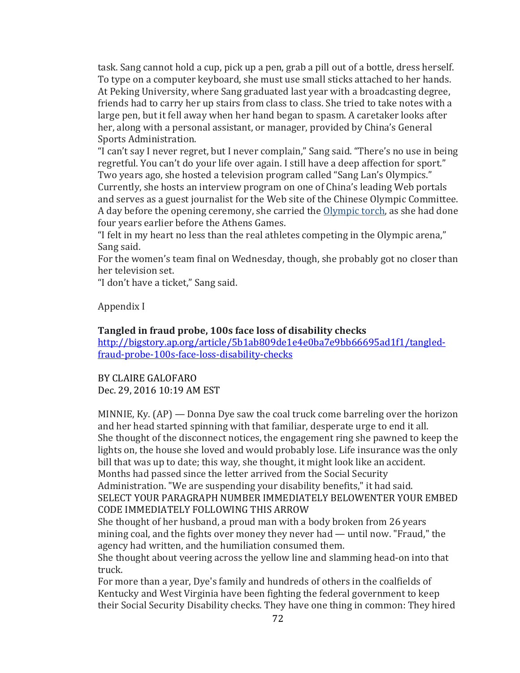task. Sang cannot hold a cup, pick up a pen, grab a pill out of a bottle, dress herself. To type on a computer keyboard, she must use small sticks attached to her hands. At Peking University, where Sang graduated last year with a broadcasting degree, friends had to carry her up stairs from class to class. She tried to take notes with a large pen, but it fell away when her hand began to spasm. A caretaker looks after her, along with a personal assistant, or manager, provided by China's General Sports Administration.

"I can't say I never regret, but I never complain," Sang said. "There's no use in being regretful. You can't do your life over again. I still have a deep affection for sport." Two years ago, she hosted a television program called "Sang Lan's Olympics." Currently, she hosts an interview program on one of China's leading Web portals and serves as a guest journalist for the Web site of the Chinese Olympic Committee. A day before the opening ceremony, she carried the [Olympic torch,](http://topics.nytimes.com/top/reference/timestopics/subjects/o/olympic_games_2008/olympic_torch/index.html?inline=nyt-classifier) as she had done four years earlier before the Athens Games.

"I felt in my heart no less than the real athletes competing in the Olympic arena," Sang said.

For the women's team final on Wednesday, though, she probably got no closer than her television set.

"I don't have a ticket," Sang said.

Appendix I

# **Tangled in fraud probe, 100s face loss of disability checks**

[http://bigstory.ap.org/article/5b1ab809de1e4e0ba7e9bb66695ad1f1/tangled](http://bigstory.ap.org/article/5b1ab809de1e4e0ba7e9bb66695ad1f1/tangled-fraud-probe-100s-face-loss-disability-checks)[fraud-probe-100s-face-loss-disability-checks](http://bigstory.ap.org/article/5b1ab809de1e4e0ba7e9bb66695ad1f1/tangled-fraud-probe-100s-face-loss-disability-checks)

# [BY CLAIRE GALOFARO](http://bigstory.ap.org/journalist/claire-galofaro-0) Dec. 29, 2016 10:19 AM EST

MINNIE, Ky. (AP) — Donna Dye saw the coal truck come barreling over the horizon and her head started spinning with that familiar, desperate urge to end it all. She thought of the disconnect notices, the engagement ring she pawned to keep the lights on, the house she loved and would probably lose. Life insurance was the only bill that was up to date; this way, she thought, it might look like an accident. Months had passed since the letter arrived from the Social Security Administration. "We are suspending your disability benefits," it had said. SELECT YOUR PARAGRAPH NUMBER IMMEDIATELY BELOWENTER YOUR EMBED

# CODE IMMEDIATELY FOLLOWING THIS ARROW

She thought of her husband, a proud man with a body broken from 26 years mining coal, and the fights over money they never had — until now. "Fraud," the agency had written, and the humiliation consumed them.

She thought about veering across the yellow line and slamming head-on into that truck.

For more than a year, Dye's family and hundreds of others in the coalfields of Kentucky and West Virginia have been fighting the federal government to keep their Social Security Disability checks. They have one thing in common: They hired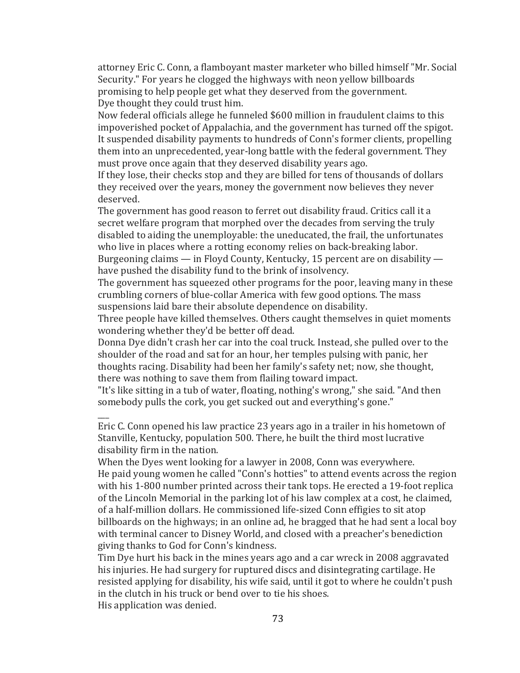attorney Eric C. Conn, a flamboyant master marketer who billed himself "Mr. Social Security." For years he clogged the highways with neon yellow billboards promising to help people get what they deserved from the government. Dye thought they could trust him.

Now federal officials allege he funneled \$600 million in fraudulent claims to this impoverished pocket of Appalachia, and the government has turned off the spigot. It suspended disability payments to hundreds of Conn's former clients, propelling them into an unprecedented, year-long battle with the federal government. They must prove once again that they deserved disability years ago.

If they lose, their checks stop and they are billed for tens of thousands of dollars they received over the years, money the government now believes they never deserved.

The government has good reason to ferret out disability fraud. Critics call it a secret welfare program that morphed over the decades from serving the truly disabled to aiding the unemployable: the uneducated, the frail, the unfortunates who live in places where a rotting economy relies on back-breaking labor.

Burgeoning claims — in Floyd County, Kentucky, 15 percent are on disability have pushed the disability fund to the brink of insolvency.

The government has squeezed other programs for the poor, leaving many in these crumbling corners of blue-collar America with few good options. The mass suspensions laid bare their absolute dependence on disability.

Three people have killed themselves. Others caught themselves in quiet moments wondering whether they'd be better off dead.

Donna Dye didn't crash her car into the coal truck. Instead, she pulled over to the shoulder of the road and sat for an hour, her temples pulsing with panic, her thoughts racing. Disability had been her family's safety net; now, she thought, there was nothing to save them from flailing toward impact.

"It's like sitting in a tub of water, floating, nothing's wrong," she said. "And then somebody pulls the cork, you get sucked out and everything's gone."

 $\overline{\phantom{a}}$ Eric C. Conn opened his law practice 23 years ago in a trailer in his hometown of Stanville, Kentucky, population 500. There, he built the third most lucrative disability firm in the nation.

When the Dyes went looking for a lawyer in 2008, Conn was everywhere. He paid young women he called "Conn's hotties" to attend events across the region with his 1-800 number printed across their tank tops. He erected a 19-foot replica of the Lincoln Memorial in the parking lot of his law complex at a cost, he claimed, of a half-million dollars. He commissioned life-sized Conn effigies to sit atop billboards on the highways; in an online ad, he bragged that he had sent a local boy with terminal cancer to Disney World, and closed with a preacher's benediction giving thanks to God for Conn's kindness.

Tim Dye hurt his back in the mines years ago and a car wreck in 2008 aggravated his injuries. He had surgery for ruptured discs and disintegrating cartilage. He resisted applying for disability, his wife said, until it got to where he couldn't push in the clutch in his truck or bend over to tie his shoes. His application was denied.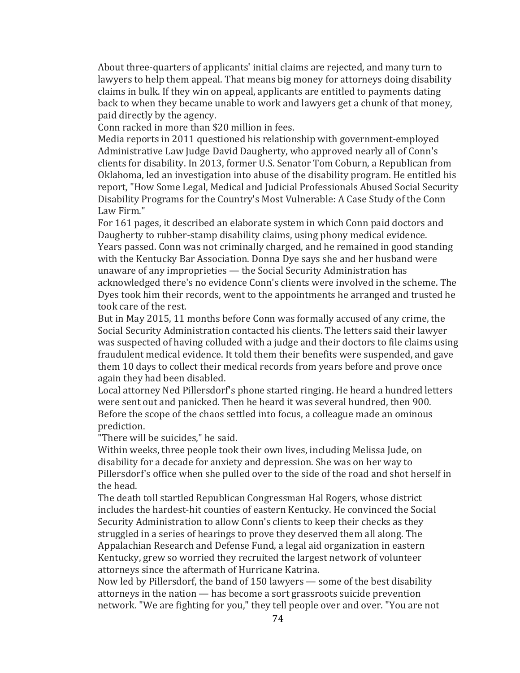About three-quarters of applicants' initial claims are rejected, and many turn to lawyers to help them appeal. That means big money for attorneys doing disability claims in bulk. If they win on appeal, applicants are entitled to payments dating back to when they became unable to work and lawyers get a chunk of that money, paid directly by the agency.

Conn racked in more than \$20 million in fees.

Media reports in 2011 questioned his relationship with government-employed Administrative Law Judge David Daugherty, who approved nearly all of Conn's clients for disability. In 2013, former U.S. Senator Tom Coburn, a Republican from Oklahoma, led an investigation into abuse of the disability program. He entitled his report, "How Some Legal, Medical and Judicial Professionals Abused Social Security Disability Programs for the Country's Most Vulnerable: A Case Study of the Conn Law Firm."

For 161 pages, it described an elaborate system in which Conn paid doctors and Daugherty to rubber-stamp disability claims, using phony medical evidence. Years passed. Conn was not criminally charged, and he remained in good standing with the Kentucky Bar Association. Donna Dye says she and her husband were unaware of any improprieties — the Social Security Administration has acknowledged there's no evidence Conn's clients were involved in the scheme. The Dyes took him their records, went to the appointments he arranged and trusted he took care of the rest.

But in May 2015, 11 months before Conn was formally accused of any crime, the Social Security Administration contacted his clients. The letters said their lawyer was suspected of having colluded with a judge and their doctors to file claims using fraudulent medical evidence. It told them their benefits were suspended, and gave them 10 days to collect their medical records from years before and prove once again they had been disabled.

Local attorney Ned Pillersdorf's phone started ringing. He heard a hundred letters were sent out and panicked. Then he heard it was several hundred, then 900. Before the scope of the chaos settled into focus, a colleague made an ominous prediction.

"There will be suicides," he said.

Within weeks, three people took their own lives, including Melissa Jude, on disability for a decade for anxiety and depression. She was on her way to Pillersdorf's office when she pulled over to the side of the road and shot herself in the head.

The death toll startled Republican Congressman Hal Rogers, whose district includes the hardest-hit counties of eastern Kentucky. He convinced the Social Security Administration to allow Conn's clients to keep their checks as they struggled in a series of hearings to prove they deserved them all along. The Appalachian Research and Defense Fund, a legal aid organization in eastern Kentucky, grew so worried they recruited the largest network of volunteer attorneys since the aftermath of Hurricane Katrina.

Now led by Pillersdorf, the band of 150 lawyers — some of the best disability attorneys in the nation — has become a sort grassroots suicide prevention network. "We are fighting for you," they tell people over and over. "You are not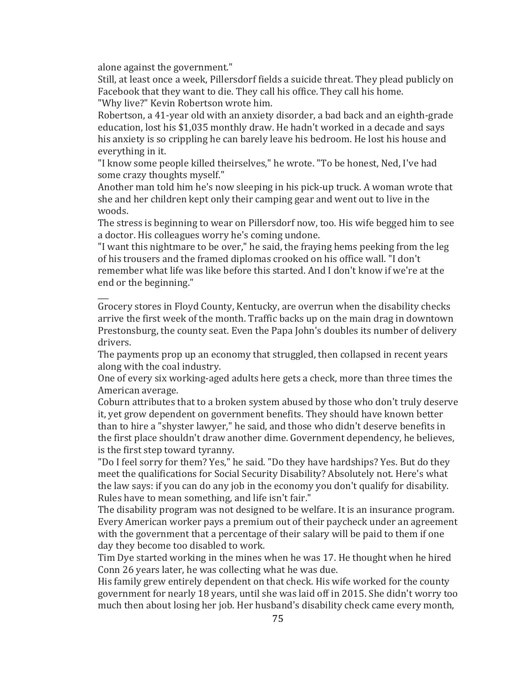alone against the government."

Still, at least once a week, Pillersdorf fields a suicide threat. They plead publicly on Facebook that they want to die. They call his office. They call his home. "Why live?" Kevin Robertson wrote him.

Robertson, a 41-year old with an anxiety disorder, a bad back and an eighth-grade education, lost his \$1,035 monthly draw. He hadn't worked in a decade and says his anxiety is so crippling he can barely leave his bedroom. He lost his house and everything in it.

"I know some people killed theirselves," he wrote. "To be honest, Ned, I've had some crazy thoughts myself."

Another man told him he's now sleeping in his pick-up truck. A woman wrote that she and her children kept only their camping gear and went out to live in the woods.

The stress is beginning to wear on Pillersdorf now, too. His wife begged him to see a doctor. His colleagues worry he's coming undone.

"I want this nightmare to be over," he said, the fraying hems peeking from the leg of his trousers and the framed diplomas crooked on his office wall. "I don't remember what life was like before this started. And I don't know if we're at the end or the beginning."

 $\overline{\phantom{a}}$ Grocery stores in Floyd County, Kentucky, are overrun when the disability checks arrive the first week of the month. Traffic backs up on the main drag in downtown Prestonsburg, the county seat. Even the Papa John's doubles its number of delivery drivers.

The payments prop up an economy that struggled, then collapsed in recent years along with the coal industry.

One of every six working-aged adults here gets a check, more than three times the American average.

Coburn attributes that to a broken system abused by those who don't truly deserve it, yet grow dependent on government benefits. They should have known better than to hire a "shyster lawyer," he said, and those who didn't deserve benefits in the first place shouldn't draw another dime. Government dependency, he believes, is the first step toward tyranny.

"Do I feel sorry for them? Yes," he said. "Do they have hardships? Yes. But do they meet the qualifications for Social Security Disability? Absolutely not. Here's what the law says: if you can do any job in the economy you don't qualify for disability. Rules have to mean something, and life isn't fair."

The disability program was not designed to be welfare. It is an insurance program. Every American worker pays a premium out of their paycheck under an agreement with the government that a percentage of their salary will be paid to them if one day they become too disabled to work.

Tim Dye started working in the mines when he was 17. He thought when he hired Conn 26 years later, he was collecting what he was due.

His family grew entirely dependent on that check. His wife worked for the county government for nearly 18 years, until she was laid off in 2015. She didn't worry too much then about losing her job. Her husband's disability check came every month,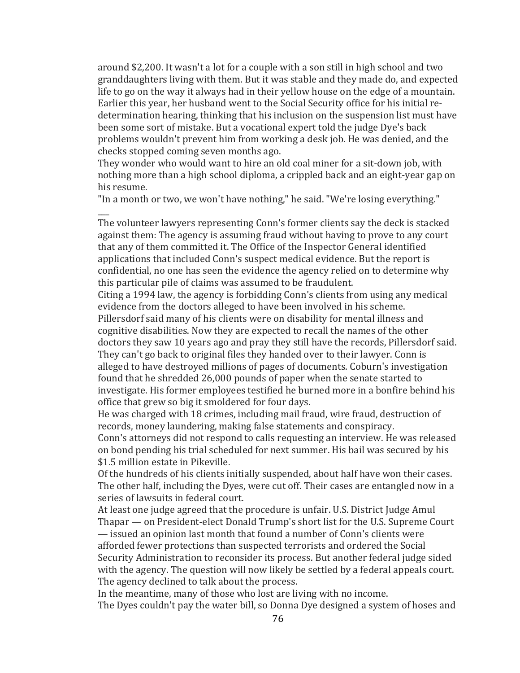around \$2,200. It wasn't a lot for a couple with a son still in high school and two granddaughters living with them. But it was stable and they made do, and expected life to go on the way it always had in their yellow house on the edge of a mountain. Earlier this year, her husband went to the Social Security office for his initial redetermination hearing, thinking that his inclusion on the suspension list must have been some sort of mistake. But a vocational expert told the judge Dye's back problems wouldn't prevent him from working a desk job. He was denied, and the checks stopped coming seven months ago.

They wonder who would want to hire an old coal miner for a sit-down job, with nothing more than a high school diploma, a crippled back and an eight-year gap on his resume.

"In a month or two, we won't have nothing," he said. "We're losing everything."

 $\overline{\phantom{a}}$ The volunteer lawyers representing Conn's former clients say the deck is stacked against them: The agency is assuming fraud without having to prove to any court that any of them committed it. The Office of the Inspector General identified applications that included Conn's suspect medical evidence. But the report is confidential, no one has seen the evidence the agency relied on to determine why this particular pile of claims was assumed to be fraudulent.

Citing a 1994 law, the agency is forbidding Conn's clients from using any medical evidence from the doctors alleged to have been involved in his scheme. Pillersdorf said many of his clients were on disability for mental illness and cognitive disabilities. Now they are expected to recall the names of the other doctors they saw 10 years ago and pray they still have the records, Pillersdorf said. They can't go back to original files they handed over to their lawyer. Conn is alleged to have destroyed millions of pages of documents. Coburn's investigation found that he shredded 26,000 pounds of paper when the senate started to investigate. His former employees testified he burned more in a bonfire behind his office that grew so big it smoldered for four days.

He was charged with 18 crimes, including mail fraud, wire fraud, destruction of records, money laundering, making false statements and conspiracy.

Conn's attorneys did not respond to calls requesting an interview. He was released on bond pending his trial scheduled for next summer. His bail was secured by his \$1.5 million estate in Pikeville.

Of the hundreds of his clients initially suspended, about half have won their cases. The other half, including the Dyes, were cut off. Their cases are entangled now in a series of lawsuits in federal court.

At least one judge agreed that the procedure is unfair. U.S. District Judge Amul Thapar — on President-elect Donald Trump's short list for the U.S. Supreme Court — issued an opinion last month that found a number of Conn's clients were afforded fewer protections than suspected terrorists and ordered the Social Security Administration to reconsider its process. But another federal judge sided with the agency. The question will now likely be settled by a federal appeals court. The agency declined to talk about the process.

In the meantime, many of those who lost are living with no income. The Dyes couldn't pay the water bill, so Donna Dye designed a system of hoses and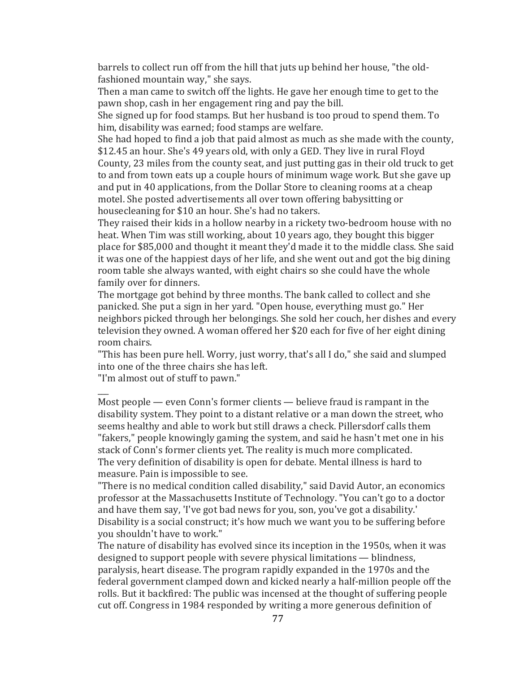barrels to collect run off from the hill that juts up behind her house, "the oldfashioned mountain way," she says.

Then a man came to switch off the lights. He gave her enough time to get to the pawn shop, cash in her engagement ring and pay the bill.

She signed up for food stamps. But her husband is too proud to spend them. To him, disability was earned; food stamps are welfare.

She had hoped to find a job that paid almost as much as she made with the county, \$12.45 an hour. She's 49 years old, with only a GED. They live in rural Floyd County, 23 miles from the county seat, and just putting gas in their old truck to get to and from town eats up a couple hours of minimum wage work. But she gave up and put in 40 applications, from the Dollar Store to cleaning rooms at a cheap motel. She posted advertisements all over town offering babysitting or housecleaning for \$10 an hour. She's had no takers.

They raised their kids in a hollow nearby in a rickety two-bedroom house with no heat. When Tim was still working, about 10 years ago, they bought this bigger place for \$85,000 and thought it meant they'd made it to the middle class. She said it was one of the happiest days of her life, and she went out and got the big dining room table she always wanted, with eight chairs so she could have the whole family over for dinners.

The mortgage got behind by three months. The bank called to collect and she panicked. She put a sign in her yard. "Open house, everything must go." Her neighbors picked through her belongings. She sold her couch, her dishes and every television they owned. A woman offered her \$20 each for five of her eight dining room chairs.

"This has been pure hell. Worry, just worry, that's all I do," she said and slumped into one of the three chairs she has left.

"I'm almost out of stuff to pawn."

 $\overline{\phantom{a}}$ Most people — even Conn's former clients — believe fraud is rampant in the disability system. They point to a distant relative or a man down the street, who seems healthy and able to work but still draws a check. Pillersdorf calls them "fakers," people knowingly gaming the system, and said he hasn't met one in his stack of Conn's former clients yet. The reality is much more complicated. The very definition of disability is open for debate. Mental illness is hard to measure. Pain is impossible to see.

"There is no medical condition called disability," said David Autor, an economics professor at the Massachusetts Institute of Technology. "You can't go to a doctor and have them say, 'I've got bad news for you, son, you've got a disability.' Disability is a social construct; it's how much we want you to be suffering before you shouldn't have to work."

The nature of disability has evolved since its inception in the 1950s, when it was designed to support people with severe physical limitations — blindness, paralysis, heart disease. The program rapidly expanded in the 1970s and the federal government clamped down and kicked nearly a half-million people off the rolls. But it backfired: The public was incensed at the thought of suffering people cut off. Congress in 1984 responded by writing a more generous definition of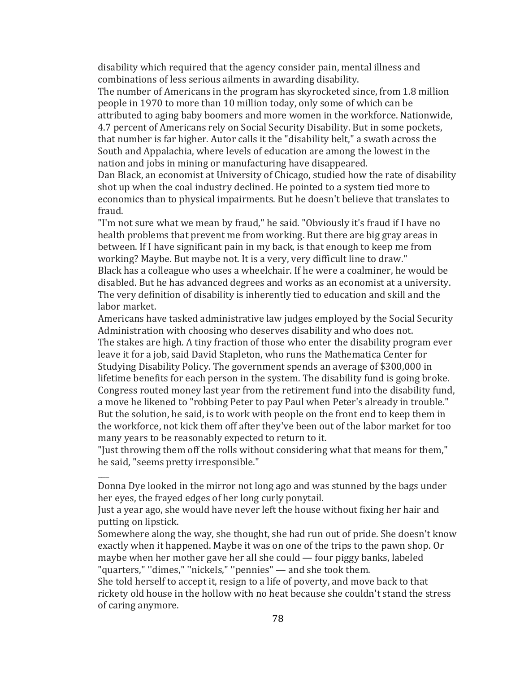disability which required that the agency consider pain, mental illness and combinations of less serious ailments in awarding disability.

The number of Americans in the program has skyrocketed since, from 1.8 million people in 1970 to more than 10 million today, only some of which can be attributed to aging baby boomers and more women in the workforce. Nationwide, 4.7 percent of Americans rely on Social Security Disability. But in some pockets, that number is far higher. Autor calls it the "disability belt," a swath across the South and Appalachia, where levels of education are among the lowest in the nation and jobs in mining or manufacturing have disappeared.

Dan Black, an economist at University of Chicago, studied how the rate of disability shot up when the coal industry declined. He pointed to a system tied more to economics than to physical impairments. But he doesn't believe that translates to fraud.

"I'm not sure what we mean by fraud," he said. "Obviously it's fraud if I have no health problems that prevent me from working. But there are big gray areas in between. If I have significant pain in my back, is that enough to keep me from working? Maybe. But maybe not. It is a very, very difficult line to draw." Black has a colleague who uses a wheelchair. If he were a coalminer, he would be disabled. But he has advanced degrees and works as an economist at a university. The very definition of disability is inherently tied to education and skill and the labor market.

Americans have tasked administrative law judges employed by the Social Security Administration with choosing who deserves disability and who does not. The stakes are high. A tiny fraction of those who enter the disability program ever leave it for a job, said David Stapleton, who runs the Mathematica Center for Studying Disability Policy. The government spends an average of \$300,000 in lifetime benefits for each person in the system. The disability fund is going broke. Congress routed money last year from the retirement fund into the disability fund, a move he likened to "robbing Peter to pay Paul when Peter's already in trouble." But the solution, he said, is to work with people on the front end to keep them in the workforce, not kick them off after they've been out of the labor market for too many years to be reasonably expected to return to it.

"Just throwing them off the rolls without considering what that means for them," he said, "seems pretty irresponsible."

 $\overline{\phantom{a}}$ Donna Dye looked in the mirror not long ago and was stunned by the bags under her eyes, the frayed edges of her long curly ponytail.

Just a year ago, she would have never left the house without fixing her hair and putting on lipstick.

Somewhere along the way, she thought, she had run out of pride. She doesn't know exactly when it happened. Maybe it was on one of the trips to the pawn shop. Or maybe when her mother gave her all she could — four piggy banks, labeled "quarters," ''dimes," ''nickels," ''pennies" — and she took them.

She told herself to accept it, resign to a life of poverty, and move back to that rickety old house in the hollow with no heat because she couldn't stand the stress of caring anymore.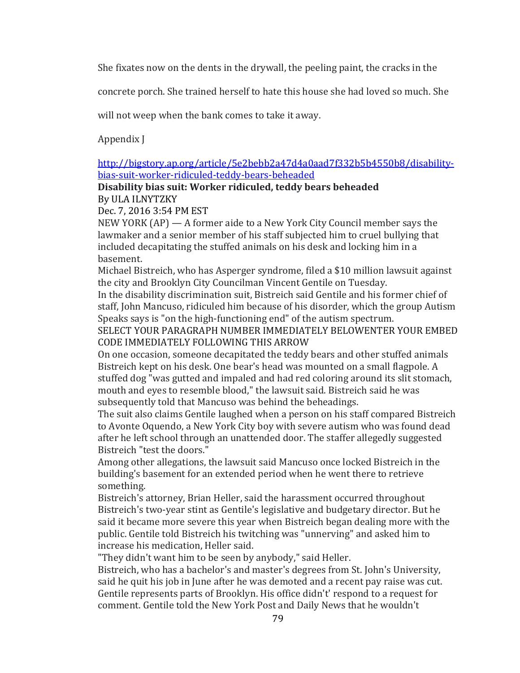She fixates now on the dents in the drywall, the peeling paint, the cracks in the

concrete porch. She trained herself to hate this house she had loved so much. She

will not weep when the bank comes to take it away.

Appendix J

# [http://bigstory.ap.org/article/5e2bebb2a47d4a0aad7f332b5b4550b8/disability](http://bigstory.ap.org/article/5e2bebb2a47d4a0aad7f332b5b4550b8/disability-bias-suit-worker-ridiculed-teddy-bears-beheaded)[bias-suit-worker-ridiculed-teddy-bears-beheaded](http://bigstory.ap.org/article/5e2bebb2a47d4a0aad7f332b5b4550b8/disability-bias-suit-worker-ridiculed-teddy-bears-beheaded)

## **Disability bias suit: Worker ridiculed, teddy bears beheaded** By [ULA ILNYTZKY](http://bigstory.ap.org/author/ula-ilnytzky)

# Dec. 7, 2016 3:54 PM EST

NEW YORK (AP) — A former aide to a New York City Council member says the lawmaker and a senior member of his staff subjected him to cruel bullying that included decapitating the stuffed animals on his desk and locking him in a basement.

Michael Bistreich, who has Asperger syndrome, filed a \$10 million lawsuit against the city and Brooklyn City Councilman Vincent Gentile on Tuesday.

In the disability discrimination suit, Bistreich said Gentile and his former chief of staff, John Mancuso, ridiculed him because of his disorder, which the group Autism Speaks says is "on the high-functioning end" of the autism spectrum.

SELECT YOUR PARAGRAPH NUMBER IMMEDIATELY BELOWENTER YOUR EMBED CODE IMMEDIATELY FOLLOWING THIS ARROW

On one occasion, someone decapitated the teddy bears and other stuffed animals Bistreich kept on his desk. One bear's head was mounted on a small flagpole. A stuffed dog "was gutted and impaled and had red coloring around its slit stomach, mouth and eyes to resemble blood," the lawsuit said. Bistreich said he was subsequently told that Mancuso was behind the beheadings.

The suit also claims Gentile laughed when a person on his staff compared Bistreich to Avonte Oquendo, a New York City boy with severe autism who was found dead after he left school through an unattended door. The staffer allegedly suggested Bistreich "test the doors."

Among other allegations, the lawsuit said Mancuso once locked Bistreich in the building's basement for an extended period when he went there to retrieve something.

Bistreich's attorney, Brian Heller, said the harassment occurred throughout Bistreich's two-year stint as Gentile's legislative and budgetary director. But he said it became more severe this year when Bistreich began dealing more with the public. Gentile told Bistreich his twitching was "unnerving" and asked him to increase his medication, Heller said.

"They didn't want him to be seen by anybody," said Heller.

Bistreich, who has a bachelor's and master's degrees from St. John's University, said he quit his job in June after he was demoted and a recent pay raise was cut. Gentile represents parts of Brooklyn. His office didn't' respond to a request for comment. Gentile told the New York Post and Daily News that he wouldn't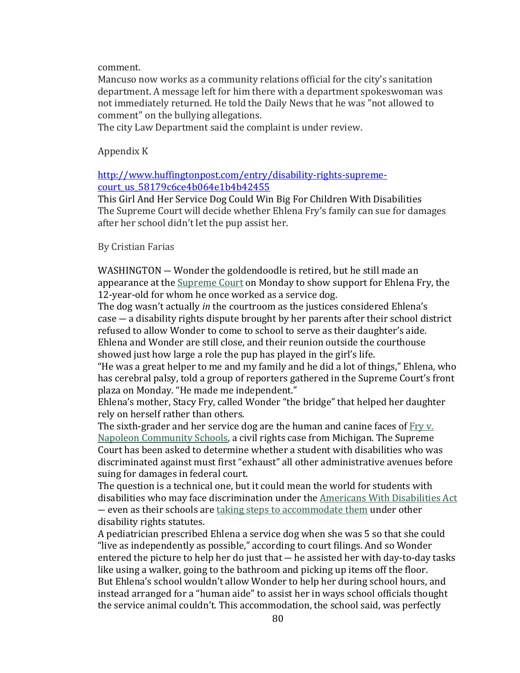comment.

Mancuso now works as a community relations official for the city's sanitation department. A message left for him there with a department spokeswoman was not immediately returned. He told the Daily News that he was "not allowed to comment" on the bullying allegations.

The city Law Department said the complaint is under review.

Appendix K

## [http://www.huffingtonpost.com/entry/disability-rights-supreme](http://www.huffingtonpost.com/entry/disability-rights-supreme-court_us_58179c6ce4b064e1b4b42455)[court\\_us\\_58179c6ce4b064e1b4b42455](http://www.huffingtonpost.com/entry/disability-rights-supreme-court_us_58179c6ce4b064e1b4b42455)

This Girl And Her Service Dog Could Win Big For Children With Disabilities The Supreme Court will decide whether Ehlena Fry's family can sue for damages [after her school didn't let the pup assist her.](http://new.www.huffingtonpost.com/author/cristian-farias)

[By Cristian Farias](http://new.www.huffingtonpost.com/author/cristian-farias)

WASHINGTON ― Wonder the goldendoodle is retired, but he still made an appearance at the [Supreme Court](http://www.huffingtonpost.com/news/supreme-court/) on Monday to show support for Ehlena Fry, the 12-year-old for whom he once worked as a service dog.

The dog wasn't actually *in* the courtroom as the justices considered Ehlena's case ― a disability rights dispute brought by her parents after their school district refused to allow Wonder to come to school to serve as their daughter's aide. Ehlena and Wonder are still close, and their reunion outside the courthouse showed just how large a role the pup has played in the girl's life.

"He was a great helper to me and my family and he did a lot of things," Ehlena, who has cerebral palsy, told a group of reporters gathered in the Supreme Court's front plaza on Monday. "He made me independent."

Ehlena's mother, Stacy Fry, called Wonder "the bridge" that helped her daughter rely on herself rather than others.

The sixth-grader and her service dog are the human and canine faces of [Fry v.](http://www.scotusblog.com/case-files/cases/fry-v-napoleon-community-schools/)  [Napoleon Community Schools,](http://www.scotusblog.com/case-files/cases/fry-v-napoleon-community-schools/) a civil rights case from Michigan. The Supreme Court has been asked to determine whether a student with disabilities who was discriminated against must first "exhaust" all other administrative avenues before suing for damages in federal court.

The question is a technical one, but it could mean the world for students with disabilities who may face discrimination under the [Americans With Disabilities Act](http://www2.ed.gov/about/offices/list/ocr/docs/hq9805.html) ― even as their schools are [taking steps to accommodate them](http://www2.ed.gov/parents/needs/speced/iepguide/index.html) under other disability rights statutes.

A pediatrician prescribed Ehlena a service dog when she was 5 so that she could "live as independently as possible," according to court filings. And so Wonder entered the picture to help her do just that ― he assisted her with day-to-day tasks like using a walker, going to the bathroom and picking up items off the floor. But Ehlena's school wouldn't allow Wonder to help her during school hours, and instead arranged for a "human aide" to assist her in ways school officials thought the service animal couldn't. This accommodation, the school said, was perfectly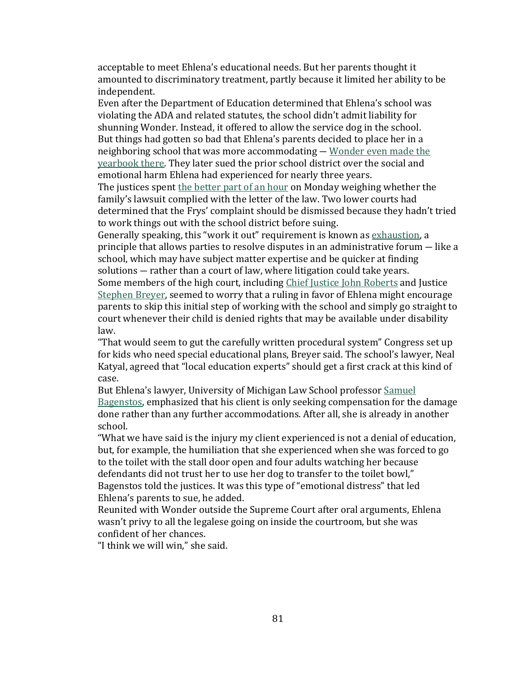acceptable to meet Ehlena's educational needs. But her parents thought it amounted to discriminatory treatment, partly because it limited her ability to be independent.

Even after the Department of Education determined that Ehlena's school was violating the ADA and related statutes, the school didn't admit liability for shunning Wonder. Instead, it offered to allow the service dog in the school. But things had gotten so bad that Ehlena's parents decided to place her in a neighboring school that was more accommodating ― [Wonder even made the](https://twitter.com/KaryMoss/status/793264466905497600)  [yearbook there.](https://twitter.com/KaryMoss/status/793264466905497600) They later sued the prior school district over the social and emotional harm Ehlena had experienced for nearly three years.

The justices spent [the better part of an hour](https://www.supremecourt.gov/oral_arguments/argument_transcripts/2016/15-497_4g15.pdf) on Monday weighing whether the family's lawsuit complied with the letter of the law. Two lower courts had determined that the Frys' complaint should be dismissed because they hadn't tried to work things out with the school district before suing.

Generally speaking, this "work it out" requirement is known as [exhaustion,](https://www.justice.gov/usam/civil-resource-manual-34-exhaustion-administrative-remedies) a principle that allows parties to resolve disputes in an administrative forum ― like a school, which may have subject matter expertise and be quicker at finding solutions ― rather than a court of law, where litigation could take years. Some members of the high court, including [Chief Justice John Roberts](http://www.huffingtonpost.com/news/chief-justice-john-roberts/) and Justice [Stephen Breyer,](http://www.huffingtonpost.com/news/stephen-breyer) seemed to worry that a ruling in favor of Ehlena might encourage parents to skip this initial step of working with the school and simply go straight to court whenever their child is denied rights that may be available under disability law.

"That would seem to gut the carefully written procedural system" Congress set up for kids who need special educational plans, Breyer said. The school's lawyer, Neal Katyal, agreed that "local education experts" should get a first crack at this kind of case.

But Ehlena's lawyer, University of Michigan Law School professor [Samuel](https://www.law.umich.edu/FacultyBio/Pages/FacultyBio.aspx?FacID=sambagen)  [Bagenstos,](https://www.law.umich.edu/FacultyBio/Pages/FacultyBio.aspx?FacID=sambagen) emphasized that his client is only seeking compensation for the damage done rather than any further accommodations. After all, she is already in another school.

"What we have said is the injury my client experienced is not a denial of education, but, for example, the humiliation that she experienced when she was forced to go to the toilet with the stall door open and four adults watching her because defendants did not trust her to use her dog to transfer to the toilet bowl," Bagenstos told the justices. It was this type of "emotional distress" that led Ehlena's parents to sue, he added.

Reunited with Wonder outside the Supreme Court after oral arguments, Ehlena wasn't privy to all the legalese going on inside the courtroom, but she was confident of her chances.

"I think we will win," she said.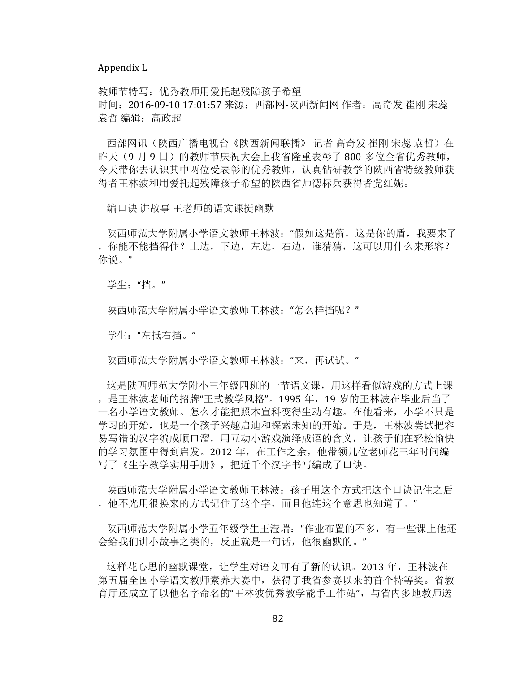Appendix L

教师节特写:优秀教师用爱托起残障孩子希望 时间:2016-09-10 17:01:57 来源:西部网-陕西新闻网 作者:高奇发 崔刚 宋蕊 袁哲 编辑:高政超

西部网讯(陕西广播电视台《陕西新闻联播》 记者 高奇发 崔刚 宋蕊 袁哲)在 昨天(9月9日)的教师节庆祝大会上我省隆重表彰了800多位全省优秀教师, 今天带你去认识其中两位受表彰的优秀教师,认真钻研教学的陕西省特级教师获 得者王林波和用爱托起残障孩子希望的陕西省师德标兵获得者党红妮。

编口诀 讲故事 王老师的语文课挺幽默

陕西师范大学附属小学语文教师王林波: "假如这是箭, 这是你的盾, 我要来了 ,你能不能挡得住?上边,下边,左边,右边,谁猜猜,这可以用什么来形容? 你说。"

学生:"挡。"

陕西师范大学附属小学语文教师王林波:"怎么样挡呢?"

学生:"左抵右挡。"

陕西师范大学附属小学语文教师王林波: "来,再试试。"

 这是陕西师范大学附小三年级四班的一节语文课,用这样看似游戏的方式上课 ,是王林波老师的招牌"王式教学风格"。1995 年,19 岁的王林波在毕业后当了 一名小学语文教师。怎么才能把照本宣科变得生动有趣。在他看来,小学不只是 学习的开始,也是一个孩子兴趣启迪和探索未知的开始。于是,王林波尝试把容 易写错的汉字编成顺口溜,用互动小游戏演绎成语的含义,让孩子们在轻松愉快 的学习氛围中得到启发。2012 年,在工作之余,他带领几位老师花三年时间编 写了《生字教学实用手册》,把近千个汉字书写编成了口诀。

 陕西师范大学附属小学语文教师王林波:孩子用这个方式把这个口诀记住之后 ,他不光用很换来的方式记住了这个字,而且他连这个意思也知道了。"

 陕西师范大学附属小学五年级学生王滢瑞:"作业布置的不多,有一些课上他还 会给我们讲小故事之类的,反正就是一句话,他很幽默的。"

这样花心思的幽默课堂,让学生对语文可有了新的认识。2013 年,王林波在 第五届全国小学语文教师素养大赛中,获得了我省参赛以来的首个特等奖。省教 育厅还成立了以他名字命名的"王林波优秀教学能手工作站",与省内多地教师送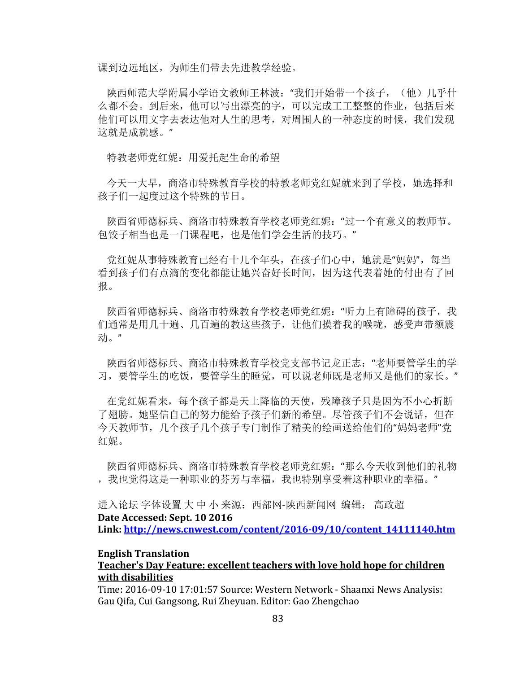课到边远地区,为师生们带去先进教学经验。

陕西师范大学附属小学语文教师王林波: "我们开始带一个孩子,(他)几乎什 么都不会。到后来,他可以写出漂亮的字,可以完成工工整整的作业,包括后来 他们可以用文字去表达他对人生的思考,对周围人的一种态度的时候,我们发现 这就是成就感。"

特教老师党红妮:用爱托起生命的希望

 今天一大早,商洛市特殊教育学校的特教老师党红妮就来到了学校,她选择和 孩子们一起度过这个特殊的节日。

 陕西省师德标兵、商洛市特殊教育学校老师党红妮:"过一个有意义的教师节。 包饺子相当也是一门课程吧,也是他们学会生活的技巧。"

 党红妮从事特殊教育已经有十几个年头,在孩子们心中,她就是"妈妈",每当 看到孩子们有点滴的变化都能让她兴奋好长时间,因为这代表着她的付出有了回 报。

 陕西省师德标兵、商洛市特殊教育学校老师党红妮:"听力上有障碍的孩子,我 们通常是用几十遍、几百遍的教这些孩子,让他们摸着我的喉咙,感受声带额震 动。"

 陕西省师德标兵、商洛市特殊教育学校党支部书记龙正志:"老师要管学生的学 习,要管学生的吃饭,要管学生的睡觉,可以说老师既是老师又是他们的家长。"

 在党红妮看来,每个孩子都是天上降临的天使,残障孩子只是因为不小心折断 了翅膀。她坚信自己的努力能给予孩子们新的希望。尽管孩子们不会说话,但在 今天教师节,几个孩子几个孩子专门制作了精美的绘画送给他们的"妈妈老师"党 红妮。

 陕西省师德标兵、商洛市特殊教育学校老师党红妮:"那么今天收到他们的礼物 ,我也觉得这是一种职业的芬芳与幸福,我也特别享受着这种职业的幸福。"

进入论坛 字体设置 大 中 小 来源:西部网-陕西新闻网 编辑: 高政超 **Date Accessed: Sept. 10 2016 Link: [http://news.cnwest.com/content/2016-09/10/content\\_14111140.htm](http://news.cnwest.com/content/2016-09/10/content_14111140.htm)**

### **English Translation**

# **Teacher's Day Feature: excellent teachers with love hold hope for children with disabilities**

Time: 2016-09-10 17:01:57 Source: Western Network - Shaanxi News Analysis: Gau Qifa, Cui Gangsong, Rui Zheyuan. Editor: Gao Zhengchao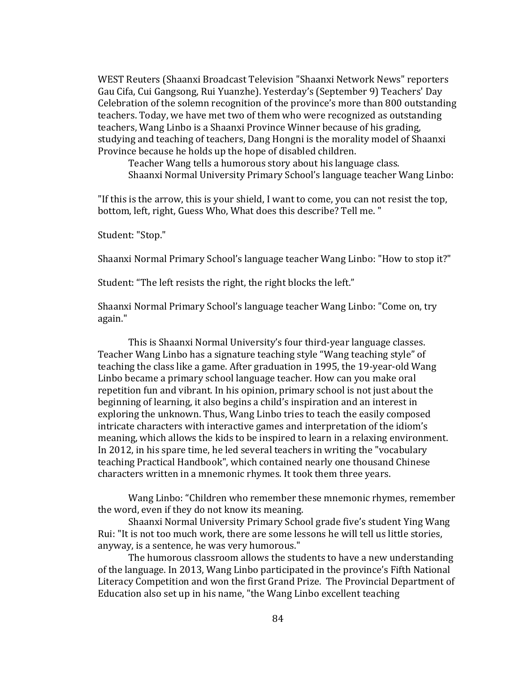WEST Reuters (Shaanxi Broadcast Television "Shaanxi Network News" reporters Gau Cifa, Cui Gangsong, Rui Yuanzhe). Yesterday's (September 9) Teachers' Day Celebration of the solemn recognition of the province's more than 800 outstanding teachers. Today, we have met two of them who were recognized as outstanding teachers, Wang Linbo is a Shaanxi Province Winner because of his grading, studying and teaching of teachers, Dang Hongni is the morality model of Shaanxi Province because he holds up the hope of disabled children.

Teacher Wang tells a humorous story about his language class. Shaanxi Normal University Primary School's language teacher Wang Linbo:

"If this is the arrow, this is your shield, I want to come, you can not resist the top, bottom, left, right, Guess Who, What does this describe? Tell me. "

Student: "Stop."

Shaanxi Normal Primary School's language teacher Wang Linbo: "How to stop it?"

Student: "The left resists the right, the right blocks the left."

Shaanxi Normal Primary School's language teacher Wang Linbo: "Come on, try again."

This is Shaanxi Normal University's four third-year language classes. Teacher Wang Linbo has a signature teaching style "Wang teaching style" of teaching the class like a game. After graduation in 1995, the 19-year-old Wang Linbo became a primary school language teacher. How can you make oral repetition fun and vibrant. In his opinion, primary school is not just about the beginning of learning, it also begins a child's inspiration and an interest in exploring the unknown. Thus, Wang Linbo tries to teach the easily composed intricate characters with interactive games and interpretation of the idiom's meaning, which allows the kids to be inspired to learn in a relaxing environment. In 2012, in his spare time, he led several teachers in writing the "vocabulary teaching Practical Handbook", which contained nearly one thousand Chinese characters written in a mnemonic rhymes. It took them three years.

Wang Linbo: "Children who remember these mnemonic rhymes, remember the word, even if they do not know its meaning.

Shaanxi Normal University Primary School grade five's student Ying Wang Rui: "It is not too much work, there are some lessons he will tell us little stories, anyway, is a sentence, he was very humorous."

The humorous classroom allows the students to have a new understanding of the language. In 2013, Wang Linbo participated in the province's Fifth National Literacy Competition and won the first Grand Prize. The Provincial Department of Education also set up in his name, "the Wang Linbo excellent teaching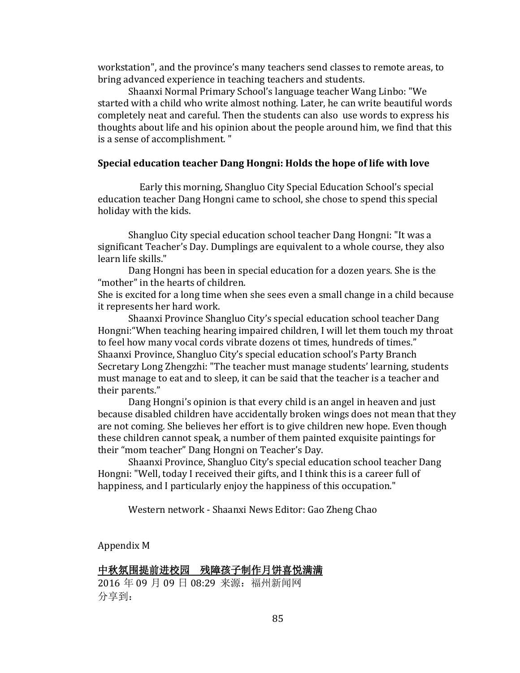workstation", and the province's many teachers send classes to remote areas, to bring advanced experience in teaching teachers and students.

Shaanxi Normal Primary School's language teacher Wang Linbo: "We started with a child who write almost nothing. Later, he can write beautiful words completely neat and careful. Then the students can also use words to express his thoughts about life and his opinion about the people around him, we find that this is a sense of accomplishment. "

### **Special education teacher Dang Hongni: Holds the hope of life with love**

Early this morning, Shangluo City Special Education School's special education teacher Dang Hongni came to school, she chose to spend this special holiday with the kids.

Shangluo City special education school teacher Dang Hongni: "It was a significant Teacher's Day. Dumplings are equivalent to a whole course, they also learn life skills."

Dang Hongni has been in special education for a dozen years. She is the "mother" in the hearts of children.

She is excited for a long time when she sees even a small change in a child because it represents her hard work.

Shaanxi Province Shangluo City's special education school teacher Dang Hongni:"When teaching hearing impaired children, I will let them touch my throat to feel how many vocal cords vibrate dozens ot times, hundreds of times." Shaanxi Province, Shangluo City's special education school's Party Branch Secretary Long Zhengzhi: "The teacher must manage students' learning, students must manage to eat and to sleep, it can be said that the teacher is a teacher and their parents."

Dang Hongni's opinion is that every child is an angel in heaven and just because disabled children have accidentally broken wings does not mean that they are not coming. She believes her effort is to give children new hope. Even though these children cannot speak, a number of them painted exquisite paintings for their "mom teacher" Dang Hongni on Teacher's Day.

Shaanxi Province, Shangluo City's special education school teacher Dang Hongni: "Well, today I received their gifts, and I think this is a career full of happiness, and I particularly enjoy the happiness of this occupation."

Western network - Shaanxi News Editor: Gao Zheng Chao

Appendix M

## 中秋氛围提前进校园 残障孩子制作月饼喜悦满满

2016 年 09 月 09 日 08:29 来源:福州新闻网 分享到: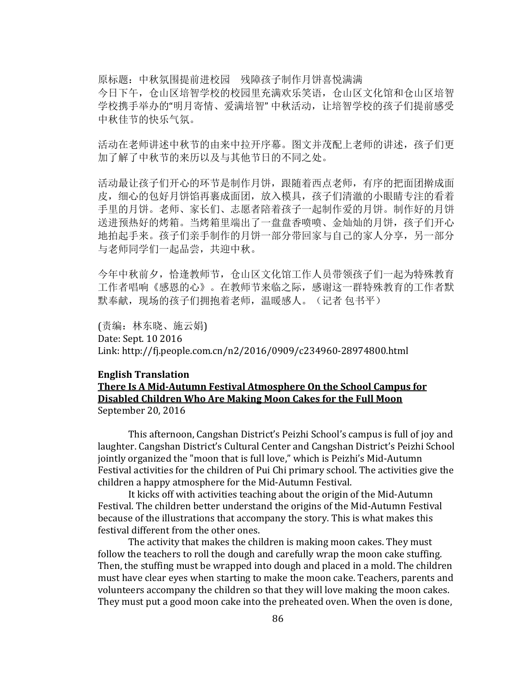原标题:中秋氛围提前进校园 残障孩子制作月饼喜悦满满

今日下午, 仓山区培智学校的校园里充满欢乐笑语, 仓山区文化馆和仓山区培智 学校携手举办的"明月寄情、爱满培智" 中秋活动,让培智学校的孩子们提前感受 中秋佳节的快乐气氛。

活动在老师讲述中秋节的由来中拉开序幕。图文并茂配上老师的讲述,孩子们更 加了解了中秋节的来历以及与其他节日的不同之处。

活动最让孩子们开心的环节是制作月饼,跟随着西点老师,有序的把面团擀成面 皮,细心的包好月饼馅再裹成面团,放入模具,孩子们清澈的小眼睛专注的看着 手里的月饼。老师、家长们、志愿者陪着孩子一起制作爱的月饼。制作好的月饼 送进预热好的烤箱。当烤箱里端出了一盘盘香喷喷、金灿灿的月饼,孩子们开心 地拍起手来。孩子们亲手制作的月饼一部分带回家与自己的家人分享,另一部分 与老师同学们一起品尝,共迎中秋。

今年中秋前夕,恰逢教师节,仓山区文化馆工作人员带领孩子们一起为特殊教育 工作者唱响《感恩的心》。在教师节来临之际,感谢这一群特殊教育的工作者默 默奉献,现场的孩子们拥抱着老师,温暖感人。(记者包书平)

(责编:林东晓、施云娟) Date: Sept. 10 2016 Link: http://fj.people.com.cn/n2/2016/0909/c234960-28974800.html

#### **English Translation**

# **There Is A Mid-Autumn Festival Atmosphere On the School Campus for Disabled Children Who Are Making Moon Cakes for the Full Moon** September 20, 2016

This afternoon, Cangshan District's Peizhi School's campus is full of joy and laughter. Cangshan District's Cultural Center and Cangshan District's Peizhi School jointly organized the "moon that is full love," which is Peizhi's Mid-Autumn Festival activities for the children of Pui Chi primary school. The activities give the children a happy atmosphere for the Mid-Autumn Festival.

It kicks off with activities teaching about the origin of the Mid-Autumn Festival. The children better understand the origins of the Mid-Autumn Festival because of the illustrations that accompany the story. This is what makes this festival different from the other ones.

The activity that makes the children is making moon cakes. They must follow the teachers to roll the dough and carefully wrap the moon cake stuffing. Then, the stuffing must be wrapped into dough and placed in a mold. The children must have clear eyes when starting to make the moon cake. Teachers, parents and volunteers accompany the children so that they will love making the moon cakes. They must put a good moon cake into the preheated oven. When the oven is done,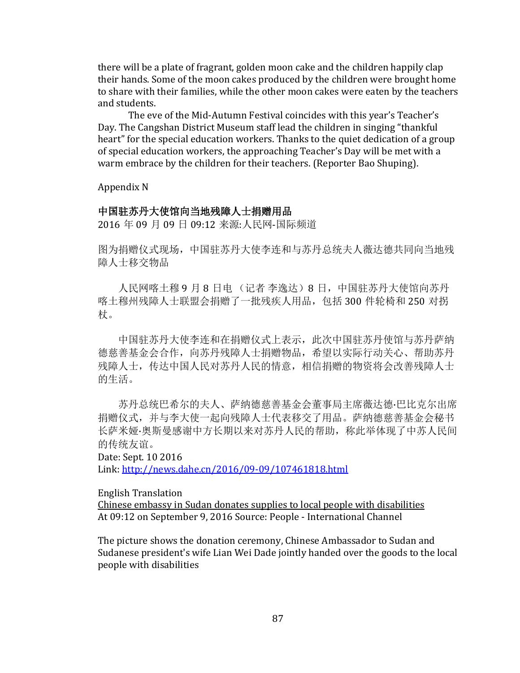there will be a plate of fragrant, golden moon cake and the children happily clap their hands. Some of the moon cakes produced by the children were brought home to share with their families, while the other moon cakes were eaten by the teachers and students.

The eve of the Mid-Autumn Festival coincides with this year's Teacher's Day. The Cangshan District Museum staff lead the children in singing "thankful heart" for the special education workers. Thanks to the quiet dedication of a group of special education workers, the approaching Teacher's Day will be met with a warm embrace by the children for their teachers. (Reporter Bao Shuping).

Appendix N

#### 中国驻苏丹大使馆向当地残障人士捐赠用品

2016 年 09 月 09 日 09:12 来源:人民网-国际频道

图为捐赠仪式现场,中国驻苏丹大使李连和与苏丹总统夫人薇达德共同向当地残 障人士移交物品

 人民网喀土穆 9 月 8 日电 (记者 李逸达)8 日,中国驻苏丹大使馆向苏丹 喀土穆州残障人士联盟会捐赠了一批残疾人用品,包括 300 件轮椅和 250 对拐 杖。

 中国驻苏丹大使李连和在捐赠仪式上表示,此次中国驻苏丹使馆与苏丹萨纳 德慈善基金会合作,向苏丹残障人士捐赠物品,希望以实际行动关心、帮助苏丹 残障人士,传达中国人民对苏丹人民的情意,相信捐赠的物资将会改善残障人士 的生活。

 苏丹总统巴希尔的夫人、萨纳德慈善基金会董事局主席薇达德·巴比克尔出席 捐赠仪式,并与李大使一起向残障人士代表移交了用品。萨纳德慈善基金会秘书 长萨米娅·奥斯曼感谢中方长期以来对苏丹人民的帮助,称此举体现了中苏人民间 的传统友谊。

Date: Sept. 10 2016

Link:<http://news.dahe.cn/2016/09-09/107461818.html>

English Translation

Chinese embassy in Sudan donates supplies to local people with disabilities At 09:12 on September 9, 2016 Source: People - International Channel

The picture shows the donation ceremony, Chinese Ambassador to Sudan and Sudanese president's wife Lian Wei Dade jointly handed over the goods to the local people with disabilities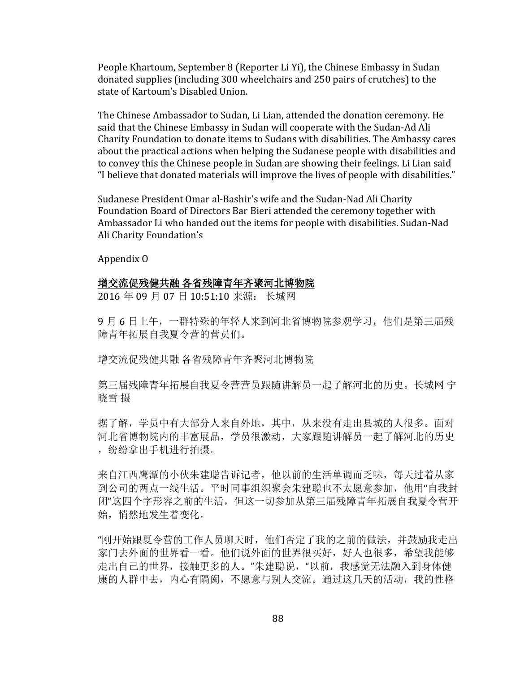People Khartoum, September 8 (Reporter Li Yi), the Chinese Embassy in Sudan donated supplies (including 300 wheelchairs and 250 pairs of crutches) to the state of Kartoum's Disabled Union.

The Chinese Ambassador to Sudan, Li Lian, attended the donation ceremony. He said that the Chinese Embassy in Sudan will cooperate with the Sudan-Ad Ali Charity Foundation to donate items to Sudans with disabilities. The Ambassy cares about the practical actions when helping the Sudanese people with disabilities and to convey this the Chinese people in Sudan are showing their feelings. Li Lian said "I believe that donated materials will improve the lives of people with disabilities."

Sudanese President Omar al-Bashir's wife and the Sudan-Nad Ali Charity Foundation Board of Directors Bar Bieri attended the ceremony together with Ambassador Li who handed out the items for people with disabilities. Sudan-Nad Ali Charity Foundation's

Appendix O

## 增交流促残健共融 各省残障青年齐聚河北博物院

2016 年 09 月 07 日 10:51:10 来源: 长城网

9 月 6 日上午,一群特殊的年轻人来到河北省博物院参观学习,他们是第三届残 障青年拓展自我夏令营的营员们。

增交流促残健共融 各省残障青年齐聚河北博物院

第三届残障青年拓展自我夏令营营员跟随讲解员一起了解河北的历史。长城网 宁 晓雪 摄

据了解,学员中有大部分人来自外地,其中,从来没有走出县城的人很多。面对 河北省博物院内的丰富展品,学员很激动,大家跟随讲解员一起了解河北的历史 ,纷纷拿出手机进行拍摄。

来自江西鹰潭的小伙朱建聪告诉记者,他以前的生活单调而乏味,每天过着从家 到公司的两点一线生活。平时同事组织聚会朱建聪也不太愿意参加,他用"自我封 闭"这四个字形容之前的生活,但这一切参加从第三届残障青年拓展自我夏令营开 始,悄然地发生着变化。

"刚开始跟夏令营的工作人员聊天时,他们否定了我的之前的做法,并鼓励我走出 家门去外面的世界看一看。他们说外面的世界很买好,好人也很多,希望我能够 走出自己的世界,接触更多的人。"朱建聪说,"以前,我感觉无法融入到身体健 康的人群中去,内心有隔阂,不愿意与别人交流。通过这几天的活动,我的性格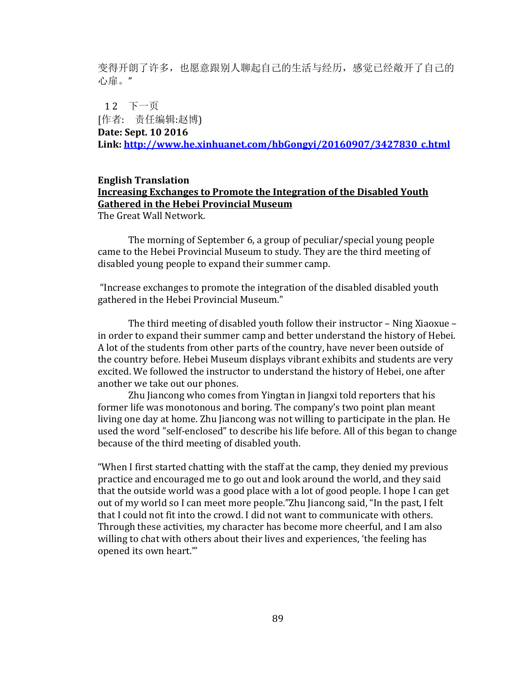变得开朗了许多,也愿意跟别人聊起自己的生活与经历,感觉已经敞开了自己的 心扉。"

 1 2 下一页 [作者: 责任编辑:赵博) **Date: Sept. 10 2016 Link: [http://www.he.xinhuanet.com/hbGongyi/20160907/3427830\\_c.html](http://www.he.xinhuanet.com/hbGongyi/20160907/3427830_c.html)**

# **English Translation Increasing Exchanges to Promote the Integration of the Disabled Youth Gathered in the Hebei Provincial Museum**

The Great Wall Network.

The morning of September 6, a group of peculiar/special young people came to the Hebei Provincial Museum to study. They are the third meeting of disabled young people to expand their summer camp.

"Increase exchanges to promote the integration of the disabled disabled youth gathered in the Hebei Provincial Museum."

The third meeting of disabled youth follow their instructor – Ning Xiaoxue – in order to expand their summer camp and better understand the history of Hebei. A lot of the students from other parts of the country, have never been outside of the country before. Hebei Museum displays vibrant exhibits and students are very excited. We followed the instructor to understand the history of Hebei, one after another we take out our phones.

Zhu Jiancong who comes from Yingtan in Jiangxi told reporters that his former life was monotonous and boring. The company's two point plan meant living one day at home. Zhu Jiancong was not willing to participate in the plan. He used the word "self-enclosed" to describe his life before. All of this began to change because of the third meeting of disabled youth.

"When I first started chatting with the staff at the camp, they denied my previous practice and encouraged me to go out and look around the world, and they said that the outside world was a good place with a lot of good people. I hope I can get out of my world so I can meet more people."Zhu Jiancong said, "In the past, I felt that I could not fit into the crowd. I did not want to communicate with others. Through these activities, my character has become more cheerful, and I am also willing to chat with others about their lives and experiences, 'the feeling has opened its own heart.'"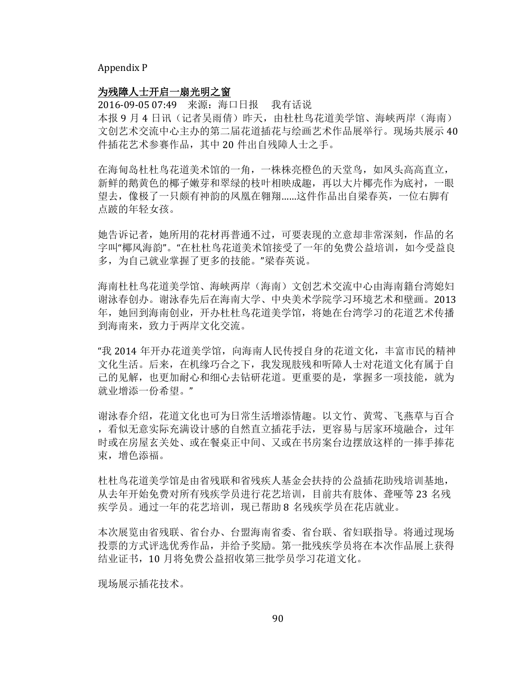Appendix P

### 为残障人士开启一扇光明之窗

2016-09-05 07:49 来源:海口日报 我有话说 本报 9 月 4 日讯(记者吴雨倩)昨天,由杜杜鸟花道美学馆、海峡两岸(海南) 文创艺术交流中心主办的第二届花道插花与绘画艺术作品展举行。现场共展示 40 件插花艺术参赛作品,其中 20 件出自残障人士之手。

在海甸岛杜杜鸟花道美术馆的一角,一株株亮橙色的天堂鸟,如凤头高高直立, 新鲜的鹅黄色的椰子嫩芽和翠绿的枝叶相映成趣,再以大片椰壳作为底衬,一眼 望去,像极了一只颇有神韵的凤凰在翱翔……这件作品出自梁春英,一位右脚有 点跛的年轻女孩。

她告诉记者,她所用的花材再普通不过,可要表现的立意却非常深刻,作品的名 字叫"椰风海韵"。"在杜杜鸟花道美术馆接受了一年的免费公益培训,如今受益良 多,为自己就业掌握了更多的技能。"梁春英说。

海南杜杜鸟花道美学馆、海峡两岸(海南)文创艺术交流中心由海南籍台湾媳妇 谢泳春创办。谢泳春先后在海南大学、中央美术学院学习环境艺术和壁画。2013 年,她回到海南创业,开办杜杜鸟花道美学馆,将她在台湾学习的花道艺术传播 到海南来,致力于两岸文化交流。

"我 2014 年开办花道美学馆,向海南人民传授自身的花道文化,丰富市民的精神 文化生活。后来,在机缘巧合之下,我发现肢残和听障人士对花道文化有属于自 己的见解,也更加耐心和细心去钻研花道。更重要的是,掌握多一项技能,就为 就业增添一份希望。"

谢泳春介绍,花道文化也可为日常生活增添情趣。以文竹、黄莺、飞燕草与百合 ,看似无意实际充满设计感的自然直立插花手法,更容易与居家环境融合,过年 时或在房屋玄关处、或在餐桌正中间、又或在书房案台边摆放这样的一捧手捧花 束, 增色添福。

杜杜鸟花道美学馆是由省残联和省残疾人基金会扶持的公益插花助残培训基地, 从去年开始免费对所有残疾学员进行花艺培训,目前共有肢体、聋哑等 23 名残 疾学员。通过一年的花艺培训,现已帮助 8 名残疾学员在花店就业。

本次展览由省残联、省台办、台盟海南省委、省台联、省妇联指导。将通过现场 投票的方式评选优秀作品,并给予奖励。第一批残疾学员将在本次作品展上获得 结业证书,10 月将免费公益招收第三批学员学习花道文化。

现场展示插花技术。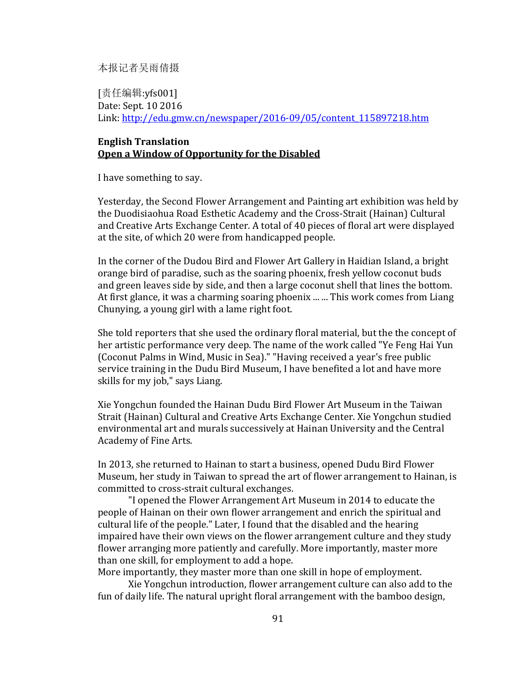## 本报记者吴雨倩摄

[责任编辑:yfs001]

Date: Sept. 10 2016 Link: [http://edu.gmw.cn/newspaper/2016-09/05/content\\_115897218.htm](http://edu.gmw.cn/newspaper/2016-09/05/content_115897218.htm)

## **English Translation Open a Window of Opportunity for the Disabled**

I have something to say.

Yesterday, the Second Flower Arrangement and Painting art exhibition was held by the Duodisiaohua Road Esthetic Academy and the Cross-Strait (Hainan) Cultural and Creative Arts Exchange Center. A total of 40 pieces of floral art were displayed at the site, of which 20 were from handicapped people.

In the corner of the Dudou Bird and Flower Art Gallery in Haidian Island, a bright orange bird of paradise, such as the soaring phoenix, fresh yellow coconut buds and green leaves side by side, and then a large coconut shell that lines the bottom. At first glance, it was a charming soaring phoenix ... ... This work comes from Liang Chunying, a young girl with a lame right foot.

She told reporters that she used the ordinary floral material, but the the concept of her artistic performance very deep. The name of the work called "Ye Feng Hai Yun (Coconut Palms in Wind, Music in Sea)." "Having received a year's free public service training in the Dudu Bird Museum, I have benefited a lot and have more skills for my job," says Liang.

Xie Yongchun founded the Hainan Dudu Bird Flower Art Museum in the Taiwan Strait (Hainan) Cultural and Creative Arts Exchange Center. Xie Yongchun studied environmental art and murals successively at Hainan University and the Central Academy of Fine Arts.

In 2013, she returned to Hainan to start a business, opened Dudu Bird Flower Museum, her study in Taiwan to spread the art of flower arrangement to Hainan, is committed to cross-strait cultural exchanges.

"I opened the Flower Arrangement Art Museum in 2014 to educate the people of Hainan on their own flower arrangement and enrich the spiritual and cultural life of the people." Later, I found that the disabled and the hearing impaired have their own views on the flower arrangement culture and they study flower arranging more patiently and carefully. More importantly, master more than one skill, for employment to add a hope.

More importantly, they master more than one skill in hope of employment.

Xie Yongchun introduction, flower arrangement culture can also add to the fun of daily life. The natural upright floral arrangement with the bamboo design,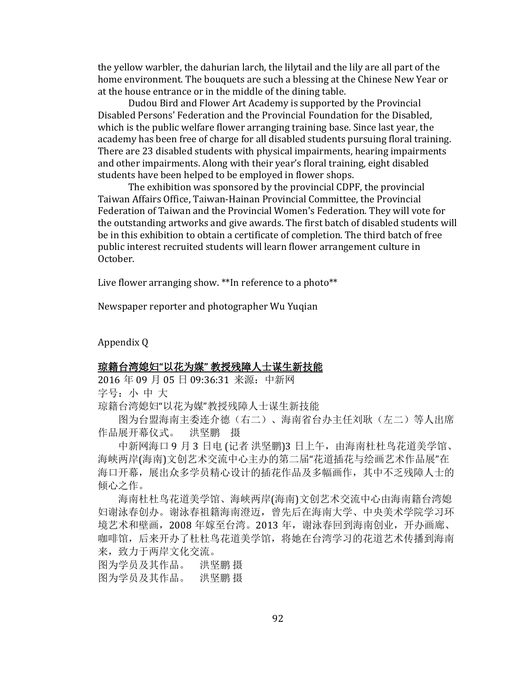the yellow warbler, the dahurian larch, the lilytail and the lily are all part of the home environment. The bouquets are such a blessing at the Chinese New Year or at the house entrance or in the middle of the dining table.

Dudou Bird and Flower Art Academy is supported by the Provincial Disabled Persons' Federation and the Provincial Foundation for the Disabled, which is the public welfare flower arranging training base. Since last year, the academy has been free of charge for all disabled students pursuing floral training. There are 23 disabled students with physical impairments, hearing impairments and other impairments. Along with their year's floral training, eight disabled students have been helped to be employed in flower shops.

The exhibition was sponsored by the provincial CDPF, the provincial Taiwan Affairs Office, Taiwan-Hainan Provincial Committee, the Provincial Federation of Taiwan and the Provincial Women's Federation. They will vote for the outstanding artworks and give awards. The first batch of disabled students will be in this exhibition to obtain a certificate of completion. The third batch of free public interest recruited students will learn flower arrangement culture in October.

Live flower arranging show. \*\*In reference to a photo\*\*

Newspaper reporter and photographer Wu Yuqian

Appendix Q

### 琼籍台湾媳妇**"**以花为媒**"** 教授残障人士谋生新技能

2016 年 09 月 05 日 09:36:31 来源:中新网

字号:小 中 大

琼籍台湾媳妇"以花为媒"教授残障人士谋生新技能

 图为台盟海南主委连介德(右二)、海南省台办主任刘耿(左二)等人出席 作品展开幕仪式。 洪坚鹏 摄

中新网海口 9 月 3 日电 (记者 洪坚鹏)3 日上午, 由海南杜杜鸟花道美学馆、 海峡两岸(海南)文创艺术交流中心主办的第二届"花道插花与绘画艺术作品展"在 海口开幕,展出众多学员精心设计的插花作品及多幅画作,其中不乏残障人士的 倾心之作。

 海南杜杜鸟花道美学馆、海峡两岸(海南)文创艺术交流中心由海南籍台湾媳 妇谢泳春创办。谢泳春祖籍海南澄迈,曾先后在海南大学、中央美术学院学习环 境艺术和壁画,2008 年嫁至台湾。2013 年,谢泳春回到海南创业,开办画廊、 咖啡馆,后来开办了杜杜鸟花道美学馆,将她在台湾学习的花道艺术传播到海南 来,致力于两岸文化交流。

图为学员及其作品。 洪坚鹏 摄 图为学员及其作品。 洪坚鹏 摄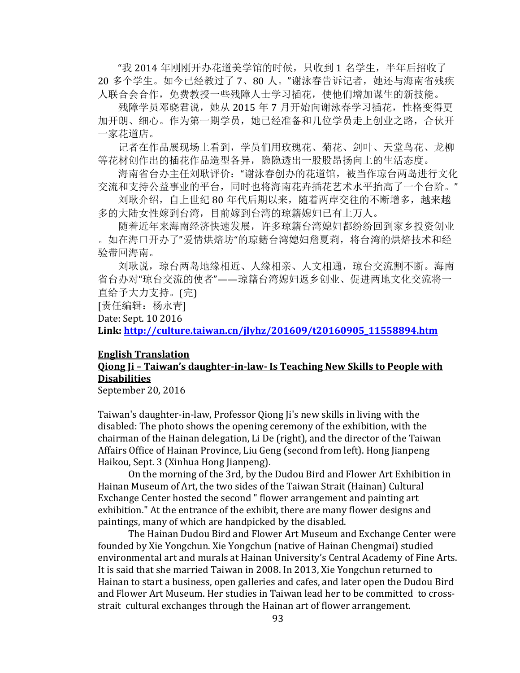"我 2014 年刚刚开办花道美学馆的时候,只收到 1 名学生, 半年后招收了 20 多个学生。如今已经教过了 7、80 人。"谢泳春告诉记者,她还与海南省残疾 人联合会合作,免费教授一些残障人士学习插花,使他们增加谋生的新技能。

 残障学员邓晓君说,她从 2015 年 7 月开始向谢泳春学习插花,性格变得更 加开朗、细心。作为第一期学员,她已经准备和几位学员走上创业之路,合伙开 一家花道店。

 记者在作品展现场上看到,学员们用玫瑰花、菊花、剑叶、天堂鸟花、龙柳 等花材创作出的插花作品造型各异,隐隐透出一股股昂扬向上的生活态度。

海南省台办主任刘耿评价: "谢泳春创办的花道馆, 被当作琼台两岛进行文化 交流和支持公益事业的平台,同时也将海南花卉插花艺术水平抬高了一个台阶。"

刘耿介绍,自上世纪 80年代后期以来,随着两岸交往的不断增多,越来越 多的大陆女性嫁到台湾,目前嫁到台湾的琼籍媳妇已有上万人。

 随着近年来海南经济快速发展,许多琼籍台湾媳妇都纷纷回到家乡投资创业 。如在海口开办了"爱情烘焙坊"的琼籍台湾媳妇詹夏莉,将台湾的烘焙技术和经 验带回海南。

刘耿说,琼台两岛地缘相近、人缘相亲、人文相通,琼台交流割不断。海南 省台办对"琼台交流的使者"——琼籍台湾媳妇返乡创业、促进两地文化交流将一 直给予大力支持。(完)

[责任编辑:杨永青]

Date: Sept. 10 2016

**Link: [http://culture.taiwan.cn/jlyhz/201609/t20160905\\_11558894.htm](http://culture.taiwan.cn/jlyhz/201609/t20160905_11558894.htm)**

#### **English Translation**

# **Qiong Ji – Taiwan's daughter-in-law- Is Teaching New Skills to People with Disabilities**

September 20, 2016

Taiwan's daughter-in-law, Professor Qiong Ji's new skills in living with the disabled: The photo shows the opening ceremony of the exhibition, with the chairman of the Hainan delegation, Li De (right), and the director of the Taiwan Affairs Office of Hainan Province, Liu Geng (second from left). Hong Jianpeng Haikou, Sept. 3 (Xinhua Hong Jianpeng).

On the morning of the 3rd, by the Dudou Bird and Flower Art Exhibition in Hainan Museum of Art, the two sides of the Taiwan Strait (Hainan) Cultural Exchange Center hosted the second " flower arrangement and painting art exhibition." At the entrance of the exhibit, there are many flower designs and paintings, many of which are handpicked by the disabled.

The Hainan Dudou Bird and Flower Art Museum and Exchange Center were founded by Xie Yongchun. Xie Yongchun (native of Hainan Chengmai) studied environmental art and murals at Hainan University's Central Academy of Fine Arts. It is said that she married Taiwan in 2008. In 2013, Xie Yongchun returned to Hainan to start a business, open galleries and cafes, and later open the Dudou Bird and Flower Art Museum. Her studies in Taiwan lead her to be committed to crossstrait cultural exchanges through the Hainan art of flower arrangement.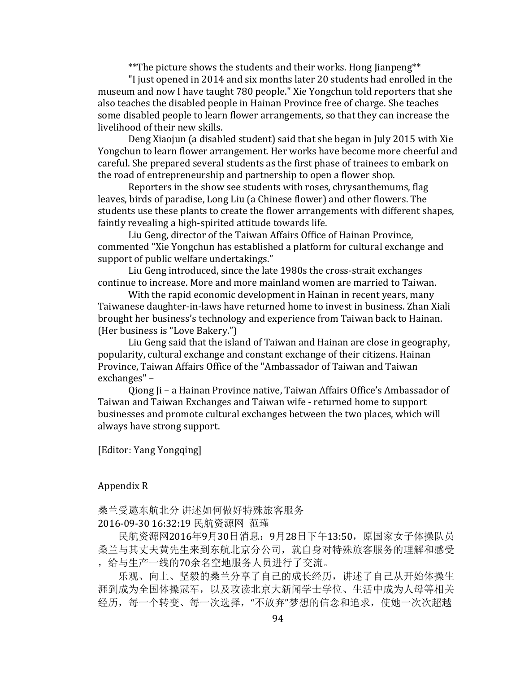\*\*The picture shows the students and their works. Hong Jianpeng\*\*

"I just opened in 2014 and six months later 20 students had enrolled in the museum and now I have taught 780 people." Xie Yongchun told reporters that she also teaches the disabled people in Hainan Province free of charge. She teaches some disabled people to learn flower arrangements, so that they can increase the livelihood of their new skills.

Deng Xiaojun (a disabled student) said that she began in July 2015 with Xie Yongchun to learn flower arrangement. Her works have become more cheerful and careful. She prepared several students as the first phase of trainees to embark on the road of entrepreneurship and partnership to open a flower shop.

Reporters in the show see students with roses, chrysanthemums, flag leaves, birds of paradise, Long Liu (a Chinese flower) and other flowers. The students use these plants to create the flower arrangements with different shapes, faintly revealing a high-spirited attitude towards life.

Liu Geng, director of the Taiwan Affairs Office of Hainan Province, commented "Xie Yongchun has established a platform for cultural exchange and support of public welfare undertakings."

Liu Geng introduced, since the late 1980s the cross-strait exchanges continue to increase. More and more mainland women are married to Taiwan.

With the rapid economic development in Hainan in recent years, many Taiwanese daughter-in-laws have returned home to invest in business. Zhan Xiali brought her business's technology and experience from Taiwan back to Hainan. (Her business is "Love Bakery.")

Liu Geng said that the island of Taiwan and Hainan are close in geography, popularity, cultural exchange and constant exchange of their citizens. Hainan Province, Taiwan Affairs Office of the "Ambassador of Taiwan and Taiwan exchanges" –

Qiong Ji – a Hainan Province native, Taiwan Affairs Office's Ambassador of Taiwan and Taiwan Exchanges and Taiwan wife - returned home to support businesses and promote cultural exchanges between the two places, which will always have strong support.

[Editor: Yang Yongqing]

Appendix R

桑兰受邀东航北分 讲述如何做好特殊旅客服务 2016-09-30 16:32:19 [民航资源网](http://news.carnoc.com/list/370/370347.html) 范瑾

 民航资源网2016年9月30日消息:9月28日下午13:50,原国家女子体操队员 桑兰与其丈夫黄先生来到东[航北京分](http://news.hexun.com/beijing/index.html)公司,就自身对特殊旅客服务的理解和感受 ,给与生产一线的70余名空地服务人员进行了交流。

 乐观、向上、坚毅的桑兰分享了自己的成长经历,讲述了自己从开始体操生 涯到成为全国体操冠军,以及攻读北京大新闻学士学位、生活中成为人母等相关 经历,每一个转变、每一次选择,"不放弃"梦想的信念和追求,使她一次次超越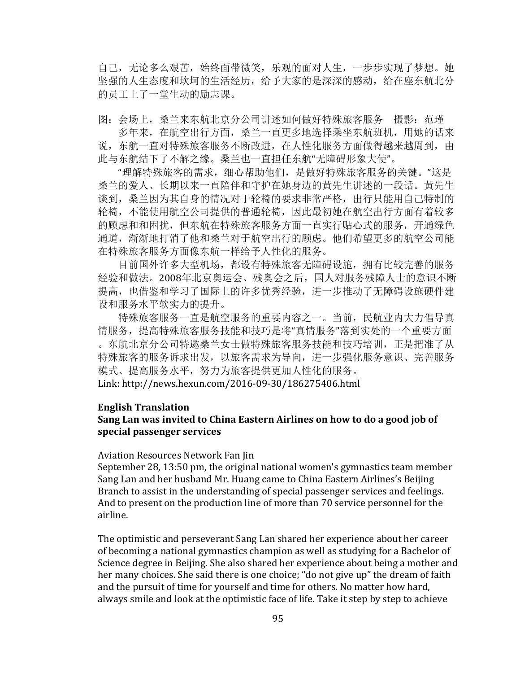自己,无论多么艰苦,始终面带微笑,乐观的面对人生,一步步实现了梦想。她 坚强的人生态度和坎坷的生活经历,给予大家的是深深的感动,给在座东航北分 的员工上了一堂生动的励志课。

图: 会场上, 桑兰来东航北京分公司讲述如何做好特殊旅客服务 摄影: 范瑾 多年来,在航空出行方面,桑兰一直更多地选择乘坐东航班机,用她的话来 说,东航一直对特殊旅客服务不断改进,在人性化服务方面做得越来越周到,由 此与东航结下了不解之缘。桑兰也一直担任东航"无障碍形象大使"。

 "理解特殊旅客的需求,细心帮助他们,是做好特殊旅客服务的关键。"这是 桑兰的爱人、长期以来一直陪伴和守护在她身边的黄先生讲述的一段话。黄先生 谈到,桑兰因为其自身的情况对于轮椅的要求非常严格,出行只能用自己特制的 轮椅,不能使用航空公司提供的普通轮椅,因此最初她在航空出行方面有着较多 的顾虑和和困扰,但东航在特殊旅客服务方面一直实行贴心式的服务,开通绿色 通道,渐渐地打消了他和桑兰对于航空出行的顾虑。他们希望更多的航空公司能 在特殊旅客服务方面像东航一样给予人性化的服务。

 目前国外许多大型机场,都设有特殊旅客无障碍设施,拥有比较完善的服务 经验和做法。2008年北京奥运会、残奥会之后,国人对服务残障人士的意识不断 提高,也借鉴和学习了国际上的许多优秀经验,进一步推动了无障碍设施硬件建 设和服务水平软实力的提升。

 特殊旅客服务一直是航空服务的重要内容之一。当前,民航业内大力倡导真 情服务,提高特殊旅客服务技能和技巧是将"真情服务"落到实处的一个重要方面 。东航北京分公司特邀桑兰女士做特殊旅客服务技能和技巧培训,正是把准了从 特殊旅客的服务诉求出发,以旅客需求为导向,进一步强化服务意识、完善服务 模式、提高服务水平,努力为旅客提供更加人性化的服务。

Link: http://news.hexun.com/2016-09-30/186275406.html

# **English Translation**

## **Sang Lan was invited to China Eastern Airlines on how to do a good job of special passenger services**

Aviation Resources Network Fan Jin

September 28, 13:50 pm, the original national women's gymnastics team member Sang Lan and her husband Mr. Huang came to China Eastern Airlines's Beijing Branch to assist in the understanding of special passenger services and feelings. And to present on the production line of more than 70 service personnel for the airline.

The optimistic and perseverant Sang Lan shared her experience about her career of becoming a national gymnastics champion as well as studying for a Bachelor of Science degree in Beijing. She also shared her experience about being a mother and her many choices. She said there is one choice; "do not give up" the dream of faith and the pursuit of time for yourself and time for others. No matter how hard, always smile and look at the optimistic face of life. Take it step by step to achieve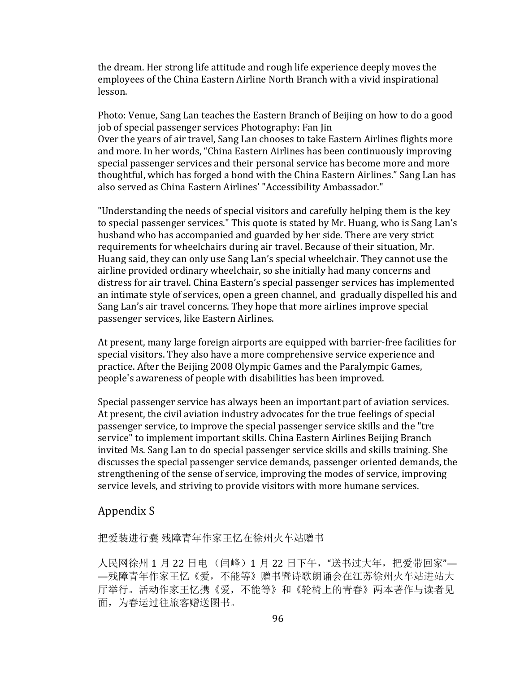the dream. Her strong life attitude and rough life experience deeply moves the employees of the China Eastern Airline North Branch with a vivid inspirational lesson.

Photo: Venue, Sang Lan teaches the Eastern Branch of Beijing on how to do a good job of special passenger services Photography: Fan Jin Over the years of air travel, Sang Lan chooses to take Eastern Airlines flights more and more. In her words, "China Eastern Airlines has been continuously improving special passenger services and their personal service has become more and more thoughtful, which has forged a bond with the China Eastern Airlines." Sang Lan has also served as China Eastern Airlines' "Accessibility Ambassador."

"Understanding the needs of special visitors and carefully helping them is the key to special passenger services." This quote is stated by Mr. Huang, who is Sang Lan's husband who has accompanied and guarded by her side. There are very strict requirements for wheelchairs during air travel. Because of their situation, Mr. Huang said, they can only use Sang Lan's special wheelchair. They cannot use the airline provided ordinary wheelchair, so she initially had many concerns and distress for air travel. China Eastern's special passenger services has implemented an intimate style of services, open a green channel, and gradually dispelled his and Sang Lan's air travel concerns. They hope that more airlines improve special passenger services, like Eastern Airlines.

At present, many large foreign airports are equipped with barrier-free facilities for special visitors. They also have a more comprehensive service experience and practice. After the Beijing 2008 Olympic Games and the Paralympic Games, people's awareness of people with disabilities has been improved.

Special passenger service has always been an important part of aviation services. At present, the civil aviation industry advocates for the true feelings of special passenger service, to improve the special passenger service skills and the "tre service" to implement important skills. China Eastern Airlines Beijing Branch invited Ms. Sang Lan to do special passenger service skills and skills training. She discusses the special passenger service demands, passenger oriented demands, the strengthening of the sense of service, improving the modes of service, improving service levels, and striving to provide visitors with more humane services.

# Appendix S

把爱装进行囊 残障青年作家王忆在徐州火车站赠书

人民网徐州 1 月 22 日电 (闫峰)1 月 22 日下午,"送书过大年,把爱带回家"— —残障青年作家王忆《爱,不能等》赠书暨诗歌朗诵会在江苏徐州火车站进站大 厅举行。活动作家王忆携《爱,不能等》和《轮椅上的青春》两本著作与读者见 面,为春运过往旅客赠送图书。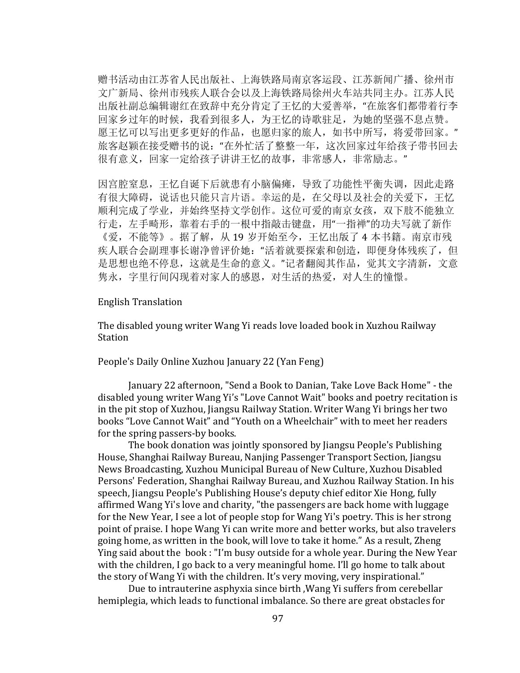赠书活动由江苏省人民出版社、上海铁路局南京客运段、江苏新闻广播、徐州市 文广新局、徐州市残疾人联合会以及上海铁路局徐州火车站共同主办。江苏人民 出版社副总编辑谢红在致辞中充分肯定了王忆的大爱善举,"在旅客们都带着行李 回家乡过年的时候,我看到很多人,为王忆的诗歌驻足,为她的坚强不息点赞。 愿王忆可以写出更多更好的作品,也愿归家的旅人,如书中所写,将爱带回家。" 旅客赵颖在接受赠书的说:"在外忙活了整整一年,这次回家过年给孩子带书回去 很有意义,回家一定给孩子讲讲王忆的故事,非常感人,非常励志。"

因宫腔窒息,王忆自诞下后就患有小脑偏瘫,导致了功能性平衡失调,因此走路 有很大障碍,说话也只能只言片语。幸运的是,在父母以及社会的关爱下,王忆 顺利完成了学业,并始终坚持文学创作。这位可爱的南京女孩,双下肢不能独立 行走,左手畸形,靠着右手的一根中指敲击键盘,用"一指禅"的功夫写就了新作 《爱,不能等》。据了解,从 19 岁开始至今,王忆出版了 4 本书籍。南京市残 疾人联合会副理事长谢净曾评价她: "活着就要探索和创造, 即便身体残疾了, 但 是思想也绝不停息,这就是生命的意义。"记者翻阅其作品,觉其文字清新,文意 隽永,字里行间闪现着对家人的感恩,对生活的热爱,对人生的憧憬。

#### English Translation

The disabled young writer Wang Yi reads love loaded book in Xuzhou Railway Station

People's Daily Online Xuzhou January 22 (Yan Feng)

January 22 afternoon, "Send a Book to Danian, Take Love Back Home" - the disabled young writer Wang Yi's "Love Cannot Wait" books and poetry recitation is in the pit stop of Xuzhou, Jiangsu Railway Station. Writer Wang Yi brings her two books "Love Cannot Wait" and "Youth on a Wheelchair" with to meet her readers for the spring passers-by books.

The book donation was jointly sponsored by Jiangsu People's Publishing House, Shanghai Railway Bureau, Nanjing Passenger Transport Section, Jiangsu News Broadcasting, Xuzhou Municipal Bureau of New Culture, Xuzhou Disabled Persons' Federation, Shanghai Railway Bureau, and Xuzhou Railway Station. In his speech, Jiangsu People's Publishing House's deputy chief editor Xie Hong, fully affirmed Wang Yi's love and charity, "the passengers are back home with luggage for the New Year, I see a lot of people stop for Wang Yi's poetry. This is her strong point of praise. I hope Wang Yi can write more and better works, but also travelers going home, as written in the book, will love to take it home." As a result, Zheng Ying said about the book : "I'm busy outside for a whole year. During the New Year with the children, I go back to a very meaningful home. I'll go home to talk about the story of Wang Yi with the children. It's very moving, very inspirational."

Due to intrauterine asphyxia since birth ,Wang Yi suffers from cerebellar hemiplegia, which leads to functional imbalance. So there are great obstacles for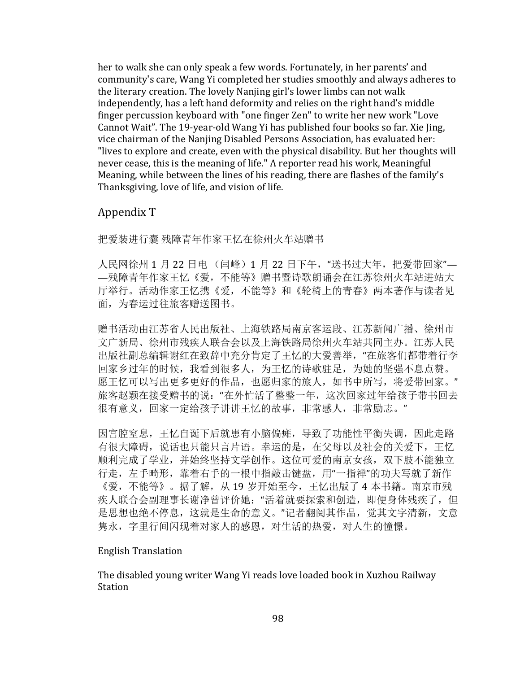her to walk she can only speak a few words. Fortunately, in her parents' and community's care, Wang Yi completed her studies smoothly and always adheres to the literary creation. The lovely Nanjing girl's lower limbs can not walk independently, has a left hand deformity and relies on the right hand's middle finger percussion keyboard with "one finger Zen" to write her new work "Love Cannot Wait". The 19-year-old Wang Yi has published four books so far. Xie Jing, vice chairman of the Nanjing Disabled Persons Association, has evaluated her: "lives to explore and create, even with the physical disability. But her thoughts will never cease, this is the meaning of life." A reporter read his work, Meaningful Meaning, while between the lines of his reading, there are flashes of the family's Thanksgiving, love of life, and vision of life.

# Appendix T

把爱装进行囊 残障青年作家王忆在徐州火车站赠书

人民网徐州 1 月 22 日电 (闫峰)1 月 22 日下午,"送书过大年,把爱带回家"— —残障青年作家王忆《爱,不能等》赠书暨诗歌朗诵会在江苏徐州火车站进站大 厅举行。活动作家王忆携《爱,不能等》和《轮椅上的青春》两本著作与读者见 面,为春运过往旅客赠送图书。

赠书活动由江苏省人民出版社、上海铁路局南京客运段、江苏新闻广播、徐州市 文广新局、徐州市残疾人联合会以及上海铁路局徐州火车站共同主办。江苏人民 出版社副总编辑谢红在致辞中充分肯定了王忆的大爱善举,"在旅客们都带着行李 回家乡过年的时候,我看到很多人,为王忆的诗歌驻足,为她的坚强不息点赞。 愿王忆可以写出更多更好的作品,也愿归家的旅人,如书中所写,将爱带回家。" 旅客赵颖在接受赠书的说:"在外忙活了整整一年,这次回家过年给孩子带书回去 很有意义,回家一定给孩子讲讲王忆的故事,非常感人,非常励志。"

因宫腔窒息,王忆自诞下后就患有小脑偏瘫,导致了功能性平衡失调,因此走路 有很大障碍,说话也只能只言片语。幸运的是,在父母以及社会的关爱下,王忆 顺利完成了学业,并始终坚持文学创作。这位可爱的南京女孩,双下肢不能独立 行走,左手畸形,靠着右手的一根中指敲击键盘,用"一指禅"的功夫写就了新作 《爱,不能等》。据了解,从 19 岁开始至今,王忆出版了 4 本书籍。南京市残 疾人联合会副理事长谢净曾评价她: "活着就要探索和创造, 即便身体残疾了, 但 是思想也绝不停息,这就是生命的意义。"记者翻阅其作品,觉其文字清新,文意 隽永,字里行间闪现着对家人的感恩,对生活的热爱,对人生的憧憬。

### English Translation

The disabled young writer Wang Yi reads love loaded book in Xuzhou Railway Station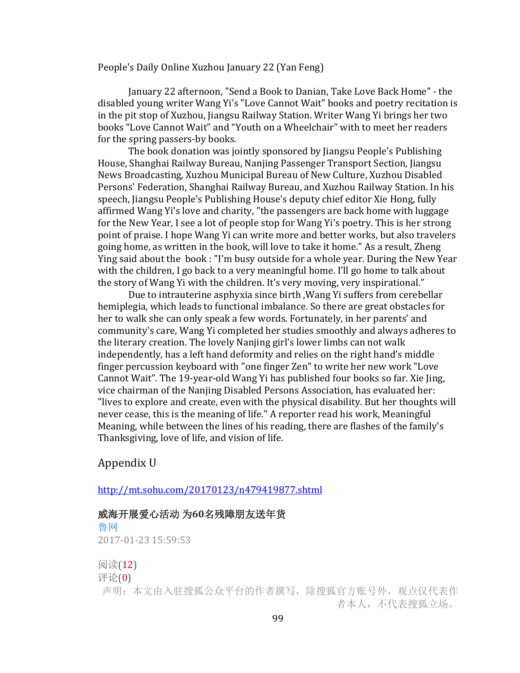### People's Daily Online Xuzhou January 22 (Yan Feng)

January 22 afternoon, "Send a Book to Danian, Take Love Back Home" - the disabled young writer Wang Yi's "Love Cannot Wait" books and poetry recitation is in the pit stop of Xuzhou, Jiangsu Railway Station. Writer Wang Yi brings her two books "Love Cannot Wait" and "Youth on a Wheelchair" with to meet her readers for the spring passers-by books.

The book donation was jointly sponsored by Jiangsu People's Publishing House, Shanghai Railway Bureau, Nanjing Passenger Transport Section, Jiangsu News Broadcasting, Xuzhou Municipal Bureau of New Culture, Xuzhou Disabled Persons' Federation, Shanghai Railway Bureau, and Xuzhou Railway Station. In his speech, Jiangsu People's Publishing House's deputy chief editor Xie Hong, fully affirmed Wang Yi's love and charity, "the passengers are back home with luggage for the New Year, I see a lot of people stop for Wang Yi's poetry. This is her strong point of praise. I hope Wang Yi can write more and better works, but also travelers going home, as written in the book, will love to take it home." As a result, Zheng Ying said about the book : "I'm busy outside for a whole year. During the New Year with the children, I go back to a very meaningful home. I'll go home to talk about the story of Wang Yi with the children. It's very moving, very inspirational."

Due to intrauterine asphyxia since birth ,Wang Yi suffers from cerebellar hemiplegia, which leads to functional imbalance. So there are great obstacles for her to walk she can only speak a few words. Fortunately, in her parents' and community's care, Wang Yi completed her studies smoothly and always adheres to the literary creation. The lovely Nanjing girl's lower limbs can not walk independently, has a left hand deformity and relies on the right hand's middle finger percussion keyboard with "one finger Zen" to write her new work "Love Cannot Wait". The 19-year-old Wang Yi has published four books so far. Xie Jing, vice chairman of the Nanjing Disabled Persons Association, has evaluated her: "lives to explore and create, even with the physical disability. But her thoughts will never cease, this is the meaning of life." A reporter read his work, Meaningful Meaning, while between the lines of his reading, there are flashes of the family's Thanksgiving, love of life, and vision of life.

# Appendix U

### <http://mt.sohu.com/20170123/n479419877.shtml>

## 威海开展爱心活动 为**60**名残障朋友送年货

[鲁网](http://mp.i.sohu.com/profile?xpt=MTY4OTQ3NDc3NEBzaW5hLnNvaHUuY29t) 2017-01-23 15:59:53

阅读(12) [评论](http://pinglun.sohu.com/s479419877.html)(0)

声明:本文由入驻搜狐公众平台的作者撰写,除搜狐官方账号外,观点仅代表作 者本人,不代表搜狐立场。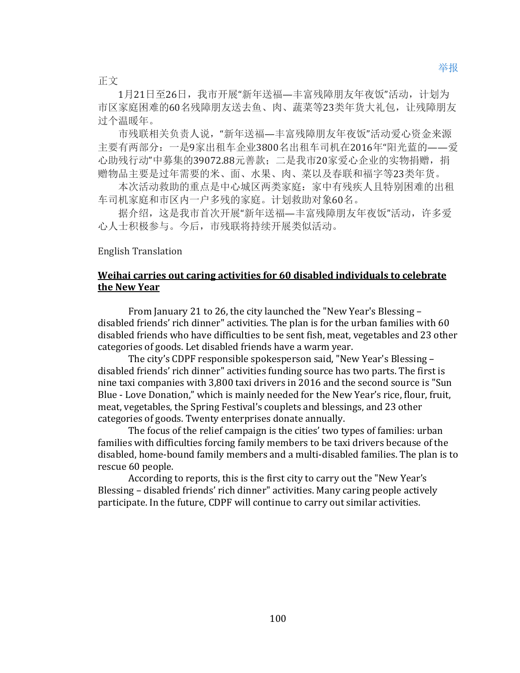正文

 1月21日至26日,我市开展"新年送福—丰富残障朋友年夜饭"活动,计划为 市区家庭困难的60名残障朋友送去鱼、肉、蔬菜等23类年货大礼包,让残障朋友 过个温暖年。

 市残联相关负责人说,"新年送福—丰富残障朋友年夜饭"活动爱心资金来源 主要有两部分:一是9家出租车企业3800名出租车司机在2016年"阳光蓝的——爱 心助残行动"中募集的39072.88元善款;二是我市20家爱心企业的实物捐赠,捐 赠物品主要是过年需要的米、面、水果、肉、菜以及春联和福字等23类年货。

 本次活动救助的重点是中心城区两类家庭:家中有残疾人且特别困难的出租 车司机家庭和市区内一户多残的家庭。计划救助对象60名。

 据介绍,这是我市首次开展"新年送福—丰富残障朋友年夜饭"活动,许多爱 心人士积极参与。今后,市残联将持续开展类似活动。

## English Translation

# **Weihai carries out caring activities for 60 disabled individuals to celebrate the New Year**

From January 21 to 26, the city launched the "New Year's Blessing – disabled friends' rich dinner" activities. The plan is for the urban families with 60 disabled friends who have difficulties to be sent fish, meat, vegetables and 23 other categories of goods. Let disabled friends have a warm year.

The city's CDPF responsible spokesperson said, "New Year's Blessing – disabled friends' rich dinner" activities funding source has two parts. The first is nine taxi companies with 3,800 taxi drivers in 2016 and the second source is "Sun Blue - Love Donation," which is mainly needed for the New Year's rice, flour, fruit, meat, vegetables, the Spring Festival's couplets and blessings, and 23 other categories of goods. Twenty enterprises donate annually.

The focus of the relief campaign is the cities' two types of families: urban families with difficulties forcing family members to be taxi drivers because of the disabled, home-bound family members and a multi-disabled families. The plan is to rescue 60 people.

According to reports, this is the first city to carry out the "New Year's Blessing – disabled friends' rich dinner" activities. Many caring people actively participate. In the future, CDPF will continue to carry out similar activities.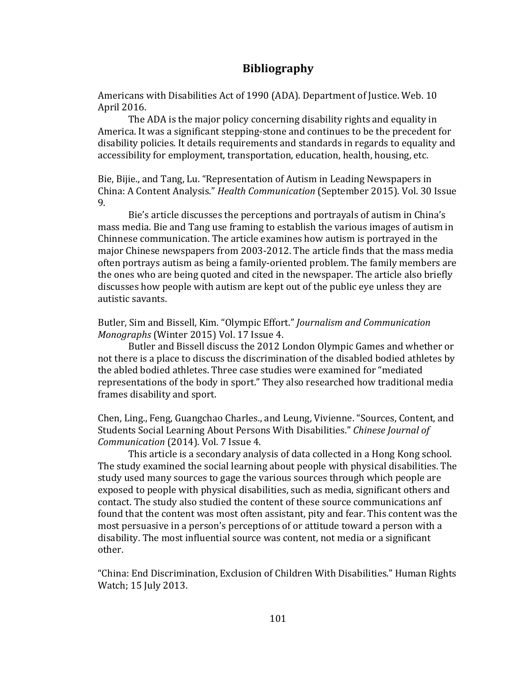# **Bibliography**

Americans with Disabilities Act of 1990 (ADA). Department of Justice. Web. 10 April 2016.

The ADA is the major policy concerning disability rights and equality in America. It was a significant stepping-stone and continues to be the precedent for disability policies. It details requirements and standards in regards to equality and accessibility for employment, transportation, education, health, housing, etc.

Bie, Bijie., and Tang, Lu. "Representation of Autism in Leading Newspapers in China: A Content Analysis." *Health Communication* (September 2015). Vol. 30 Issue 9.

Bie's article discusses the perceptions and portrayals of autism in China's mass media. Bie and Tang use framing to establish the various images of autism in Chinnese communication. The article examines how autism is portrayed in the major Chinese newspapers from 2003-2012. The article finds that the mass media often portrays autism as being a family-oriented problem. The family members are the ones who are being quoted and cited in the newspaper. The article also briefly discusses how people with autism are kept out of the public eye unless they are autistic savants.

Butler, Sim and Bissell, Kim. "Olympic Effort." *Journalism and Communication Monographs* (Winter 2015) Vol. 17 Issue 4.

Butler and Bissell discuss the 2012 London Olympic Games and whether or not there is a place to discuss the discrimination of the disabled bodied athletes by the abled bodied athletes. Three case studies were examined for "mediated representations of the body in sport." They also researched how traditional media frames disability and sport.

Chen, Ling., Feng, Guangchao Charles., and Leung, Vivienne. "Sources, Content, and Students Social Learning About Persons With Disabilities." *Chinese Journal of Communication* (2014). Vol. 7 Issue 4.

This article is a secondary analysis of data collected in a Hong Kong school. The study examined the social learning about people with physical disabilities. The study used many sources to gage the various sources through which people are exposed to people with physical disabilities, such as media, significant others and contact. The study also studied the content of these source communications anf found that the content was most often assistant, pity and fear. This content was the most persuasive in a person's perceptions of or attitude toward a person with a disability. The most influential source was content, not media or a significant other.

"China: End Discrimination, Exclusion of Children With Disabilities." Human Rights Watch; 15 July 2013.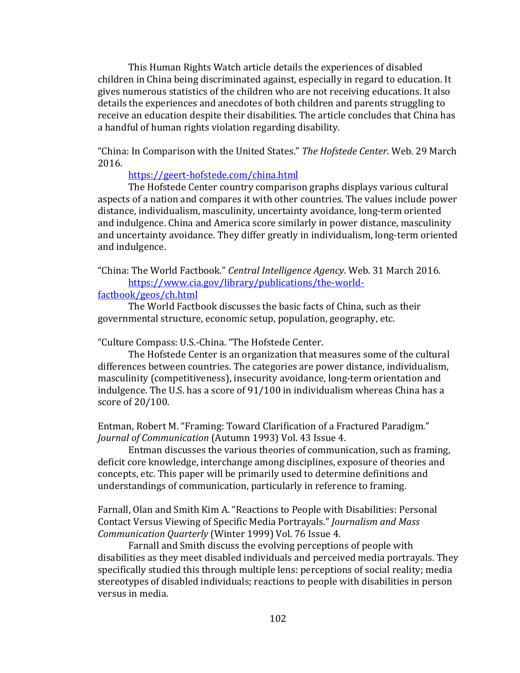This Human Rights Watch article details the experiences of disabled children in China being discriminated against, especially in regard to education. It gives numerous statistics of the children who are not receiving educations. It also details the experiences and anecdotes of both children and parents struggling to receive an education despite their disabilities. The article concludes that China has a handful of human rights violation regarding disability.

"China: In Comparison with the United States." *The Hofstede Center*. Web. 29 March 2016.

## <https://geert-hofstede.com/china.html>

The Hofstede Center country comparison graphs displays various cultural aspects of a nation and compares it with other countries. The values include power distance, individualism, masculinity, uncertainty avoidance, long-term oriented and indulgence. China and America score similarly in power distance, masculinity and uncertainty avoidance. They differ greatly in individualism, long-term oriented and indulgence.

"China: The World Factbook." *Central Intelligence Agency*. Web. 31 March 2016. [https://www.cia.gov/library/publications/the-world-](https://www.cia.gov/library/publications/the-world-factbook/geos/ch.html)

# [factbook/geos/ch.html](https://www.cia.gov/library/publications/the-world-factbook/geos/ch.html)

The World Factbook discusses the basic facts of China, such as their governmental structure, economic setup, population, geography, etc.

## "Culture Compass: U.S.-China. "The Hofstede Center.

The Hofstede Center is an organization that measures some of the cultural differences between countries. The categories are power distance, individualism, masculinity (competitiveness), insecurity avoidance, long-term orientation and indulgence. The U.S. has a score of 91/100 in individualism whereas China has a score of 20/100.

Entman, Robert M. "Framing: Toward Clarification of a Fractured Paradigm." *Journal of Communication* (Autumn 1993) Vol. 43 Issue 4.

Entman discusses the various theories of communication, such as framing, deficit core knowledge, interchange among disciplines, exposure of theories and concepts, etc. This paper will be primarily used to determine definitions and understandings of communication, particularly in reference to framing.

Farnall, Olan and Smith Kim A. "Reactions to People with Disabilities: Personal Contact Versus Viewing of Specific Media Portrayals." *Journalism and Mass Communication Quarterly* (Winter 1999) Vol. 76 Issue 4.

Farnall and Smith discuss the evolving perceptions of people with disabilities as they meet disabled individuals and perceived media portrayals. They specifically studied this through multiple lens: perceptions of social reality; media stereotypes of disabled individuals; reactions to people with disabilities in person versus in media.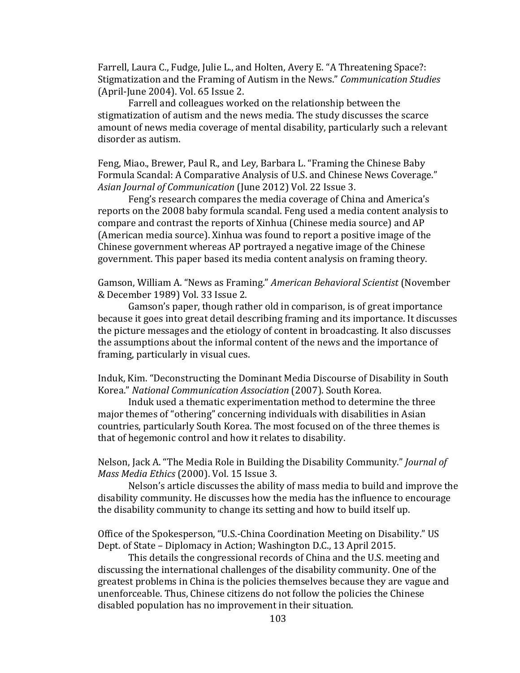Farrell, Laura C., Fudge, Julie L., and Holten, Avery E. "A Threatening Space?: Stigmatization and the Framing of Autism in the News." *Communication Studies* (April-June 2004). Vol. 65 Issue 2.

Farrell and colleagues worked on the relationship between the stigmatization of autism and the news media. The study discusses the scarce amount of news media coverage of mental disability, particularly such a relevant disorder as autism.

Feng, Miao., Brewer, Paul R., and Ley, Barbara L. "Framing the Chinese Baby Formula Scandal: A Comparative Analysis of U.S. and Chinese News Coverage." *Asian Journal of Communication* (June 2012) Vol. 22 Issue 3.

Feng's research compares the media coverage of China and America's reports on the 2008 baby formula scandal. Feng used a media content analysis to compare and contrast the reports of Xinhua (Chinese media source) and AP (American media source). Xinhua was found to report a positive image of the Chinese government whereas AP portrayed a negative image of the Chinese government. This paper based its media content analysis on framing theory.

Gamson, William A. "News as Framing." *American Behavioral Scientist* (November & December 1989) Vol. 33 Issue 2.

Gamson's paper, though rather old in comparison, is of great importance because it goes into great detail describing framing and its importance. It discusses the picture messages and the etiology of content in broadcasting. It also discusses the assumptions about the informal content of the news and the importance of framing, particularly in visual cues.

Induk, Kim. "Deconstructing the Dominant Media Discourse of Disability in South Korea." *National Communication Association* (2007). South Korea.

Induk used a thematic experimentation method to determine the three major themes of "othering" concerning individuals with disabilities in Asian countries, particularly South Korea. The most focused on of the three themes is that of hegemonic control and how it relates to disability.

Nelson, Jack A. "The Media Role in Building the Disability Community." *Journal of Mass Media Ethics* (2000). Vol. 15 Issue 3.

Nelson's article discusses the ability of mass media to build and improve the disability community. He discusses how the media has the influence to encourage the disability community to change its setting and how to build itself up.

Office of the Spokesperson, "U.S.-China Coordination Meeting on Disability." US Dept. of State – Diplomacy in Action; Washington D.C., 13 April 2015.

This details the congressional records of China and the U.S. meeting and discussing the international challenges of the disability community. One of the greatest problems in China is the policies themselves because they are vague and unenforceable. Thus, Chinese citizens do not follow the policies the Chinese disabled population has no improvement in their situation.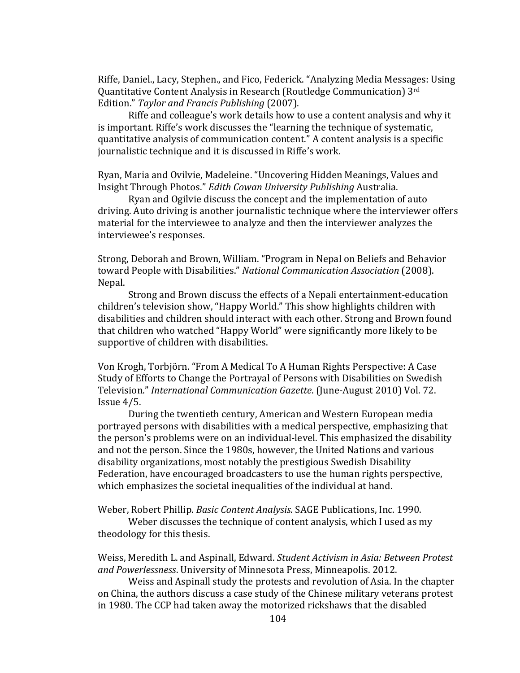Riffe, Daniel., Lacy, Stephen., and Fico, Federick. "Analyzing Media Messages: Using Quantitative Content Analysis in Research (Routledge Communication) 3rd Edition." *Taylor and Francis Publishing* (2007).

Riffe and colleague's work details how to use a content analysis and why it is important. Riffe's work discusses the "learning the technique of systematic, quantitative analysis of communication content." A content analysis is a specific journalistic technique and it is discussed in Riffe's work.

Ryan, Maria and Ovilvie, Madeleine. "Uncovering Hidden Meanings, Values and Insight Through Photos." *Edith Cowan University Publishing* Australia.

Ryan and Ogilvie discuss the concept and the implementation of auto driving. Auto driving is another journalistic technique where the interviewer offers material for the interviewee to analyze and then the interviewer analyzes the interviewee's responses.

Strong, Deborah and Brown, William. "Program in Nepal on Beliefs and Behavior toward People with Disabilities." *National Communication Association* (2008). Nepal.

Strong and Brown discuss the effects of a Nepali entertainment-education children's television show, "Happy World." This show highlights children with disabilities and children should interact with each other. Strong and Brown found that children who watched "Happy World" were significantly more likely to be supportive of children with disabilities.

Von Krogh, Torbjörn. "From A Medical To A Human Rights Perspective: A Case Study of Efforts to Change the Portrayal of Persons with Disabilities on Swedish Television." *International Communication Gazette*. (June-August 2010) Vol. 72. Issue 4/5.

During the twentieth century, American and Western European media portrayed persons with disabilities with a medical perspective, emphasizing that the person's problems were on an individual-level. This emphasized the disability and not the person. Since the 1980s, however, the United Nations and various disability organizations, most notably the prestigious Swedish Disability Federation, have encouraged broadcasters to use the human rights perspective, which emphasizes the societal inequalities of the individual at hand.

Weber, Robert Phillip. *Basic Content Analysis*. SAGE Publications, Inc. 1990.

Weber discusses the technique of content analysis, which I used as my theodology for this thesis.

Weiss, Meredith L. and Aspinall, Edward. *Student Activism in Asia: Between Protest and Powerlessness*. University of Minnesota Press, Minneapolis. 2012.

Weiss and Aspinall study the protests and revolution of Asia. In the chapter on China, the authors discuss a case study of the Chinese military veterans protest in 1980. The CCP had taken away the motorized rickshaws that the disabled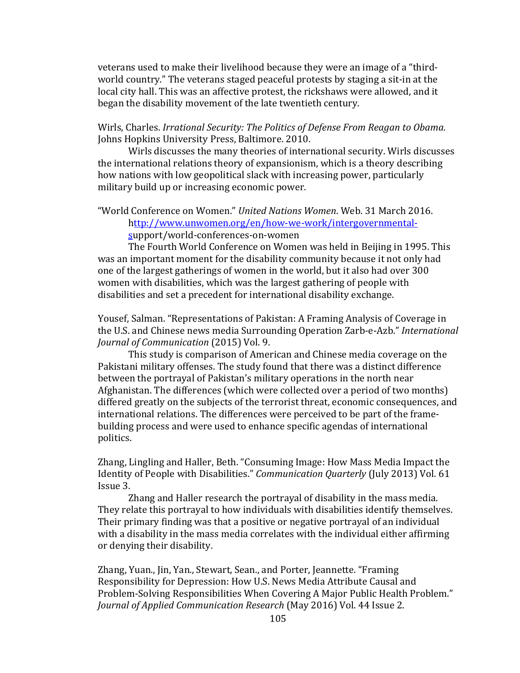veterans used to make their livelihood because they were an image of a "thirdworld country." The veterans staged peaceful protests by staging a sit-in at the local city hall. This was an affective protest, the rickshaws were allowed, and it began the disability movement of the late twentieth century.

Wirls, Charles. *Irrational Security: The Politics of Defense From Reagan to Obama.* Johns Hopkins University Press, Baltimore. 2010.

Wirls discusses the many theories of international security. Wirls discusses the international relations theory of expansionism, which is a theory describing how nations with low geopolitical slack with increasing power, particularly military build up or increasing economic power.

"World Conference on Women." *United Nations Women*. Web. 31 March 2016. [http://www.unwomen.org/en/how-we-work/intergovernmental](ttp://www.unwomen.org/en/how-we-work/intergovernmental-s)[su](ttp://www.unwomen.org/en/how-we-work/intergovernmental-s)pport/world-conferences-on-women

The Fourth World Conference on Women was held in Beijing in 1995. This was an important moment for the disability community because it not only had one of the largest gatherings of women in the world, but it also had over 300 women with disabilities, which was the largest gathering of people with disabilities and set a precedent for international disability exchange.

Yousef, Salman. "Representations of Pakistan: A Framing Analysis of Coverage in the U.S. and Chinese news media Surrounding Operation Zarb-e-Azb." *International Journal of Communication* (2015) Vol. 9.

This study is comparison of American and Chinese media coverage on the Pakistani military offenses. The study found that there was a distinct difference between the portrayal of Pakistan's military operations in the north near Afghanistan. The differences (which were collected over a period of two months) differed greatly on the subjects of the terrorist threat, economic consequences, and international relations. The differences were perceived to be part of the framebuilding process and were used to enhance specific agendas of international politics.

Zhang, Lingling and Haller, Beth. "Consuming Image: How Mass Media Impact the Identity of People with Disabilities." *Communication Quarterly* (July 2013) Vol. 61 Issue 3.

Zhang and Haller research the portrayal of disability in the mass media. They relate this portrayal to how individuals with disabilities identify themselves. Their primary finding was that a positive or negative portrayal of an individual with a disability in the mass media correlates with the individual either affirming or denying their disability.

Zhang, Yuan., Jin, Yan., Stewart, Sean., and Porter, Jeannette. "Framing Responsibility for Depression: How U.S. News Media Attribute Causal and Problem-Solving Responsibilities When Covering A Major Public Health Problem." *Journal of Applied Communication Research* (May 2016) Vol. 44 Issue 2.